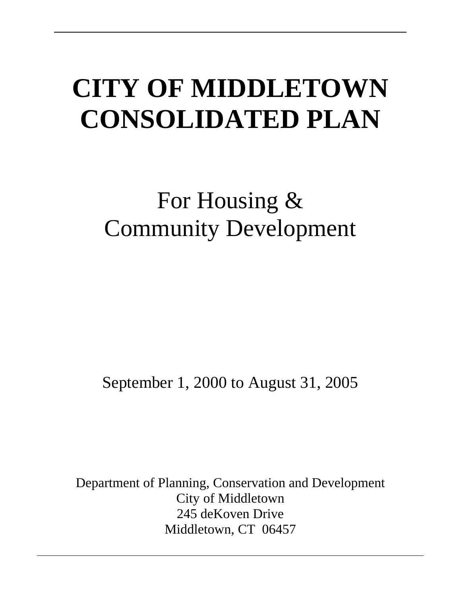# **CITY OF MIDDLETOWN CONSOLIDATED PLAN**

# For Housing & Community Development

September 1, 2000 to August 31, 2005

Department of Planning, Conservation and Development City of Middletown 245 deKoven Drive Middletown, CT 06457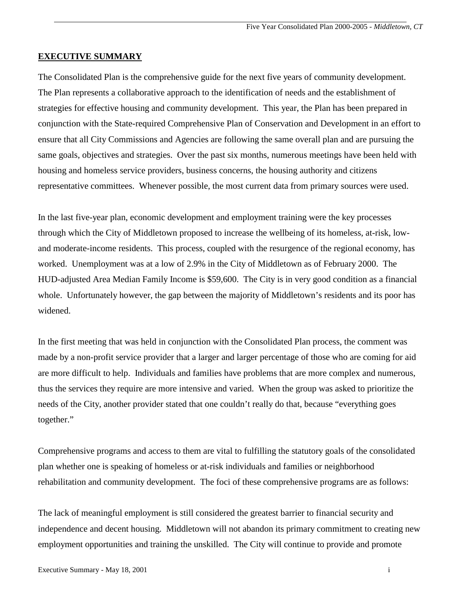# **EXECUTIVE SUMMARY**

The Consolidated Plan is the comprehensive guide for the next five years of community development. The Plan represents a collaborative approach to the identification of needs and the establishment of strategies for effective housing and community development. This year, the Plan has been prepared in conjunction with the State-required Comprehensive Plan of Conservation and Development in an effort to ensure that all City Commissions and Agencies are following the same overall plan and are pursuing the same goals, objectives and strategies. Over the past six months, numerous meetings have been held with housing and homeless service providers, business concerns, the housing authority and citizens representative committees. Whenever possible, the most current data from primary sources were used.

In the last five-year plan, economic development and employment training were the key processes through which the City of Middletown proposed to increase the wellbeing of its homeless, at-risk, lowand moderate-income residents. This process, coupled with the resurgence of the regional economy, has worked. Unemployment was at a low of 2.9% in the City of Middletown as of February 2000. The HUD-adjusted Area Median Family Income is \$59,600. The City is in very good condition as a financial whole. Unfortunately however, the gap between the majority of Middletown's residents and its poor has widened.

In the first meeting that was held in conjunction with the Consolidated Plan process, the comment was made by a non-profit service provider that a larger and larger percentage of those who are coming for aid are more difficult to help. Individuals and families have problems that are more complex and numerous, thus the services they require are more intensive and varied. When the group was asked to prioritize the needs of the City, another provider stated that one couldn't really do that, because "everything goes together."

Comprehensive programs and access to them are vital to fulfilling the statutory goals of the consolidated plan whether one is speaking of homeless or at-risk individuals and families or neighborhood rehabilitation and community development. The foci of these comprehensive programs are as follows:

The lack of meaningful employment is still considered the greatest barrier to financial security and independence and decent housing. Middletown will not abandon its primary commitment to creating new employment opportunities and training the unskilled. The City will continue to provide and promote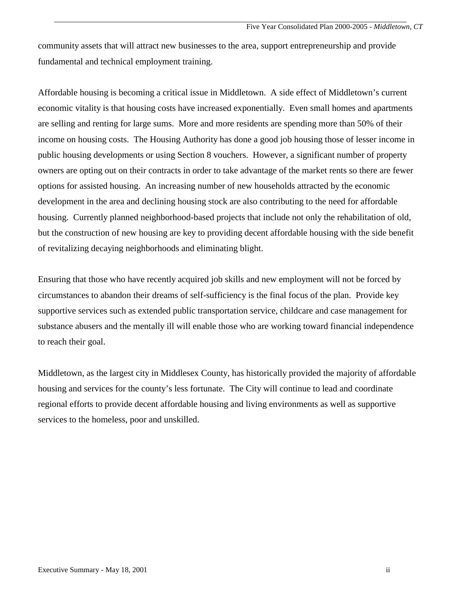community assets that will attract new businesses to the area, support entrepreneurship and provide fundamental and technical employment training.

Affordable housing is becoming a critical issue in Middletown. A side effect of Middletown's current economic vitality is that housing costs have increased exponentially. Even small homes and apartments are selling and renting for large sums. More and more residents are spending more than 50% of their income on housing costs. The Housing Authority has done a good job housing those of lesser income in public housing developments or using Section 8 vouchers. However, a significant number of property owners are opting out on their contracts in order to take advantage of the market rents so there are fewer options for assisted housing. An increasing number of new households attracted by the economic development in the area and declining housing stock are also contributing to the need for affordable housing. Currently planned neighborhood-based projects that include not only the rehabilitation of old, but the construction of new housing are key to providing decent affordable housing with the side benefit of revitalizing decaying neighborhoods and eliminating blight.

Ensuring that those who have recently acquired job skills and new employment will not be forced by circumstances to abandon their dreams of self-sufficiency is the final focus of the plan. Provide key supportive services such as extended public transportation service, childcare and case management for substance abusers and the mentally ill will enable those who are working toward financial independence to reach their goal.

Middletown, as the largest city in Middlesex County, has historically provided the majority of affordable housing and services for the county's less fortunate. The City will continue to lead and coordinate regional efforts to provide decent affordable housing and living environments as well as supportive services to the homeless, poor and unskilled.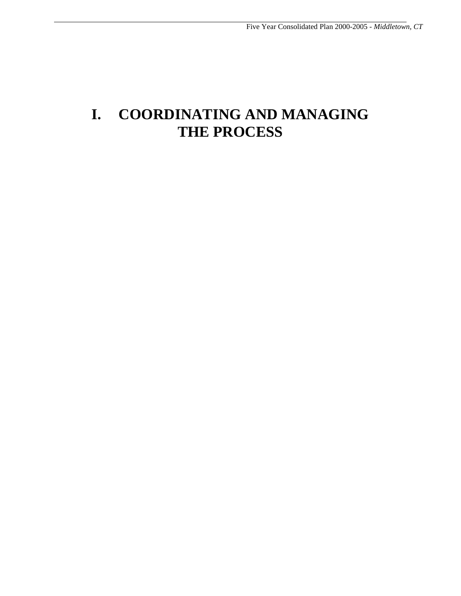# **I. COORDINATING AND MANAGING THE PROCESS**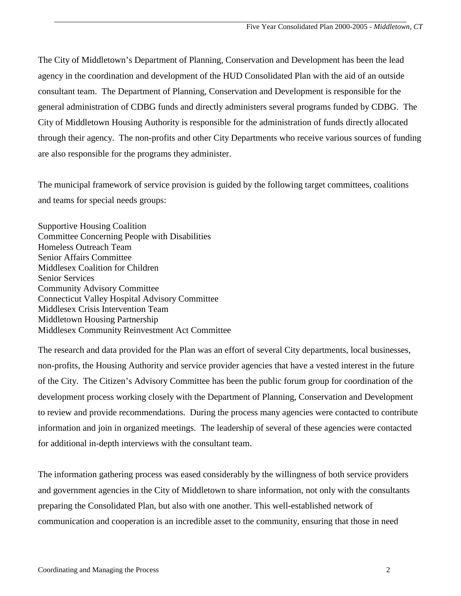The City of Middletown's Department of Planning, Conservation and Development has been the lead agency in the coordination and development of the HUD Consolidated Plan with the aid of an outside consultant team. The Department of Planning, Conservation and Development is responsible for the general administration of CDBG funds and directly administers several programs funded by CDBG. The City of Middletown Housing Authority is responsible for the administration of funds directly allocated through their agency. The non-profits and other City Departments who receive various sources of funding are also responsible for the programs they administer.

The municipal framework of service provision is guided by the following target committees, coalitions and teams for special needs groups:

Supportive Housing Coalition Committee Concerning People with Disabilities Homeless Outreach Team Senior Affairs Committee Middlesex Coalition for Children Senior Services Community Advisory Committee Connecticut Valley Hospital Advisory Committee Middlesex Crisis Intervention Team Middletown Housing Partnership Middlesex Community Reinvestment Act Committee

The research and data provided for the Plan was an effort of several City departments, local businesses, non-profits, the Housing Authority and service provider agencies that have a vested interest in the future of the City. The Citizen's Advisory Committee has been the public forum group for coordination of the development process working closely with the Department of Planning, Conservation and Development to review and provide recommendations. During the process many agencies were contacted to contribute information and join in organized meetings. The leadership of several of these agencies were contacted for additional in-depth interviews with the consultant team.

The information gathering process was eased considerably by the willingness of both service providers and government agencies in the City of Middletown to share information, not only with the consultants preparing the Consolidated Plan, but also with one another. This well-established network of communication and cooperation is an incredible asset to the community, ensuring that those in need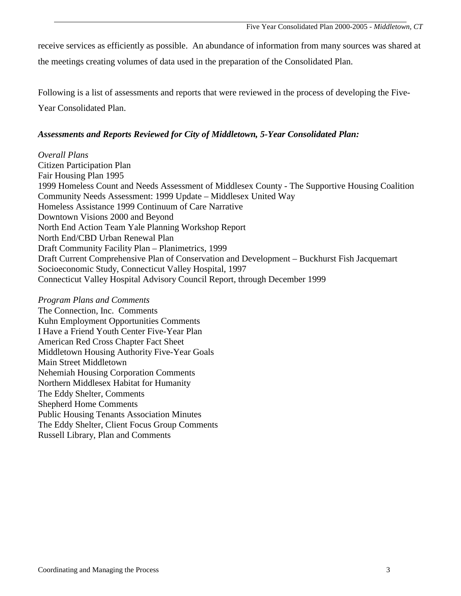receive services as efficiently as possible. An abundance of information from many sources was shared at the meetings creating volumes of data used in the preparation of the Consolidated Plan.

Following is a list of assessments and reports that were reviewed in the process of developing the Five-Year Consolidated Plan.

# *Assessments and Reports Reviewed for City of Middletown, 5-Year Consolidated Plan:*

*Overall Plans*  Citizen Participation Plan Fair Housing Plan 1995 1999 Homeless Count and Needs Assessment of Middlesex County - The Supportive Housing Coalition Community Needs Assessment: 1999 Update – Middlesex United Way Homeless Assistance 1999 Continuum of Care Narrative Downtown Visions 2000 and Beyond North End Action Team Yale Planning Workshop Report North End/CBD Urban Renewal Plan Draft Community Facility Plan – Planimetrics, 1999 Draft Current Comprehensive Plan of Conservation and Development – Buckhurst Fish Jacquemart Socioeconomic Study, Connecticut Valley Hospital, 1997 Connecticut Valley Hospital Advisory Council Report, through December 1999

*Program Plans and Comments*  The Connection, Inc. Comments Kuhn Employment Opportunities Comments I Have a Friend Youth Center Five-Year Plan American Red Cross Chapter Fact Sheet Middletown Housing Authority Five-Year Goals Main Street Middletown Nehemiah Housing Corporation Comments Northern Middlesex Habitat for Humanity The Eddy Shelter, Comments Shepherd Home Comments Public Housing Tenants Association Minutes The Eddy Shelter, Client Focus Group Comments Russell Library, Plan and Comments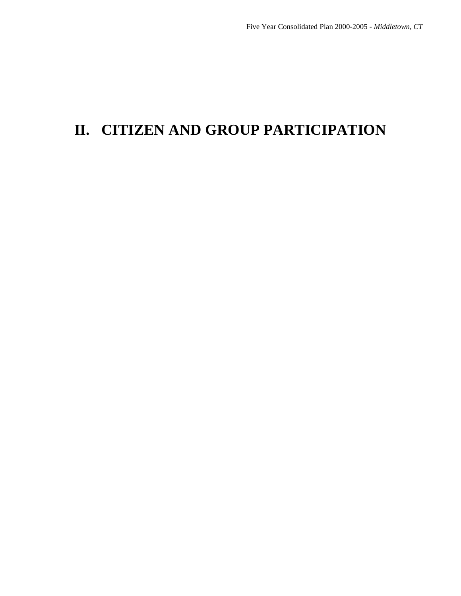# **II. CITIZEN AND GROUP PARTICIPATION**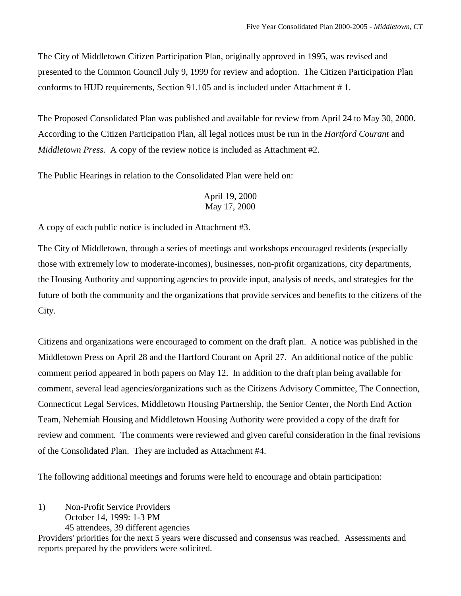The City of Middletown Citizen Participation Plan, originally approved in 1995, was revised and presented to the Common Council July 9, 1999 for review and adoption. The Citizen Participation Plan conforms to HUD requirements, Section 91.105 and is included under Attachment # 1.

The Proposed Consolidated Plan was published and available for review from April 24 to May 30, 2000. According to the Citizen Participation Plan, all legal notices must be run in the *Hartford Courant* and *Middletown Press.* A copy of the review notice is included as Attachment #2.

The Public Hearings in relation to the Consolidated Plan were held on:

# April 19, 2000 May 17, 2000

A copy of each public notice is included in Attachment #3.

The City of Middletown, through a series of meetings and workshops encouraged residents (especially those with extremely low to moderate-incomes), businesses, non-profit organizations, city departments, the Housing Authority and supporting agencies to provide input, analysis of needs, and strategies for the future of both the community and the organizations that provide services and benefits to the citizens of the City.

Citizens and organizations were encouraged to comment on the draft plan. A notice was published in the Middletown Press on April 28 and the Hartford Courant on April 27. An additional notice of the public comment period appeared in both papers on May 12. In addition to the draft plan being available for comment, several lead agencies/organizations such as the Citizens Advisory Committee, The Connection, Connecticut Legal Services, Middletown Housing Partnership, the Senior Center, the North End Action Team, Nehemiah Housing and Middletown Housing Authority were provided a copy of the draft for review and comment. The comments were reviewed and given careful consideration in the final revisions of the Consolidated Plan. They are included as Attachment #4.

The following additional meetings and forums were held to encourage and obtain participation:

1) Non-Profit Service Providers October 14, 1999: 1-3 PM 45 attendees, 39 different agencies

Providers' priorities for the next 5 years were discussed and consensus was reached. Assessments and reports prepared by the providers were solicited.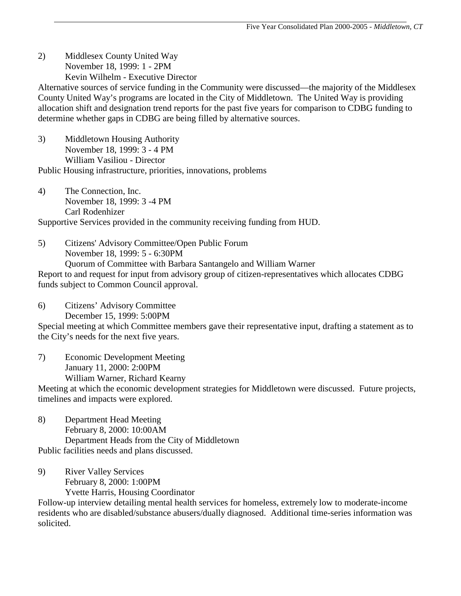2) Middlesex County United Way November 18, 1999: 1 - 2PM Kevin Wilhelm - Executive Director

Alternative sources of service funding in the Community were discussed—the majority of the Middlesex County United Way's programs are located in the City of Middletown. The United Way is providing allocation shift and designation trend reports for the past five years for comparison to CDBG funding to determine whether gaps in CDBG are being filled by alternative sources.

- 3) Middletown Housing Authority November 18, 1999: 3 - 4 PM William Vasiliou - Director Public Housing infrastructure, priorities, innovations, problems
- 4) The Connection, Inc. November 18, 1999: 3 -4 PM Carl Rodenhizer

Supportive Services provided in the community receiving funding from HUD.

5) Citizens' Advisory Committee/Open Public Forum November 18, 1999: 5 - 6:30PM Quorum of Committee with Barbara Santangelo and William Warner Report to and request for input from advisory group of citizen-representatives which allocates CDBG funds subject to Common Council approval.

6) Citizens' Advisory Committee

December 15, 1999: 5:00PM

Special meeting at which Committee members gave their representative input, drafting a statement as to the City's needs for the next five years.

7) Economic Development Meeting January 11, 2000: 2:00PM William Warner, Richard Kearny

Meeting at which the economic development strategies for Middletown were discussed. Future projects, timelines and impacts were explored.

- 8) Department Head Meeting February 8, 2000: 10:00AM Department Heads from the City of Middletown Public facilities needs and plans discussed.
- 9) River Valley Services February 8, 2000: 1:00PM Yvette Harris, Housing Coordinator

Follow-up interview detailing mental health services for homeless, extremely low to moderate-income residents who are disabled/substance abusers/dually diagnosed. Additional time-series information was solicited.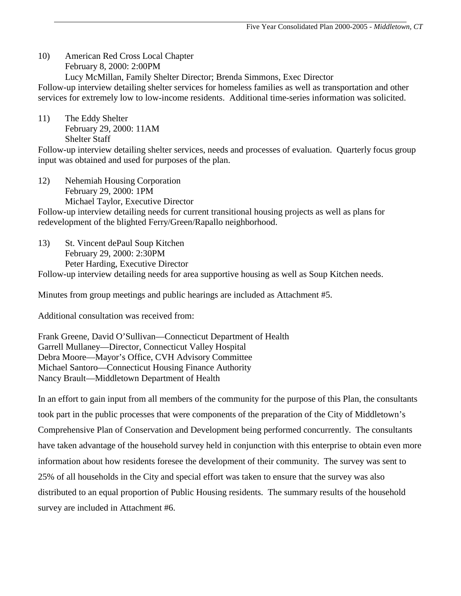10) American Red Cross Local Chapter February 8, 2000: 2:00PM Lucy McMillan, Family Shelter Director; Brenda Simmons, Exec Director

Follow-up interview detailing shelter services for homeless families as well as transportation and other services for extremely low to low-income residents. Additional time-series information was solicited.

11) The Eddy Shelter February 29, 2000: 11AM Shelter Staff

Follow-up interview detailing shelter services, needs and processes of evaluation. Quarterly focus group input was obtained and used for purposes of the plan.

12) Nehemiah Housing Corporation February 29, 2000: 1PM Michael Taylor, Executive Director

Follow-up interview detailing needs for current transitional housing projects as well as plans for redevelopment of the blighted Ferry/Green/Rapallo neighborhood.

13) St. Vincent dePaul Soup Kitchen February 29, 2000: 2:30PM Peter Harding, Executive Director Follow-up interview detailing needs for area supportive housing as well as Soup Kitchen needs.

Minutes from group meetings and public hearings are included as Attachment #5.

Additional consultation was received from:

Frank Greene, David O'Sullivan—Connecticut Department of Health Garrell Mullaney—Director, Connecticut Valley Hospital Debra Moore—Mayor's Office, CVH Advisory Committee Michael Santoro—Connecticut Housing Finance Authority Nancy Brault—Middletown Department of Health

In an effort to gain input from all members of the community for the purpose of this Plan, the consultants took part in the public processes that were components of the preparation of the City of Middletown's Comprehensive Plan of Conservation and Development being performed concurrently. The consultants have taken advantage of the household survey held in conjunction with this enterprise to obtain even more information about how residents foresee the development of their community. The survey was sent to 25% of all households in the City and special effort was taken to ensure that the survey was also distributed to an equal proportion of Public Housing residents. The summary results of the household survey are included in Attachment #6.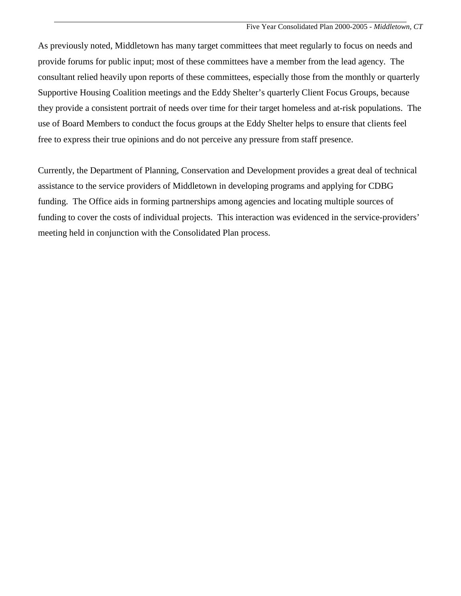As previously noted, Middletown has many target committees that meet regularly to focus on needs and provide forums for public input; most of these committees have a member from the lead agency. The consultant relied heavily upon reports of these committees, especially those from the monthly or quarterly Supportive Housing Coalition meetings and the Eddy Shelter's quarterly Client Focus Groups, because they provide a consistent portrait of needs over time for their target homeless and at-risk populations. The use of Board Members to conduct the focus groups at the Eddy Shelter helps to ensure that clients feel free to express their true opinions and do not perceive any pressure from staff presence.

Currently, the Department of Planning, Conservation and Development provides a great deal of technical assistance to the service providers of Middletown in developing programs and applying for CDBG funding. The Office aids in forming partnerships among agencies and locating multiple sources of funding to cover the costs of individual projects. This interaction was evidenced in the service-providers' meeting held in conjunction with the Consolidated Plan process.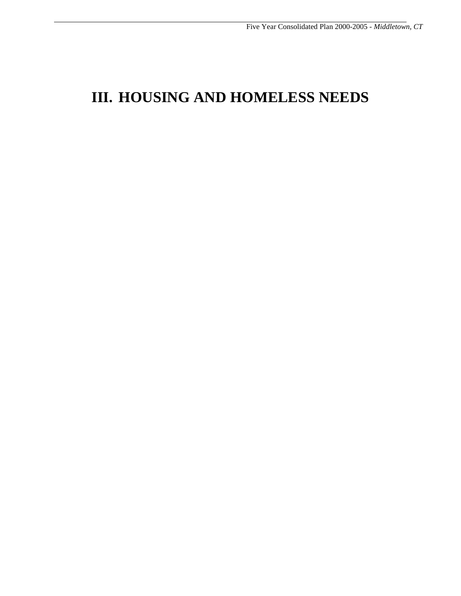# **III. HOUSING AND HOMELESS NEEDS**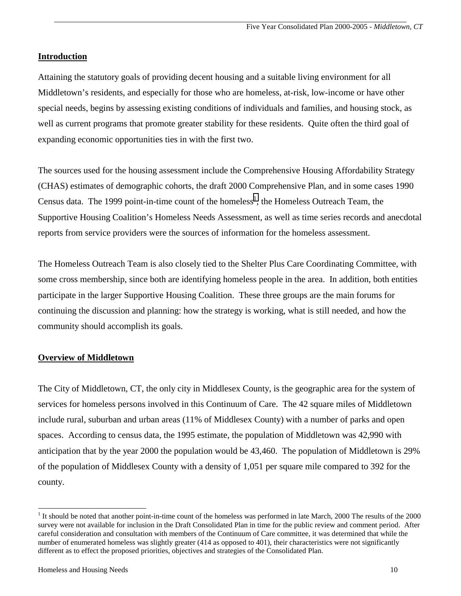# **Introduction**

Attaining the statutory goals of providing decent housing and a suitable living environment for all Middletown's residents, and especially for those who are homeless, at-risk, low-income or have other special needs, begins by assessing existing conditions of individuals and families, and housing stock, as well as current programs that promote greater stability for these residents. Quite often the third goal of expanding economic opportunities ties in with the first two.

The sources used for the housing assessment include the Comprehensive Housing Affordability Strategy (CHAS) estimates of demographic cohorts, the draft 2000 Comprehensive Plan, and in some cases 1990 Census data. The 1999 point-in-time count of the homeless<sup>1</sup>, the Homeless Outreach Team, the Supportive Housing Coalition's Homeless Needs Assessment, as well as time series records and anecdotal reports from service providers were the sources of information for the homeless assessment.

The Homeless Outreach Team is also closely tied to the Shelter Plus Care Coordinating Committee, with some cross membership, since both are identifying homeless people in the area. In addition, both entities participate in the larger Supportive Housing Coalition. These three groups are the main forums for continuing the discussion and planning: how the strategy is working, what is still needed, and how the community should accomplish its goals.

# **Overview of Middletown**

The City of Middletown, CT, the only city in Middlesex County, is the geographic area for the system of services for homeless persons involved in this Continuum of Care. The 42 square miles of Middletown include rural, suburban and urban areas (11% of Middlesex County) with a number of parks and open spaces. According to census data, the 1995 estimate, the population of Middletown was 42,990 with anticipation that by the year 2000 the population would be 43,460. The population of Middletown is 29% of the population of Middlesex County with a density of 1,051 per square mile compared to 392 for the county.

l

<sup>&</sup>lt;sup>1</sup> It should be noted that another point-in-time count of the homeless was performed in late March, 2000 The results of the 2000 survey were not available for inclusion in the Draft Consolidated Plan in time for the public review and comment period. After careful consideration and consultation with members of the Continuum of Care committee, it was determined that while the number of enumerated homeless was slightly greater (414 as opposed to 401), their characteristics were not significantly different as to effect the proposed priorities, objectives and strategies of the Consolidated Plan.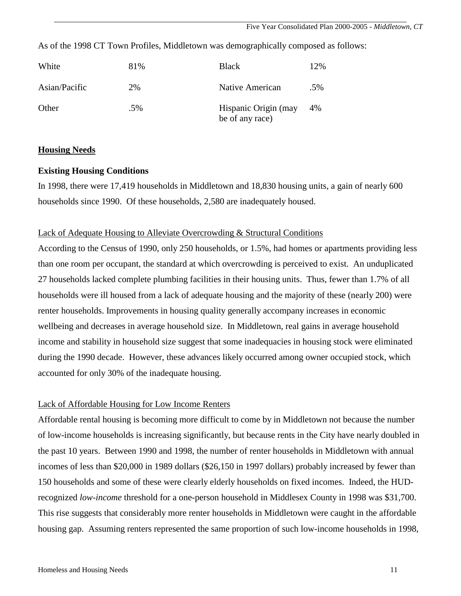Five Year Consolidated Plan 2000-2005 - *Middletown, CT*

| White         | 81% | <b>Black</b>                            | 12% |
|---------------|-----|-----------------------------------------|-----|
| Asian/Pacific | 2%  | Native American                         | .5% |
| Other         | .5% | Hispanic Origin (may<br>be of any race) | 4%  |

As of the 1998 CT Town Profiles, Middletown was demographically composed as follows:

# **Housing Needs**

# **Existing Housing Conditions**

In 1998, there were 17,419 households in Middletown and 18,830 housing units, a gain of nearly 600 households since 1990. Of these households, 2,580 are inadequately housed.

## Lack of Adequate Housing to Alleviate Overcrowding & Structural Conditions

According to the Census of 1990, only 250 households, or 1.5%, had homes or apartments providing less than one room per occupant, the standard at which overcrowding is perceived to exist. An unduplicated 27 households lacked complete plumbing facilities in their housing units. Thus, fewer than 1.7% of all households were ill housed from a lack of adequate housing and the majority of these (nearly 200) were renter households. Improvements in housing quality generally accompany increases in economic wellbeing and decreases in average household size. In Middletown, real gains in average household income and stability in household size suggest that some inadequacies in housing stock were eliminated during the 1990 decade. However, these advances likely occurred among owner occupied stock, which accounted for only 30% of the inadequate housing.

# Lack of Affordable Housing for Low Income Renters

Affordable rental housing is becoming more difficult to come by in Middletown not because the number of low-income households is increasing significantly, but because rents in the City have nearly doubled in the past 10 years. Between 1990 and 1998, the number of renter households in Middletown with annual incomes of less than \$20,000 in 1989 dollars (\$26,150 in 1997 dollars) probably increased by fewer than 150 households and some of these were clearly elderly households on fixed incomes. Indeed, the HUDrecognized *low-income* threshold for a one-person household in Middlesex County in 1998 was \$31,700. This rise suggests that considerably more renter households in Middletown were caught in the affordable housing gap. Assuming renters represented the same proportion of such low-income households in 1998,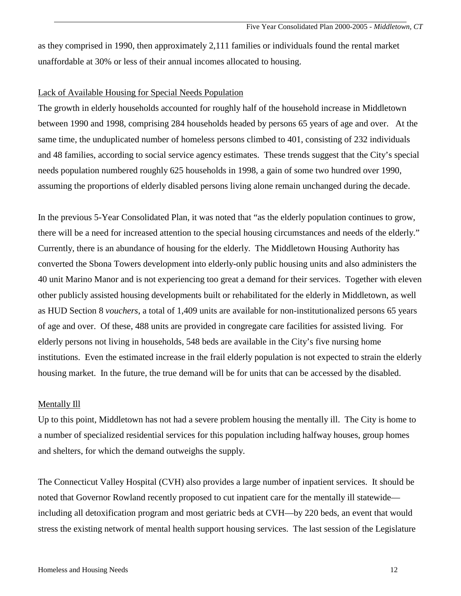as they comprised in 1990, then approximately 2,111 families or individuals found the rental market unaffordable at 30% or less of their annual incomes allocated to housing.

#### Lack of Available Housing for Special Needs Population

The growth in elderly households accounted for roughly half of the household increase in Middletown between 1990 and 1998, comprising 284 households headed by persons 65 years of age and over. At the same time, the unduplicated number of homeless persons climbed to 401, consisting of 232 individuals and 48 families, according to social service agency estimates. These trends suggest that the City's special needs population numbered roughly 625 households in 1998, a gain of some two hundred over 1990, assuming the proportions of elderly disabled persons living alone remain unchanged during the decade.

In the previous 5-Year Consolidated Plan, it was noted that "as the elderly population continues to grow, there will be a need for increased attention to the special housing circumstances and needs of the elderly." Currently, there is an abundance of housing for the elderly. The Middletown Housing Authority has converted the Sbona Towers development into elderly-only public housing units and also administers the 40 unit Marino Manor and is not experiencing too great a demand for their services. Together with eleven other publicly assisted housing developments built or rehabilitated for the elderly in Middletown, as well as HUD Section 8 *vouchers*, a total of 1,409 units are available for non-institutionalized persons 65 years of age and over. Of these, 488 units are provided in congregate care facilities for assisted living. For elderly persons not living in households, 548 beds are available in the City's five nursing home institutions. Even the estimated increase in the frail elderly population is not expected to strain the elderly housing market. In the future, the true demand will be for units that can be accessed by the disabled.

#### Mentally Ill

Up to this point, Middletown has not had a severe problem housing the mentally ill. The City is home to a number of specialized residential services for this population including halfway houses, group homes and shelters, for which the demand outweighs the supply.

The Connecticut Valley Hospital (CVH) also provides a large number of inpatient services. It should be noted that Governor Rowland recently proposed to cut inpatient care for the mentally ill statewide including all detoxification program and most geriatric beds at CVH—by 220 beds, an event that would stress the existing network of mental health support housing services. The last session of the Legislature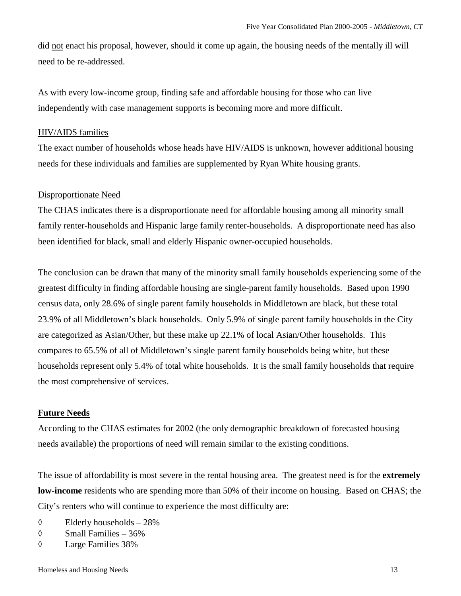did not enact his proposal, however, should it come up again, the housing needs of the mentally ill will need to be re-addressed.

As with every low-income group, finding safe and affordable housing for those who can live independently with case management supports is becoming more and more difficult.

# HIV/AIDS families

The exact number of households whose heads have HIV/AIDS is unknown, however additional housing needs for these individuals and families are supplemented by Ryan White housing grants.

# Disproportionate Need

The CHAS indicates there is a disproportionate need for affordable housing among all minority small family renter-households and Hispanic large family renter-households. A disproportionate need has also been identified for black, small and elderly Hispanic owner-occupied households.

The conclusion can be drawn that many of the minority small family households experiencing some of the greatest difficulty in finding affordable housing are single-parent family households. Based upon 1990 census data, only 28.6% of single parent family households in Middletown are black, but these total 23.9% of all Middletown's black households. Only 5.9% of single parent family households in the City are categorized as Asian/Other, but these make up 22.1% of local Asian/Other households. This compares to 65.5% of all of Middletown's single parent family households being white, but these households represent only 5.4% of total white households. It is the small family households that require the most comprehensive of services.

# **Future Needs**

According to the CHAS estimates for 2002 (the only demographic breakdown of forecasted housing needs available) the proportions of need will remain similar to the existing conditions.

The issue of affordability is most severe in the rental housing area. The greatest need is for the **extremely low-income** residents who are spending more than 50% of their income on housing. Based on CHAS; the City's renters who will continue to experience the most difficulty are:

- $\Diamond$  Elderly households 28%
- $\Diamond$  Small Families 36%
- ◊ Large Families 38%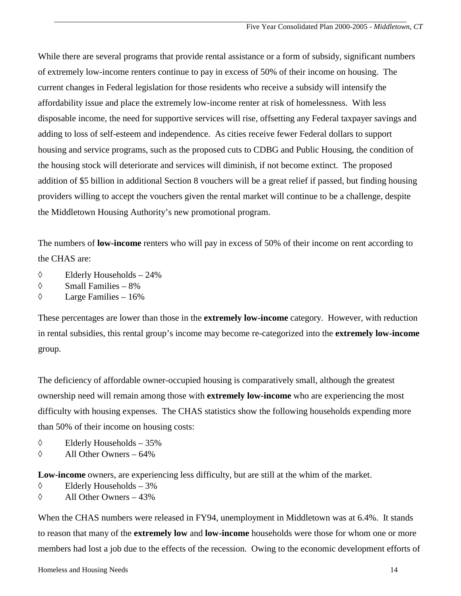While there are several programs that provide rental assistance or a form of subsidy, significant numbers of extremely low-income renters continue to pay in excess of 50% of their income on housing. The current changes in Federal legislation for those residents who receive a subsidy will intensify the affordability issue and place the extremely low-income renter at risk of homelessness. With less disposable income, the need for supportive services will rise, offsetting any Federal taxpayer savings and adding to loss of self-esteem and independence. As cities receive fewer Federal dollars to support housing and service programs, such as the proposed cuts to CDBG and Public Housing, the condition of the housing stock will deteriorate and services will diminish, if not become extinct. The proposed addition of \$5 billion in additional Section 8 vouchers will be a great relief if passed, but finding housing providers willing to accept the vouchers given the rental market will continue to be a challenge, despite the Middletown Housing Authority's new promotional program.

The numbers of **low-income** renters who will pay in excess of 50% of their income on rent according to the CHAS are:

- ◊ Elderly Households 24%
- $\Diamond$  Small Families 8%
- $\Diamond$  Large Families 16%

These percentages are lower than those in the **extremely low-income** category. However, with reduction in rental subsidies, this rental group's income may become re-categorized into the **extremely low-income** group.

The deficiency of affordable owner-occupied housing is comparatively small, although the greatest ownership need will remain among those with **extremely low-income** who are experiencing the most difficulty with housing expenses. The CHAS statistics show the following households expending more than 50% of their income on housing costs:

- ◊ Elderly Households 35%
- $\Diamond$  All Other Owners 64%

**Low-income** owners, are experiencing less difficulty, but are still at the whim of the market.

- $\Diamond$  Elderly Households 3%
- ◊ All Other Owners 43%

When the CHAS numbers were released in FY94, unemployment in Middletown was at 6.4%. It stands to reason that many of the **extremely low** and **low-income** households were those for whom one or more members had lost a job due to the effects of the recession. Owing to the economic development efforts of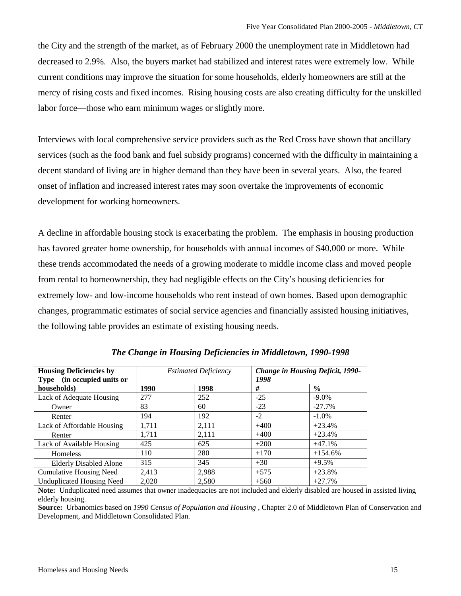the City and the strength of the market, as of February 2000 the unemployment rate in Middletown had decreased to 2.9%. Also, the buyers market had stabilized and interest rates were extremely low. While current conditions may improve the situation for some households, elderly homeowners are still at the mercy of rising costs and fixed incomes. Rising housing costs are also creating difficulty for the unskilled labor force—those who earn minimum wages or slightly more.

Interviews with local comprehensive service providers such as the Red Cross have shown that ancillary services (such as the food bank and fuel subsidy programs) concerned with the difficulty in maintaining a decent standard of living are in higher demand than they have been in several years. Also, the feared onset of inflation and increased interest rates may soon overtake the improvements of economic development for working homeowners.

A decline in affordable housing stock is exacerbating the problem. The emphasis in housing production has favored greater home ownership, for households with annual incomes of \$40,000 or more. While these trends accommodated the needs of a growing moderate to middle income class and moved people from rental to homeownership, they had negligible effects on the City's housing deficiencies for extremely low- and low-income households who rent instead of own homes. Based upon demographic changes, programmatic estimates of social service agencies and financially assisted housing initiatives, the following table provides an estimate of existing housing needs.

| <b>Housing Deficiencies by</b><br>Type (in occupied units or | <b>Estimated Deficiency</b> |       | Change in Housing Deficit, 1990-<br>1998 |               |
|--------------------------------------------------------------|-----------------------------|-------|------------------------------------------|---------------|
| households)                                                  | 1990                        | 1998  | #                                        | $\frac{6}{6}$ |
| Lack of Adequate Housing                                     | 277                         | 252   | $-25$                                    | $-9.0\%$      |
| Owner                                                        | 83                          | 60    | $-23$                                    | $-27.7%$      |
| Renter                                                       | 194                         | 192   | $-2$                                     | $-1.0\%$      |
| Lack of Affordable Housing                                   | 1,711                       | 2,111 | $+400$                                   | $+23.4%$      |
| Renter                                                       | 1.711                       | 2,111 | $+400$                                   | $+23.4%$      |
| Lack of Available Housing                                    | 425                         | 625   | $+200$                                   | $+47.1%$      |
| Homeless                                                     | 110                         | 280   | $+170$                                   | $+154.6%$     |
| <b>Elderly Disabled Alone</b>                                | 315                         | 345   | $+30$                                    | $+9.5%$       |
| <b>Cumulative Housing Need</b>                               | 2,413                       | 2,988 | $+575$                                   | $+23.8%$      |
| <b>Unduplicated Housing Need</b>                             | 2.020                       | 2,580 | $+560$                                   | $+27.7%$      |

*The Change in Housing Deficiencies in Middletown, 1990-1998* 

**Note:** Unduplicated need assumes that owner inadequacies are not included and elderly disabled are housed in assisted living elderly housing.

**Source:** Urbanomics based on *1990 Census of Population and Housing* , Chapter 2.0 of Middletown Plan of Conservation and Development, and Middletown Consolidated Plan.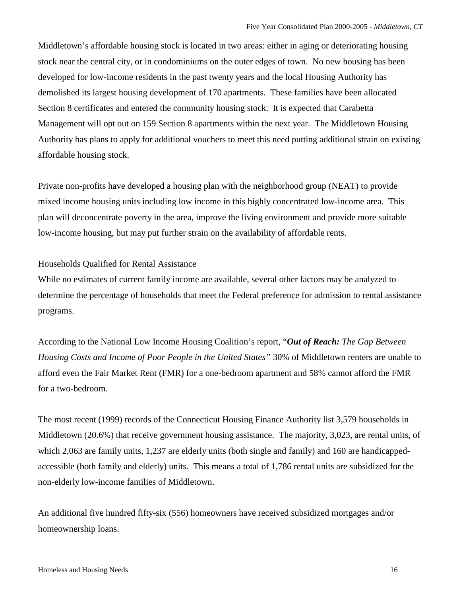Middletown's affordable housing stock is located in two areas: either in aging or deteriorating housing stock near the central city, or in condominiums on the outer edges of town. No new housing has been developed for low-income residents in the past twenty years and the local Housing Authority has demolished its largest housing development of 170 apartments. These families have been allocated Section 8 certificates and entered the community housing stock. It is expected that Carabetta Management will opt out on 159 Section 8 apartments within the next year. The Middletown Housing Authority has plans to apply for additional vouchers to meet this need putting additional strain on existing affordable housing stock.

Private non-profits have developed a housing plan with the neighborhood group (NEAT) to provide mixed income housing units including low income in this highly concentrated low-income area. This plan will deconcentrate poverty in the area, improve the living environment and provide more suitable low-income housing, but may put further strain on the availability of affordable rents.

# Households Qualified for Rental Assistance

While no estimates of current family income are available, several other factors may be analyzed to determine the percentage of households that meet the Federal preference for admission to rental assistance programs.

According to the National Low Income Housing Coalition's report, "*Out of Reach: The Gap Between Housing Costs and Income of Poor People in the United States"* 30% of Middletown renters are unable to afford even the Fair Market Rent (FMR) for a one-bedroom apartment and 58% cannot afford the FMR for a two-bedroom.

The most recent (1999) records of the Connecticut Housing Finance Authority list 3,579 households in Middletown (20.6%) that receive government housing assistance. The majority, 3,023, are rental units, of which 2,063 are family units, 1,237 are elderly units (both single and family) and 160 are handicappedaccessible (both family and elderly) units. This means a total of 1,786 rental units are subsidized for the non-elderly low-income families of Middletown.

An additional five hundred fifty-six (556) homeowners have received subsidized mortgages and/or homeownership loans.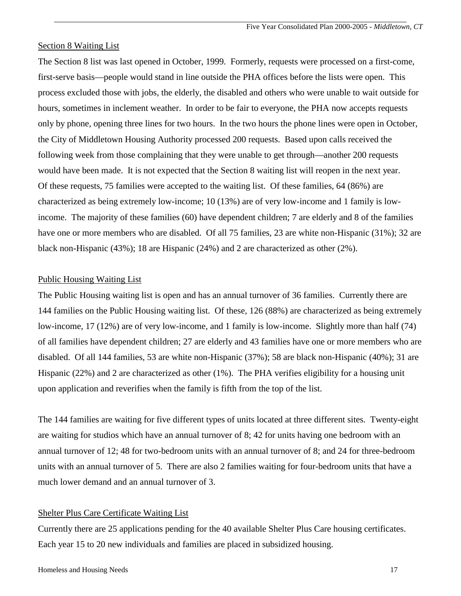#### Section 8 Waiting List

The Section 8 list was last opened in October, 1999. Formerly, requests were processed on a first-come, first-serve basis—people would stand in line outside the PHA offices before the lists were open. This process excluded those with jobs, the elderly, the disabled and others who were unable to wait outside for hours, sometimes in inclement weather. In order to be fair to everyone, the PHA now accepts requests only by phone, opening three lines for two hours. In the two hours the phone lines were open in October, the City of Middletown Housing Authority processed 200 requests. Based upon calls received the following week from those complaining that they were unable to get through—another 200 requests would have been made. It is not expected that the Section 8 waiting list will reopen in the next year. Of these requests, 75 families were accepted to the waiting list. Of these families, 64 (86%) are characterized as being extremely low-income; 10 (13%) are of very low-income and 1 family is lowincome. The majority of these families (60) have dependent children; 7 are elderly and 8 of the families have one or more members who are disabled. Of all 75 families, 23 are white non-Hispanic (31%); 32 are black non-Hispanic (43%); 18 are Hispanic (24%) and 2 are characterized as other (2%).

## Public Housing Waiting List

The Public Housing waiting list is open and has an annual turnover of 36 families. Currently there are 144 families on the Public Housing waiting list. Of these, 126 (88%) are characterized as being extremely low-income, 17 (12%) are of very low-income, and 1 family is low-income. Slightly more than half (74) of all families have dependent children; 27 are elderly and 43 families have one or more members who are disabled. Of all 144 families, 53 are white non-Hispanic (37%); 58 are black non-Hispanic (40%); 31 are Hispanic (22%) and 2 are characterized as other (1%). The PHA verifies eligibility for a housing unit upon application and reverifies when the family is fifth from the top of the list.

The 144 families are waiting for five different types of units located at three different sites. Twenty-eight are waiting for studios which have an annual turnover of 8; 42 for units having one bedroom with an annual turnover of 12; 48 for two-bedroom units with an annual turnover of 8; and 24 for three-bedroom units with an annual turnover of 5. There are also 2 families waiting for four-bedroom units that have a much lower demand and an annual turnover of 3.

#### Shelter Plus Care Certificate Waiting List

Currently there are 25 applications pending for the 40 available Shelter Plus Care housing certificates. Each year 15 to 20 new individuals and families are placed in subsidized housing.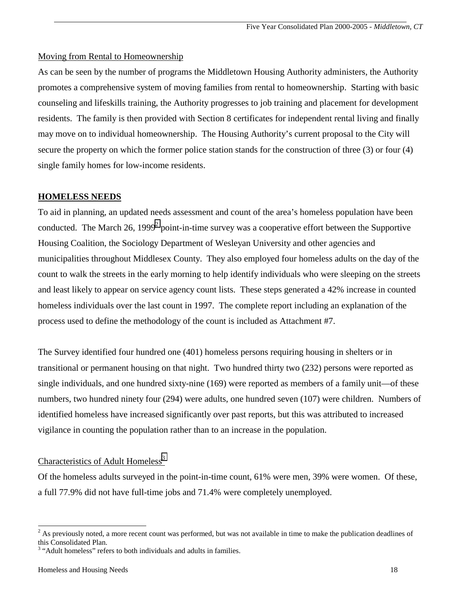# Moving from Rental to Homeownership

As can be seen by the number of programs the Middletown Housing Authority administers, the Authority promotes a comprehensive system of moving families from rental to homeownership. Starting with basic counseling and lifeskills training, the Authority progresses to job training and placement for development residents. The family is then provided with Section 8 certificates for independent rental living and finally may move on to individual homeownership. The Housing Authority's current proposal to the City will secure the property on which the former police station stands for the construction of three (3) or four (4) single family homes for low-income residents.

# **HOMELESS NEEDS**

To aid in planning, an updated needs assessment and count of the area's homeless population have been conducted. The March 26, 1999<sup>2</sup> point-in-time survey was a cooperative effort between the Supportive Housing Coalition, the Sociology Department of Wesleyan University and other agencies and municipalities throughout Middlesex County. They also employed four homeless adults on the day of the count to walk the streets in the early morning to help identify individuals who were sleeping on the streets and least likely to appear on service agency count lists. These steps generated a 42% increase in counted homeless individuals over the last count in 1997. The complete report including an explanation of the process used to define the methodology of the count is included as Attachment #7.

The Survey identified four hundred one (401) homeless persons requiring housing in shelters or in transitional or permanent housing on that night. Two hundred thirty two (232) persons were reported as single individuals, and one hundred sixty-nine (169) were reported as members of a family unit—of these numbers, two hundred ninety four (294) were adults, one hundred seven (107) were children. Numbers of identified homeless have increased significantly over past reports, but this was attributed to increased vigilance in counting the population rather than to an increase in the population.

# Characteristics of Adult Homeless<sup>3</sup>

Of the homeless adults surveyed in the point-in-time count, 61% were men, 39% were women. Of these, a full 77.9% did not have full-time jobs and 71.4% were completely unemployed.

l

 $2^2$  As previously noted, a more recent count was performed, but was not available in time to make the publication deadlines of this Consolidated Plan.

<sup>&</sup>lt;sup>3</sup> "Adult homeless" refers to both individuals and adults in families.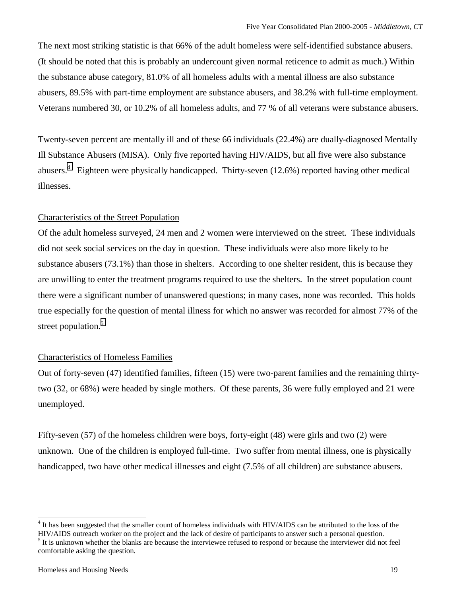The next most striking statistic is that 66% of the adult homeless were self-identified substance abusers. (It should be noted that this is probably an undercount given normal reticence to admit as much.) Within the substance abuse category, 81.0% of all homeless adults with a mental illness are also substance abusers, 89.5% with part-time employment are substance abusers, and 38.2% with full-time employment. Veterans numbered 30, or 10.2% of all homeless adults, and 77 % of all veterans were substance abusers.

Twenty-seven percent are mentally ill and of these 66 individuals (22.4%) are dually-diagnosed Mentally Ill Substance Abusers (MISA). Only five reported having HIV/AIDS, but all five were also substance abusers.<sup>4</sup> Eighteen were physically handicapped. Thirty-seven (12.6%) reported having other medical illnesses.

# Characteristics of the Street Population

Of the adult homeless surveyed, 24 men and 2 women were interviewed on the street. These individuals did not seek social services on the day in question. These individuals were also more likely to be substance abusers (73.1%) than those in shelters. According to one shelter resident, this is because they are unwilling to enter the treatment programs required to use the shelters. In the street population count there were a significant number of unanswered questions; in many cases, none was recorded. This holds true especially for the question of mental illness for which no answer was recorded for almost 77% of the street population.<sup>5</sup>

# Characteristics of Homeless Families

Out of forty-seven (47) identified families, fifteen (15) were two-parent families and the remaining thirtytwo (32, or 68%) were headed by single mothers. Of these parents, 36 were fully employed and 21 were unemployed.

Fifty-seven (57) of the homeless children were boys, forty-eight (48) were girls and two (2) were unknown. One of the children is employed full-time. Two suffer from mental illness, one is physically handicapped, two have other medical illnesses and eight (7.5% of all children) are substance abusers.

l

<sup>&</sup>lt;sup>4</sup> It has been suggested that the smaller count of homeless individuals with HIV/AIDS can be attributed to the loss of the HIV/AIDS outreach worker on the project and the lack of desire of participants to answer such a personal question. <sup>5</sup> It is unknown whether the blanks are because the interviewee refused to respond or because the interviewer did not feel comfortable asking the question.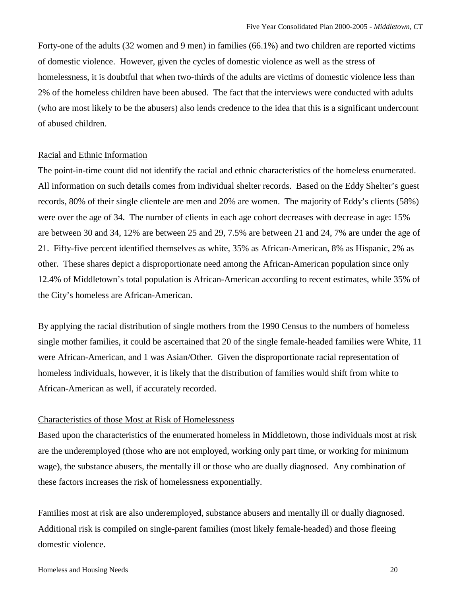Forty-one of the adults (32 women and 9 men) in families (66.1%) and two children are reported victims of domestic violence. However, given the cycles of domestic violence as well as the stress of homelessness, it is doubtful that when two-thirds of the adults are victims of domestic violence less than 2% of the homeless children have been abused. The fact that the interviews were conducted with adults (who are most likely to be the abusers) also lends credence to the idea that this is a significant undercount of abused children.

#### Racial and Ethnic Information

The point-in-time count did not identify the racial and ethnic characteristics of the homeless enumerated. All information on such details comes from individual shelter records. Based on the Eddy Shelter's guest records, 80% of their single clientele are men and 20% are women. The majority of Eddy's clients (58%) were over the age of 34. The number of clients in each age cohort decreases with decrease in age: 15% are between 30 and 34, 12% are between 25 and 29, 7.5% are between 21 and 24, 7% are under the age of 21. Fifty-five percent identified themselves as white, 35% as African-American, 8% as Hispanic, 2% as other. These shares depict a disproportionate need among the African-American population since only 12.4% of Middletown's total population is African-American according to recent estimates, while 35% of the City's homeless are African-American.

By applying the racial distribution of single mothers from the 1990 Census to the numbers of homeless single mother families, it could be ascertained that 20 of the single female-headed families were White, 11 were African-American, and 1 was Asian/Other. Given the disproportionate racial representation of homeless individuals, however, it is likely that the distribution of families would shift from white to African-American as well, if accurately recorded.

# Characteristics of those Most at Risk of Homelessness

Based upon the characteristics of the enumerated homeless in Middletown, those individuals most at risk are the underemployed (those who are not employed, working only part time, or working for minimum wage), the substance abusers, the mentally ill or those who are dually diagnosed. Any combination of these factors increases the risk of homelessness exponentially.

Families most at risk are also underemployed, substance abusers and mentally ill or dually diagnosed. Additional risk is compiled on single-parent families (most likely female-headed) and those fleeing domestic violence.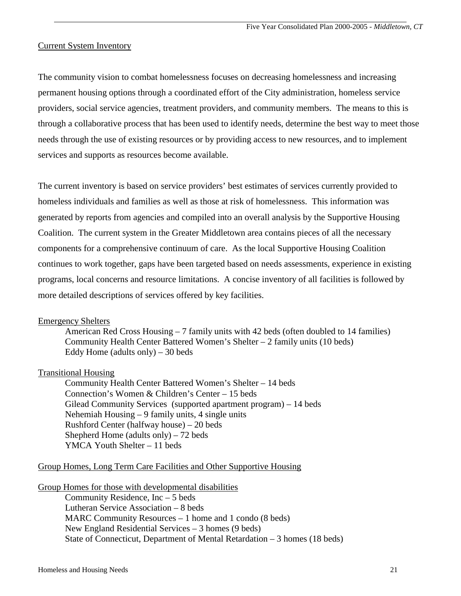# Current System Inventory

The community vision to combat homelessness focuses on decreasing homelessness and increasing permanent housing options through a coordinated effort of the City administration, homeless service providers, social service agencies, treatment providers, and community members. The means to this is through a collaborative process that has been used to identify needs, determine the best way to meet those needs through the use of existing resources or by providing access to new resources, and to implement services and supports as resources become available.

The current inventory is based on service providers' best estimates of services currently provided to homeless individuals and families as well as those at risk of homelessness. This information was generated by reports from agencies and compiled into an overall analysis by the Supportive Housing Coalition. The current system in the Greater Middletown area contains pieces of all the necessary components for a comprehensive continuum of care. As the local Supportive Housing Coalition continues to work together, gaps have been targeted based on needs assessments, experience in existing programs, local concerns and resource limitations. A concise inventory of all facilities is followed by more detailed descriptions of services offered by key facilities.

# Emergency Shelters

 American Red Cross Housing – 7 family units with 42 beds (often doubled to 14 families) Community Health Center Battered Women's Shelter  $-2$  family units (10 beds) Eddy Home (adults only)  $-30$  beds

# Transitional Housing

 Community Health Center Battered Women's Shelter – 14 beds Connection's Women & Children's Center – 15 beds Gilead Community Services (supported apartment program) – 14 beds Nehemiah Housing – 9 family units, 4 single units Rushford Center (halfway house) – 20 beds Shepherd Home (adults only) – 72 beds YMCA Youth Shelter – 11 beds

#### Group Homes, Long Term Care Facilities and Other Supportive Housing

Group Homes for those with developmental disabilities

 Community Residence, Inc – 5 beds Lutheran Service Association – 8 beds MARC Community Resources – 1 home and 1 condo (8 beds) New England Residential Services – 3 homes (9 beds) State of Connecticut, Department of Mental Retardation – 3 homes (18 beds)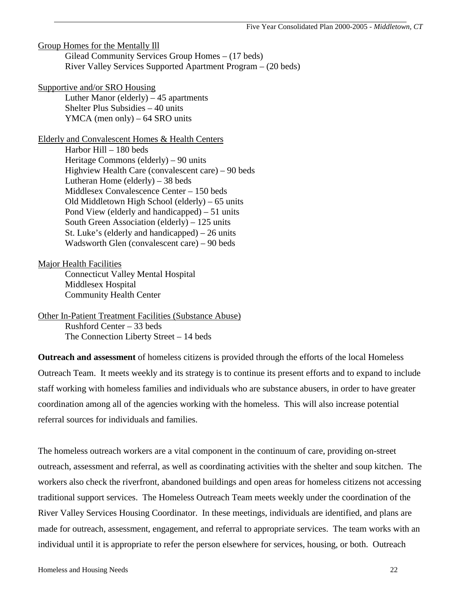Group Homes for the Mentally Ill Gilead Community Services Group Homes – (17 beds) River Valley Services Supported Apartment Program – (20 beds)

Supportive and/or SRO Housing

Luther Manor (elderly)  $-45$  apartments Shelter Plus Subsidies – 40 units YMCA (men only) – 64 SRO units

Elderly and Convalescent Homes & Health Centers Harbor Hill – 180 beds Heritage Commons (elderly) – 90 units Highview Health Care (convalescent care) – 90 beds Lutheran Home (elderly)  $-38$  beds Middlesex Convalescence Center – 150 beds Old Middletown High School (elderly) – 65 units Pond View (elderly and handicapped) – 51 units South Green Association (elderly) – 125 units St. Luke's (elderly and handicapped) – 26 units Wadsworth Glen (convalescent care) – 90 beds

Major Health Facilities Connecticut Valley Mental Hospital Middlesex Hospital Community Health Center

Other In-Patient Treatment Facilities (Substance Abuse) Rushford Center – 33 beds The Connection Liberty Street – 14 beds

**Outreach and assessment** of homeless citizens is provided through the efforts of the local Homeless Outreach Team. It meets weekly and its strategy is to continue its present efforts and to expand to include staff working with homeless families and individuals who are substance abusers, in order to have greater coordination among all of the agencies working with the homeless. This will also increase potential referral sources for individuals and families.

The homeless outreach workers are a vital component in the continuum of care, providing on-street outreach, assessment and referral, as well as coordinating activities with the shelter and soup kitchen. The workers also check the riverfront, abandoned buildings and open areas for homeless citizens not accessing traditional support services. The Homeless Outreach Team meets weekly under the coordination of the River Valley Services Housing Coordinator. In these meetings, individuals are identified, and plans are made for outreach, assessment, engagement, and referral to appropriate services. The team works with an individual until it is appropriate to refer the person elsewhere for services, housing, or both. Outreach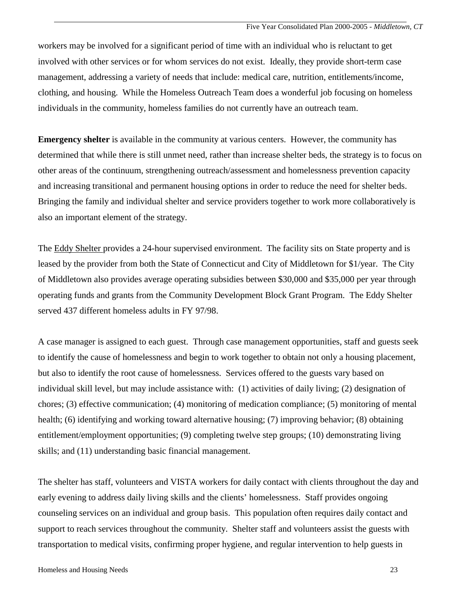workers may be involved for a significant period of time with an individual who is reluctant to get involved with other services or for whom services do not exist. Ideally, they provide short-term case management, addressing a variety of needs that include: medical care, nutrition, entitlements/income, clothing, and housing. While the Homeless Outreach Team does a wonderful job focusing on homeless individuals in the community, homeless families do not currently have an outreach team.

**Emergency shelter** is available in the community at various centers. However, the community has determined that while there is still unmet need, rather than increase shelter beds, the strategy is to focus on other areas of the continuum, strengthening outreach/assessment and homelessness prevention capacity and increasing transitional and permanent housing options in order to reduce the need for shelter beds. Bringing the family and individual shelter and service providers together to work more collaboratively is also an important element of the strategy.

The Eddy Shelter provides a 24-hour supervised environment. The facility sits on State property and is leased by the provider from both the State of Connecticut and City of Middletown for \$1/year. The City of Middletown also provides average operating subsidies between \$30,000 and \$35,000 per year through operating funds and grants from the Community Development Block Grant Program. The Eddy Shelter served 437 different homeless adults in FY 97/98.

A case manager is assigned to each guest. Through case management opportunities, staff and guests seek to identify the cause of homelessness and begin to work together to obtain not only a housing placement, but also to identify the root cause of homelessness. Services offered to the guests vary based on individual skill level, but may include assistance with: (1) activities of daily living; (2) designation of chores; (3) effective communication; (4) monitoring of medication compliance; (5) monitoring of mental health; (6) identifying and working toward alternative housing; (7) improving behavior; (8) obtaining entitlement/employment opportunities; (9) completing twelve step groups; (10) demonstrating living skills; and (11) understanding basic financial management.

The shelter has staff, volunteers and VISTA workers for daily contact with clients throughout the day and early evening to address daily living skills and the clients' homelessness. Staff provides ongoing counseling services on an individual and group basis. This population often requires daily contact and support to reach services throughout the community. Shelter staff and volunteers assist the guests with transportation to medical visits, confirming proper hygiene, and regular intervention to help guests in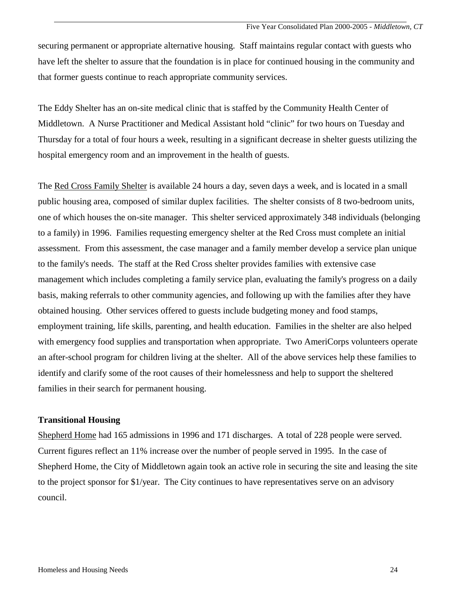securing permanent or appropriate alternative housing. Staff maintains regular contact with guests who have left the shelter to assure that the foundation is in place for continued housing in the community and that former guests continue to reach appropriate community services.

The Eddy Shelter has an on-site medical clinic that is staffed by the Community Health Center of Middletown. A Nurse Practitioner and Medical Assistant hold "clinic" for two hours on Tuesday and Thursday for a total of four hours a week, resulting in a significant decrease in shelter guests utilizing the hospital emergency room and an improvement in the health of guests.

The Red Cross Family Shelter is available 24 hours a day, seven days a week, and is located in a small public housing area, composed of similar duplex facilities. The shelter consists of 8 two-bedroom units, one of which houses the on-site manager. This shelter serviced approximately 348 individuals (belonging to a family) in 1996. Families requesting emergency shelter at the Red Cross must complete an initial assessment. From this assessment, the case manager and a family member develop a service plan unique to the family's needs. The staff at the Red Cross shelter provides families with extensive case management which includes completing a family service plan, evaluating the family's progress on a daily basis, making referrals to other community agencies, and following up with the families after they have obtained housing. Other services offered to guests include budgeting money and food stamps, employment training, life skills, parenting, and health education. Families in the shelter are also helped with emergency food supplies and transportation when appropriate. Two AmeriCorps volunteers operate an after-school program for children living at the shelter. All of the above services help these families to identify and clarify some of the root causes of their homelessness and help to support the sheltered families in their search for permanent housing.

#### **Transitional Housing**

Shepherd Home had 165 admissions in 1996 and 171 discharges. A total of 228 people were served. Current figures reflect an 11% increase over the number of people served in 1995. In the case of Shepherd Home, the City of Middletown again took an active role in securing the site and leasing the site to the project sponsor for \$1/year. The City continues to have representatives serve on an advisory council.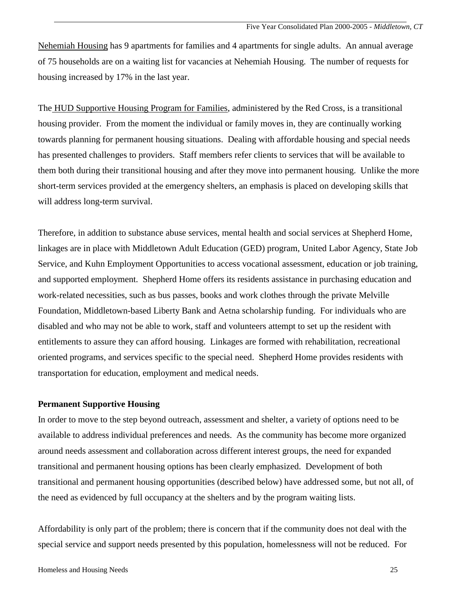Nehemiah Housing has 9 apartments for families and 4 apartments for single adults. An annual average of 75 households are on a waiting list for vacancies at Nehemiah Housing. The number of requests for housing increased by 17% in the last year.

The HUD Supportive Housing Program for Families, administered by the Red Cross, is a transitional housing provider. From the moment the individual or family moves in, they are continually working towards planning for permanent housing situations. Dealing with affordable housing and special needs has presented challenges to providers. Staff members refer clients to services that will be available to them both during their transitional housing and after they move into permanent housing. Unlike the more short-term services provided at the emergency shelters, an emphasis is placed on developing skills that will address long-term survival.

Therefore, in addition to substance abuse services, mental health and social services at Shepherd Home, linkages are in place with Middletown Adult Education (GED) program, United Labor Agency, State Job Service, and Kuhn Employment Opportunities to access vocational assessment, education or job training, and supported employment. Shepherd Home offers its residents assistance in purchasing education and work-related necessities, such as bus passes, books and work clothes through the private Melville Foundation, Middletown-based Liberty Bank and Aetna scholarship funding. For individuals who are disabled and who may not be able to work, staff and volunteers attempt to set up the resident with entitlements to assure they can afford housing. Linkages are formed with rehabilitation, recreational oriented programs, and services specific to the special need. Shepherd Home provides residents with transportation for education, employment and medical needs.

# **Permanent Supportive Housing**

In order to move to the step beyond outreach, assessment and shelter, a variety of options need to be available to address individual preferences and needs. As the community has become more organized around needs assessment and collaboration across different interest groups, the need for expanded transitional and permanent housing options has been clearly emphasized. Development of both transitional and permanent housing opportunities (described below) have addressed some, but not all, of the need as evidenced by full occupancy at the shelters and by the program waiting lists.

Affordability is only part of the problem; there is concern that if the community does not deal with the special service and support needs presented by this population, homelessness will not be reduced. For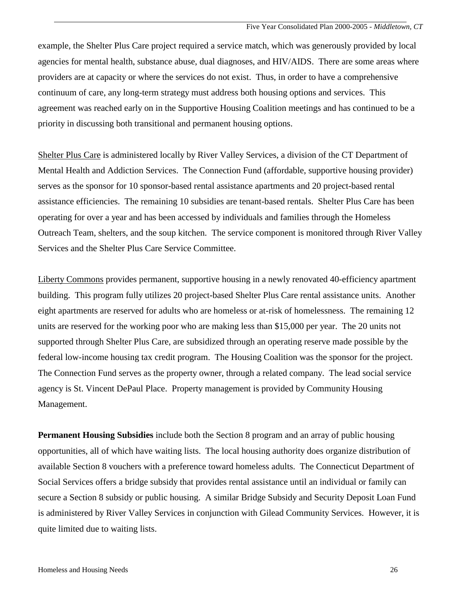Five Year Consolidated Plan 2000-2005 - *Middletown, CT*

example, the Shelter Plus Care project required a service match, which was generously provided by local agencies for mental health, substance abuse, dual diagnoses, and HIV/AIDS. There are some areas where providers are at capacity or where the services do not exist. Thus, in order to have a comprehensive continuum of care, any long-term strategy must address both housing options and services. This agreement was reached early on in the Supportive Housing Coalition meetings and has continued to be a priority in discussing both transitional and permanent housing options.

Shelter Plus Care is administered locally by River Valley Services, a division of the CT Department of Mental Health and Addiction Services. The Connection Fund (affordable, supportive housing provider) serves as the sponsor for 10 sponsor-based rental assistance apartments and 20 project-based rental assistance efficiencies. The remaining 10 subsidies are tenant-based rentals. Shelter Plus Care has been operating for over a year and has been accessed by individuals and families through the Homeless Outreach Team, shelters, and the soup kitchen. The service component is monitored through River Valley Services and the Shelter Plus Care Service Committee.

Liberty Commons provides permanent, supportive housing in a newly renovated 40-efficiency apartment building. This program fully utilizes 20 project-based Shelter Plus Care rental assistance units. Another eight apartments are reserved for adults who are homeless or at-risk of homelessness. The remaining 12 units are reserved for the working poor who are making less than \$15,000 per year. The 20 units not supported through Shelter Plus Care, are subsidized through an operating reserve made possible by the federal low-income housing tax credit program. The Housing Coalition was the sponsor for the project. The Connection Fund serves as the property owner, through a related company. The lead social service agency is St. Vincent DePaul Place. Property management is provided by Community Housing Management.

**Permanent Housing Subsidies** include both the Section 8 program and an array of public housing opportunities, all of which have waiting lists. The local housing authority does organize distribution of available Section 8 vouchers with a preference toward homeless adults. The Connecticut Department of Social Services offers a bridge subsidy that provides rental assistance until an individual or family can secure a Section 8 subsidy or public housing. A similar Bridge Subsidy and Security Deposit Loan Fund is administered by River Valley Services in conjunction with Gilead Community Services. However, it is quite limited due to waiting lists.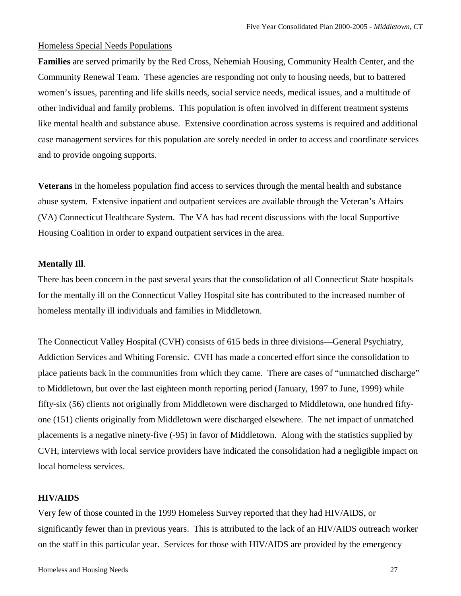# Homeless Special Needs Populations

**Families** are served primarily by the Red Cross, Nehemiah Housing, Community Health Center, and the Community Renewal Team. These agencies are responding not only to housing needs, but to battered women's issues, parenting and life skills needs, social service needs, medical issues, and a multitude of other individual and family problems. This population is often involved in different treatment systems like mental health and substance abuse. Extensive coordination across systems is required and additional case management services for this population are sorely needed in order to access and coordinate services and to provide ongoing supports.

**Veterans** in the homeless population find access to services through the mental health and substance abuse system. Extensive inpatient and outpatient services are available through the Veteran's Affairs (VA) Connecticut Healthcare System. The VA has had recent discussions with the local Supportive Housing Coalition in order to expand outpatient services in the area.

#### **Mentally Ill**.

There has been concern in the past several years that the consolidation of all Connecticut State hospitals for the mentally ill on the Connecticut Valley Hospital site has contributed to the increased number of homeless mentally ill individuals and families in Middletown.

The Connecticut Valley Hospital (CVH) consists of 615 beds in three divisions—General Psychiatry, Addiction Services and Whiting Forensic. CVH has made a concerted effort since the consolidation to place patients back in the communities from which they came. There are cases of "unmatched discharge" to Middletown, but over the last eighteen month reporting period (January, 1997 to June, 1999) while fifty-six (56) clients not originally from Middletown were discharged to Middletown, one hundred fiftyone (151) clients originally from Middletown were discharged elsewhere. The net impact of unmatched placements is a negative ninety-five (-95) in favor of Middletown. Along with the statistics supplied by CVH, interviews with local service providers have indicated the consolidation had a negligible impact on local homeless services.

### **HIV/AIDS**

Very few of those counted in the 1999 Homeless Survey reported that they had HIV/AIDS, or significantly fewer than in previous years. This is attributed to the lack of an HIV/AIDS outreach worker on the staff in this particular year. Services for those with HIV/AIDS are provided by the emergency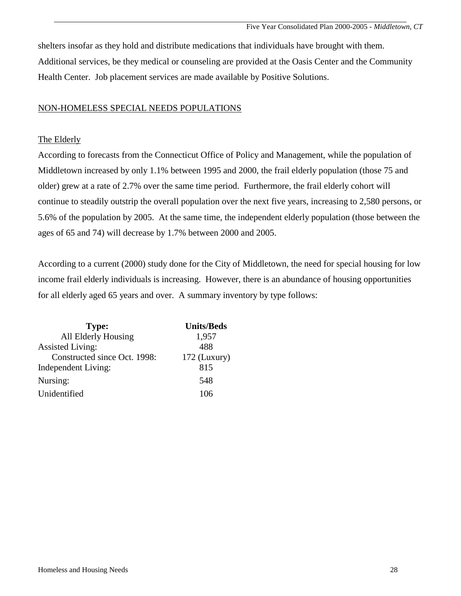shelters insofar as they hold and distribute medications that individuals have brought with them. Additional services, be they medical or counseling are provided at the Oasis Center and the Community Health Center. Job placement services are made available by Positive Solutions.

# NON-HOMELESS SPECIAL NEEDS POPULATIONS

# The Elderly

According to forecasts from the Connecticut Office of Policy and Management, while the population of Middletown increased by only 1.1% between 1995 and 2000, the frail elderly population (those 75 and older) grew at a rate of 2.7% over the same time period. Furthermore, the frail elderly cohort will continue to steadily outstrip the overall population over the next five years, increasing to 2,580 persons, or 5.6% of the population by 2005. At the same time, the independent elderly population (those between the ages of 65 and 74) will decrease by 1.7% between 2000 and 2005.

According to a current (2000) study done for the City of Middletown, the need for special housing for low income frail elderly individuals is increasing. However, there is an abundance of housing opportunities for all elderly aged 65 years and over. A summary inventory by type follows:

| <b>Type:</b>                 | <b>Units/Beds</b> |
|------------------------------|-------------------|
| All Elderly Housing          | 1,957             |
| <b>Assisted Living:</b>      | 488               |
| Constructed since Oct. 1998: | $172$ (Luxury)    |
| <b>Independent Living:</b>   | 815               |
| Nursing:                     | 548               |
| Unidentified                 | 106               |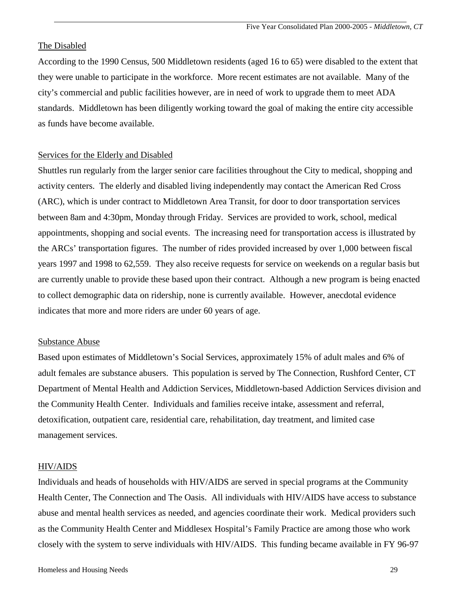#### The Disabled

According to the 1990 Census, 500 Middletown residents (aged 16 to 65) were disabled to the extent that they were unable to participate in the workforce. More recent estimates are not available. Many of the city's commercial and public facilities however, are in need of work to upgrade them to meet ADA standards. Middletown has been diligently working toward the goal of making the entire city accessible as funds have become available.

#### Services for the Elderly and Disabled

Shuttles run regularly from the larger senior care facilities throughout the City to medical, shopping and activity centers. The elderly and disabled living independently may contact the American Red Cross (ARC), which is under contract to Middletown Area Transit, for door to door transportation services between 8am and 4:30pm, Monday through Friday. Services are provided to work, school, medical appointments, shopping and social events. The increasing need for transportation access is illustrated by the ARCs' transportation figures. The number of rides provided increased by over 1,000 between fiscal years 1997 and 1998 to 62,559. They also receive requests for service on weekends on a regular basis but are currently unable to provide these based upon their contract. Although a new program is being enacted to collect demographic data on ridership, none is currently available. However, anecdotal evidence indicates that more and more riders are under 60 years of age.

#### Substance Abuse

Based upon estimates of Middletown's Social Services, approximately 15% of adult males and 6% of adult females are substance abusers. This population is served by The Connection, Rushford Center, CT Department of Mental Health and Addiction Services, Middletown-based Addiction Services division and the Community Health Center. Individuals and families receive intake, assessment and referral, detoxification, outpatient care, residential care, rehabilitation, day treatment, and limited case management services.

#### HIV/AIDS

Individuals and heads of households with HIV/AIDS are served in special programs at the Community Health Center, The Connection and The Oasis. All individuals with HIV/AIDS have access to substance abuse and mental health services as needed, and agencies coordinate their work. Medical providers such as the Community Health Center and Middlesex Hospital's Family Practice are among those who work closely with the system to serve individuals with HIV/AIDS. This funding became available in FY 96-97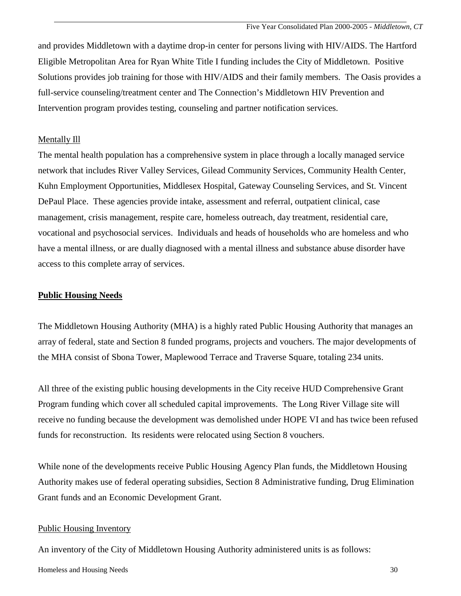and provides Middletown with a daytime drop-in center for persons living with HIV/AIDS. The Hartford Eligible Metropolitan Area for Ryan White Title I funding includes the City of Middletown. Positive Solutions provides job training for those with HIV/AIDS and their family members. The Oasis provides a full-service counseling/treatment center and The Connection's Middletown HIV Prevention and Intervention program provides testing, counseling and partner notification services.

# Mentally Ill

The mental health population has a comprehensive system in place through a locally managed service network that includes River Valley Services, Gilead Community Services, Community Health Center, Kuhn Employment Opportunities, Middlesex Hospital, Gateway Counseling Services, and St. Vincent DePaul Place. These agencies provide intake, assessment and referral, outpatient clinical, case management, crisis management, respite care, homeless outreach, day treatment, residential care, vocational and psychosocial services. Individuals and heads of households who are homeless and who have a mental illness, or are dually diagnosed with a mental illness and substance abuse disorder have access to this complete array of services.

## **Public Housing Needs**

The Middletown Housing Authority (MHA) is a highly rated Public Housing Authority that manages an array of federal, state and Section 8 funded programs, projects and vouchers. The major developments of the MHA consist of Sbona Tower, Maplewood Terrace and Traverse Square, totaling 234 units.

All three of the existing public housing developments in the City receive HUD Comprehensive Grant Program funding which cover all scheduled capital improvements. The Long River Village site will receive no funding because the development was demolished under HOPE VI and has twice been refused funds for reconstruction. Its residents were relocated using Section 8 vouchers.

While none of the developments receive Public Housing Agency Plan funds, the Middletown Housing Authority makes use of federal operating subsidies, Section 8 Administrative funding, Drug Elimination Grant funds and an Economic Development Grant.

## Public Housing Inventory

An inventory of the City of Middletown Housing Authority administered units is as follows:

Homeless and Housing Needs 30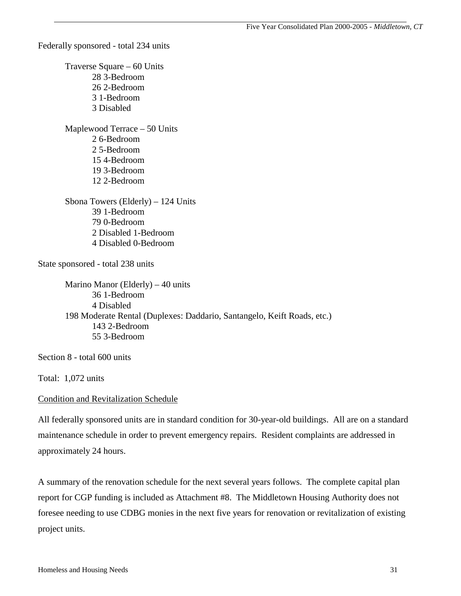Federally sponsored - total 234 units

 Traverse Square – 60 Units 28 3-Bedroom 26 2-Bedroom 3 1-Bedroom 3 Disabled Maplewood Terrace – 50 Units 2 6-Bedroom 2 5-Bedroom 15 4-Bedroom 19 3-Bedroom 12 2-Bedroom Sbona Towers (Elderly) – 124 Units 39 1-Bedroom 79 0-Bedroom 2 Disabled 1-Bedroom 4 Disabled 0-Bedroom State sponsored - total 238 units

 Marino Manor (Elderly) – 40 units 36 1-Bedroom 4 Disabled 198 Moderate Rental (Duplexes: Daddario, Santangelo, Keift Roads, etc.) 143 2-Bedroom 55 3-Bedroom

Section 8 - total 600 units

Total: 1,072 units

# Condition and Revitalization Schedule

All federally sponsored units are in standard condition for 30-year-old buildings. All are on a standard maintenance schedule in order to prevent emergency repairs. Resident complaints are addressed in approximately 24 hours.

A summary of the renovation schedule for the next several years follows. The complete capital plan report for CGP funding is included as Attachment #8. The Middletown Housing Authority does not foresee needing to use CDBG monies in the next five years for renovation or revitalization of existing project units.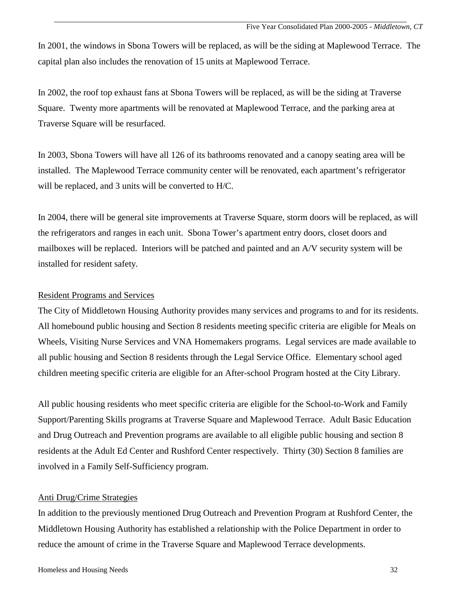In 2001, the windows in Sbona Towers will be replaced, as will be the siding at Maplewood Terrace. The capital plan also includes the renovation of 15 units at Maplewood Terrace.

In 2002, the roof top exhaust fans at Sbona Towers will be replaced, as will be the siding at Traverse Square. Twenty more apartments will be renovated at Maplewood Terrace, and the parking area at Traverse Square will be resurfaced.

In 2003, Sbona Towers will have all 126 of its bathrooms renovated and a canopy seating area will be installed. The Maplewood Terrace community center will be renovated, each apartment's refrigerator will be replaced, and 3 units will be converted to H/C.

In 2004, there will be general site improvements at Traverse Square, storm doors will be replaced, as will the refrigerators and ranges in each unit. Sbona Tower's apartment entry doors, closet doors and mailboxes will be replaced. Interiors will be patched and painted and an A/V security system will be installed for resident safety.

## Resident Programs and Services

The City of Middletown Housing Authority provides many services and programs to and for its residents. All homebound public housing and Section 8 residents meeting specific criteria are eligible for Meals on Wheels, Visiting Nurse Services and VNA Homemakers programs. Legal services are made available to all public housing and Section 8 residents through the Legal Service Office. Elementary school aged children meeting specific criteria are eligible for an After-school Program hosted at the City Library.

All public housing residents who meet specific criteria are eligible for the School-to-Work and Family Support/Parenting Skills programs at Traverse Square and Maplewood Terrace. Adult Basic Education and Drug Outreach and Prevention programs are available to all eligible public housing and section 8 residents at the Adult Ed Center and Rushford Center respectively. Thirty (30) Section 8 families are involved in a Family Self-Sufficiency program.

#### Anti Drug/Crime Strategies

In addition to the previously mentioned Drug Outreach and Prevention Program at Rushford Center, the Middletown Housing Authority has established a relationship with the Police Department in order to reduce the amount of crime in the Traverse Square and Maplewood Terrace developments.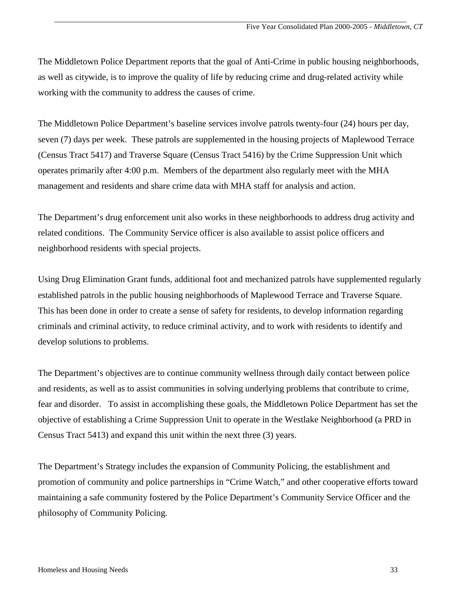The Middletown Police Department reports that the goal of Anti-Crime in public housing neighborhoods, as well as citywide, is to improve the quality of life by reducing crime and drug-related activity while working with the community to address the causes of crime.

The Middletown Police Department's baseline services involve patrols twenty-four (24) hours per day, seven (7) days per week. These patrols are supplemented in the housing projects of Maplewood Terrace (Census Tract 5417) and Traverse Square (Census Tract 5416) by the Crime Suppression Unit which operates primarily after 4:00 p.m. Members of the department also regularly meet with the MHA management and residents and share crime data with MHA staff for analysis and action.

The Department's drug enforcement unit also works in these neighborhoods to address drug activity and related conditions. The Community Service officer is also available to assist police officers and neighborhood residents with special projects.

Using Drug Elimination Grant funds, additional foot and mechanized patrols have supplemented regularly established patrols in the public housing neighborhoods of Maplewood Terrace and Traverse Square. This has been done in order to create a sense of safety for residents, to develop information regarding criminals and criminal activity, to reduce criminal activity, and to work with residents to identify and develop solutions to problems.

The Department's objectives are to continue community wellness through daily contact between police and residents, as well as to assist communities in solving underlying problems that contribute to crime, fear and disorder. To assist in accomplishing these goals, the Middletown Police Department has set the objective of establishing a Crime Suppression Unit to operate in the Westlake Neighborhood (a PRD in Census Tract 5413) and expand this unit within the next three (3) years.

The Department's Strategy includes the expansion of Community Policing, the establishment and promotion of community and police partnerships in "Crime Watch," and other cooperative efforts toward maintaining a safe community fostered by the Police Department's Community Service Officer and the philosophy of Community Policing.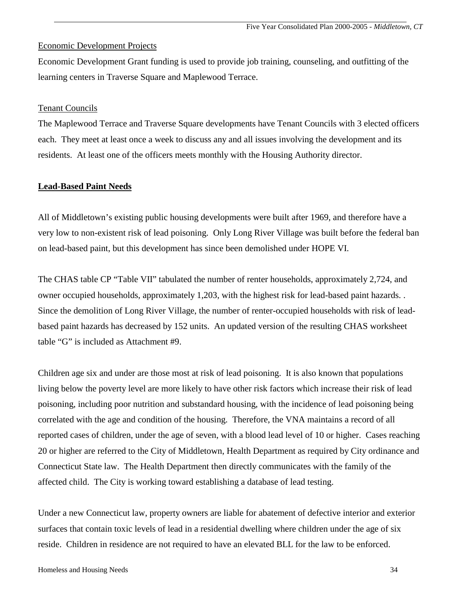#### Economic Development Projects

Economic Development Grant funding is used to provide job training, counseling, and outfitting of the learning centers in Traverse Square and Maplewood Terrace.

#### Tenant Councils

The Maplewood Terrace and Traverse Square developments have Tenant Councils with 3 elected officers each. They meet at least once a week to discuss any and all issues involving the development and its residents. At least one of the officers meets monthly with the Housing Authority director.

#### **Lead-Based Paint Needs**

All of Middletown's existing public housing developments were built after 1969, and therefore have a very low to non-existent risk of lead poisoning. Only Long River Village was built before the federal ban on lead-based paint, but this development has since been demolished under HOPE VI.

The CHAS table CP "Table VII" tabulated the number of renter households, approximately 2,724, and owner occupied households, approximately 1,203, with the highest risk for lead-based paint hazards. . Since the demolition of Long River Village, the number of renter-occupied households with risk of leadbased paint hazards has decreased by 152 units. An updated version of the resulting CHAS worksheet table "G" is included as Attachment #9.

Children age six and under are those most at risk of lead poisoning. It is also known that populations living below the poverty level are more likely to have other risk factors which increase their risk of lead poisoning, including poor nutrition and substandard housing, with the incidence of lead poisoning being correlated with the age and condition of the housing. Therefore, the VNA maintains a record of all reported cases of children, under the age of seven, with a blood lead level of 10 or higher. Cases reaching 20 or higher are referred to the City of Middletown, Health Department as required by City ordinance and Connecticut State law. The Health Department then directly communicates with the family of the affected child. The City is working toward establishing a database of lead testing.

Under a new Connecticut law, property owners are liable for abatement of defective interior and exterior surfaces that contain toxic levels of lead in a residential dwelling where children under the age of six reside. Children in residence are not required to have an elevated BLL for the law to be enforced.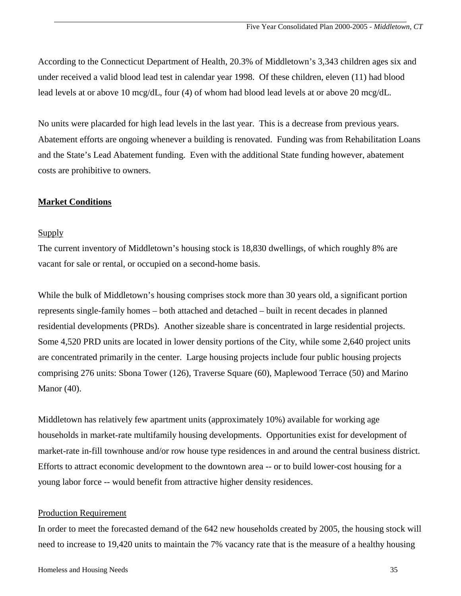According to the Connecticut Department of Health, 20.3% of Middletown's 3,343 children ages six and under received a valid blood lead test in calendar year 1998. Of these children, eleven (11) had blood lead levels at or above 10 mcg/dL, four (4) of whom had blood lead levels at or above 20 mcg/dL.

No units were placarded for high lead levels in the last year. This is a decrease from previous years. Abatement efforts are ongoing whenever a building is renovated. Funding was from Rehabilitation Loans and the State's Lead Abatement funding. Even with the additional State funding however, abatement costs are prohibitive to owners.

#### **Market Conditions**

#### Supply

The current inventory of Middletown's housing stock is 18,830 dwellings, of which roughly 8% are vacant for sale or rental, or occupied on a second-home basis.

While the bulk of Middletown's housing comprises stock more than 30 years old, a significant portion represents single-family homes – both attached and detached – built in recent decades in planned residential developments (PRDs). Another sizeable share is concentrated in large residential projects. Some 4,520 PRD units are located in lower density portions of the City, while some 2,640 project units are concentrated primarily in the center. Large housing projects include four public housing projects comprising 276 units: Sbona Tower (126), Traverse Square (60), Maplewood Terrace (50) and Marino Manor (40).

Middletown has relatively few apartment units (approximately 10%) available for working age households in market-rate multifamily housing developments. Opportunities exist for development of market-rate in-fill townhouse and/or row house type residences in and around the central business district. Efforts to attract economic development to the downtown area -- or to build lower-cost housing for a young labor force -- would benefit from attractive higher density residences.

#### Production Requirement

In order to meet the forecasted demand of the 642 new households created by 2005, the housing stock will need to increase to 19,420 units to maintain the 7% vacancy rate that is the measure of a healthy housing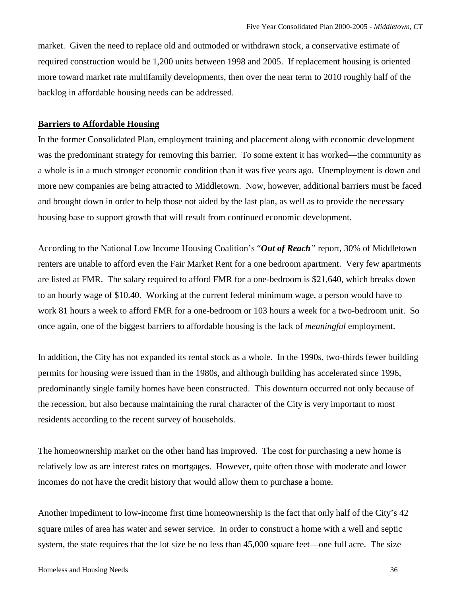market. Given the need to replace old and outmoded or withdrawn stock, a conservative estimate of required construction would be 1,200 units between 1998 and 2005. If replacement housing is oriented more toward market rate multifamily developments, then over the near term to 2010 roughly half of the backlog in affordable housing needs can be addressed.

#### **Barriers to Affordable Housing**

In the former Consolidated Plan, employment training and placement along with economic development was the predominant strategy for removing this barrier. To some extent it has worked—the community as a whole is in a much stronger economic condition than it was five years ago. Unemployment is down and more new companies are being attracted to Middletown. Now, however, additional barriers must be faced and brought down in order to help those not aided by the last plan, as well as to provide the necessary housing base to support growth that will result from continued economic development.

According to the National Low Income Housing Coalition's "*Out of Reach"* report, 30% of Middletown renters are unable to afford even the Fair Market Rent for a one bedroom apartment. Very few apartments are listed at FMR. The salary required to afford FMR for a one-bedroom is \$21,640, which breaks down to an hourly wage of \$10.40. Working at the current federal minimum wage, a person would have to work 81 hours a week to afford FMR for a one-bedroom or 103 hours a week for a two-bedroom unit. So once again, one of the biggest barriers to affordable housing is the lack of *meaningful* employment.

In addition, the City has not expanded its rental stock as a whole. In the 1990s, two-thirds fewer building permits for housing were issued than in the 1980s, and although building has accelerated since 1996, predominantly single family homes have been constructed. This downturn occurred not only because of the recession, but also because maintaining the rural character of the City is very important to most residents according to the recent survey of households.

The homeownership market on the other hand has improved. The cost for purchasing a new home is relatively low as are interest rates on mortgages. However, quite often those with moderate and lower incomes do not have the credit history that would allow them to purchase a home.

Another impediment to low-income first time homeownership is the fact that only half of the City's 42 square miles of area has water and sewer service. In order to construct a home with a well and septic system, the state requires that the lot size be no less than 45,000 square feet—one full acre. The size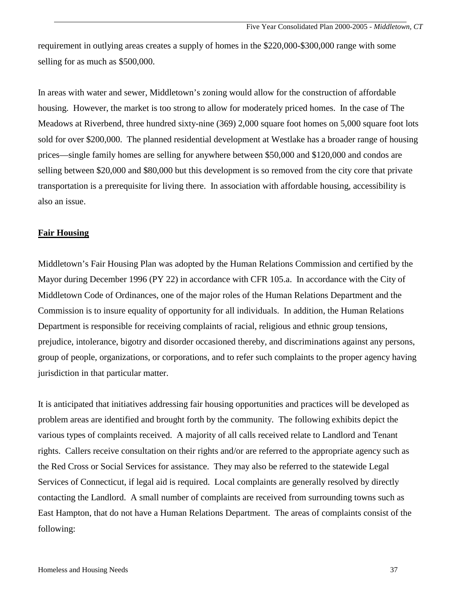requirement in outlying areas creates a supply of homes in the \$220,000-\$300,000 range with some selling for as much as \$500,000.

In areas with water and sewer, Middletown's zoning would allow for the construction of affordable housing. However, the market is too strong to allow for moderately priced homes. In the case of The Meadows at Riverbend, three hundred sixty-nine (369) 2,000 square foot homes on 5,000 square foot lots sold for over \$200,000. The planned residential development at Westlake has a broader range of housing prices—single family homes are selling for anywhere between \$50,000 and \$120,000 and condos are selling between \$20,000 and \$80,000 but this development is so removed from the city core that private transportation is a prerequisite for living there. In association with affordable housing, accessibility is also an issue.

#### **Fair Housing**

Middletown's Fair Housing Plan was adopted by the Human Relations Commission and certified by the Mayor during December 1996 (PY 22) in accordance with CFR 105.a. In accordance with the City of Middletown Code of Ordinances, one of the major roles of the Human Relations Department and the Commission is to insure equality of opportunity for all individuals. In addition, the Human Relations Department is responsible for receiving complaints of racial, religious and ethnic group tensions, prejudice, intolerance, bigotry and disorder occasioned thereby, and discriminations against any persons, group of people, organizations, or corporations, and to refer such complaints to the proper agency having jurisdiction in that particular matter.

It is anticipated that initiatives addressing fair housing opportunities and practices will be developed as problem areas are identified and brought forth by the community. The following exhibits depict the various types of complaints received. A majority of all calls received relate to Landlord and Tenant rights. Callers receive consultation on their rights and/or are referred to the appropriate agency such as the Red Cross or Social Services for assistance. They may also be referred to the statewide Legal Services of Connecticut, if legal aid is required. Local complaints are generally resolved by directly contacting the Landlord. A small number of complaints are received from surrounding towns such as East Hampton, that do not have a Human Relations Department. The areas of complaints consist of the following: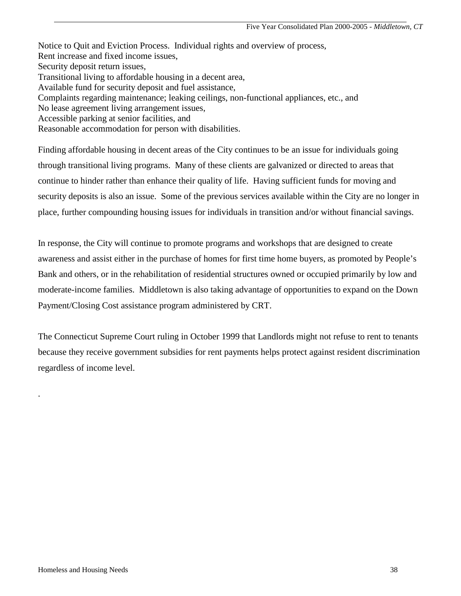Notice to Quit and Eviction Process. Individual rights and overview of process, Rent increase and fixed income issues, Security deposit return issues, Transitional living to affordable housing in a decent area, Available fund for security deposit and fuel assistance, Complaints regarding maintenance; leaking ceilings, non-functional appliances, etc., and No lease agreement living arrangement issues, Accessible parking at senior facilities, and Reasonable accommodation for person with disabilities.

Finding affordable housing in decent areas of the City continues to be an issue for individuals going through transitional living programs. Many of these clients are galvanized or directed to areas that continue to hinder rather than enhance their quality of life. Having sufficient funds for moving and security deposits is also an issue. Some of the previous services available within the City are no longer in place, further compounding housing issues for individuals in transition and/or without financial savings.

In response, the City will continue to promote programs and workshops that are designed to create awareness and assist either in the purchase of homes for first time home buyers, as promoted by People's Bank and others, or in the rehabilitation of residential structures owned or occupied primarily by low and moderate-income families. Middletown is also taking advantage of opportunities to expand on the Down Payment/Closing Cost assistance program administered by CRT.

The Connecticut Supreme Court ruling in October 1999 that Landlords might not refuse to rent to tenants because they receive government subsidies for rent payments helps protect against resident discrimination regardless of income level.

.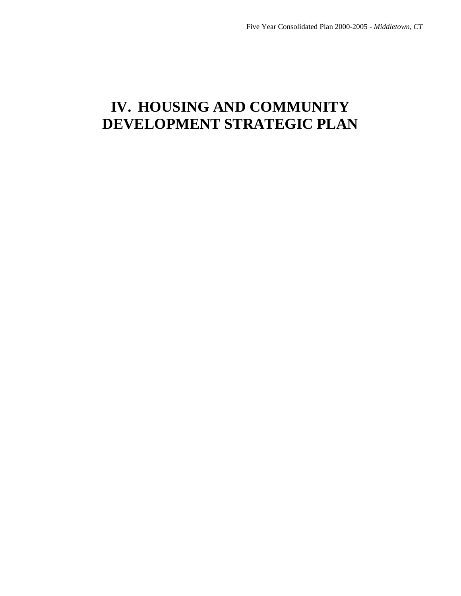# **IV. HOUSING AND COMMUNITY DEVELOPMENT STRATEGIC PLAN**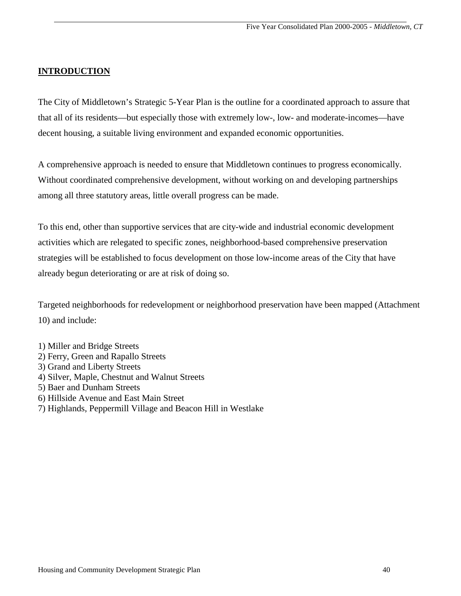#### **INTRODUCTION**

The City of Middletown's Strategic 5-Year Plan is the outline for a coordinated approach to assure that that all of its residents—but especially those with extremely low-, low- and moderate-incomes—have decent housing, a suitable living environment and expanded economic opportunities.

A comprehensive approach is needed to ensure that Middletown continues to progress economically. Without coordinated comprehensive development, without working on and developing partnerships among all three statutory areas, little overall progress can be made.

To this end, other than supportive services that are city-wide and industrial economic development activities which are relegated to specific zones, neighborhood-based comprehensive preservation strategies will be established to focus development on those low-income areas of the City that have already begun deteriorating or are at risk of doing so.

Targeted neighborhoods for redevelopment or neighborhood preservation have been mapped (Attachment 10) and include:

- 1) Miller and Bridge Streets
- 2) Ferry, Green and Rapallo Streets
- 3) Grand and Liberty Streets
- 4) Silver, Maple, Chestnut and Walnut Streets
- 5) Baer and Dunham Streets
- 6) Hillside Avenue and East Main Street
- 7) Highlands, Peppermill Village and Beacon Hill in Westlake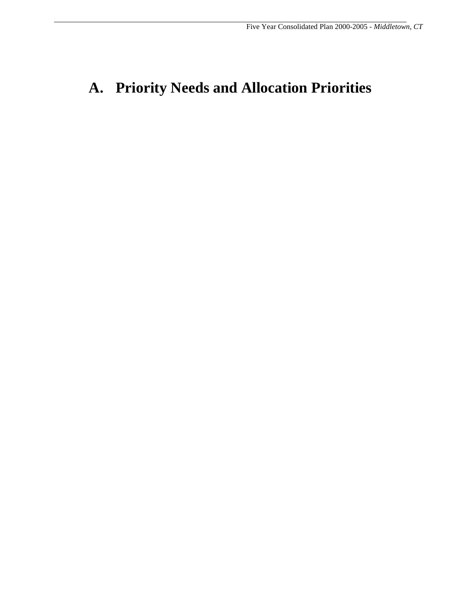# **A. Priority Needs and Allocation Priorities**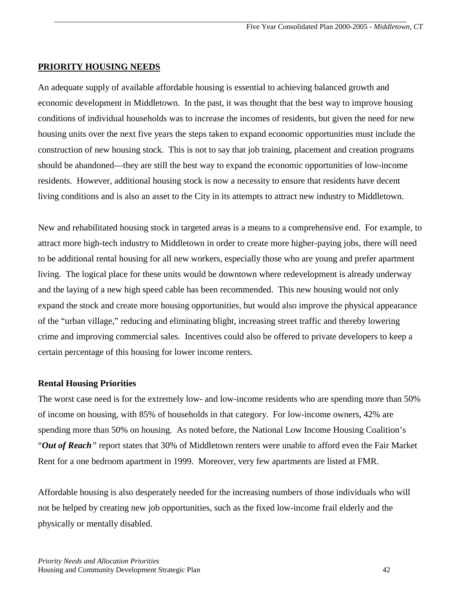#### **PRIORITY HOUSING NEEDS**

An adequate supply of available affordable housing is essential to achieving balanced growth and economic development in Middletown. In the past, it was thought that the best way to improve housing conditions of individual households was to increase the incomes of residents, but given the need for new housing units over the next five years the steps taken to expand economic opportunities must include the construction of new housing stock. This is not to say that job training, placement and creation programs should be abandoned—they are still the best way to expand the economic opportunities of low-income residents. However, additional housing stock is now a necessity to ensure that residents have decent living conditions and is also an asset to the City in its attempts to attract new industry to Middletown.

New and rehabilitated housing stock in targeted areas is a means to a comprehensive end. For example, to attract more high-tech industry to Middletown in order to create more higher-paying jobs, there will need to be additional rental housing for all new workers, especially those who are young and prefer apartment living. The logical place for these units would be downtown where redevelopment is already underway and the laying of a new high speed cable has been recommended. This new housing would not only expand the stock and create more housing opportunities, but would also improve the physical appearance of the "urban village," reducing and eliminating blight, increasing street traffic and thereby lowering crime and improving commercial sales. Incentives could also be offered to private developers to keep a certain percentage of this housing for lower income renters.

#### **Rental Housing Priorities**

The worst case need is for the extremely low- and low-income residents who are spending more than 50% of income on housing, with 85% of households in that category. For low-income owners, 42% are spending more than 50% on housing. As noted before, the National Low Income Housing Coalition's "*Out of Reach"* report states that 30% of Middletown renters were unable to afford even the Fair Market Rent for a one bedroom apartment in 1999. Moreover, very few apartments are listed at FMR.

Affordable housing is also desperately needed for the increasing numbers of those individuals who will not be helped by creating new job opportunities, such as the fixed low-income frail elderly and the physically or mentally disabled.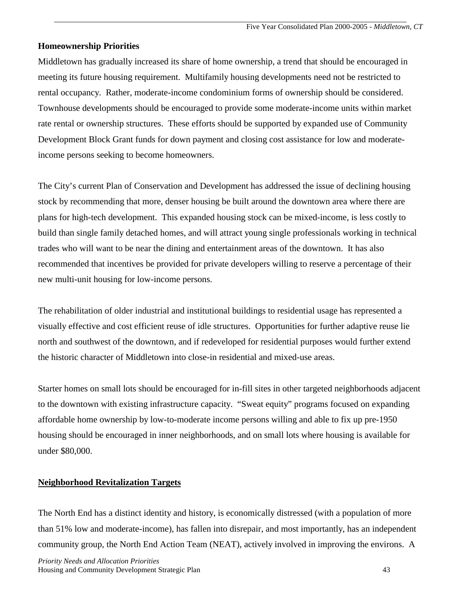### **Homeownership Priorities**

Middletown has gradually increased its share of home ownership, a trend that should be encouraged in meeting its future housing requirement. Multifamily housing developments need not be restricted to rental occupancy. Rather, moderate-income condominium forms of ownership should be considered. Townhouse developments should be encouraged to provide some moderate-income units within market rate rental or ownership structures. These efforts should be supported by expanded use of Community Development Block Grant funds for down payment and closing cost assistance for low and moderateincome persons seeking to become homeowners.

The City's current Plan of Conservation and Development has addressed the issue of declining housing stock by recommending that more, denser housing be built around the downtown area where there are plans for high-tech development. This expanded housing stock can be mixed-income, is less costly to build than single family detached homes, and will attract young single professionals working in technical trades who will want to be near the dining and entertainment areas of the downtown. It has also recommended that incentives be provided for private developers willing to reserve a percentage of their new multi-unit housing for low-income persons.

The rehabilitation of older industrial and institutional buildings to residential usage has represented a visually effective and cost efficient reuse of idle structures. Opportunities for further adaptive reuse lie north and southwest of the downtown, and if redeveloped for residential purposes would further extend the historic character of Middletown into close-in residential and mixed-use areas.

Starter homes on small lots should be encouraged for in-fill sites in other targeted neighborhoods adjacent to the downtown with existing infrastructure capacity. "Sweat equity" programs focused on expanding affordable home ownership by low-to-moderate income persons willing and able to fix up pre-1950 housing should be encouraged in inner neighborhoods, and on small lots where housing is available for under \$80,000.

## **Neighborhood Revitalization Targets**

The North End has a distinct identity and history, is economically distressed (with a population of more than 51% low and moderate-income), has fallen into disrepair, and most importantly, has an independent community group, the North End Action Team (NEAT), actively involved in improving the environs. A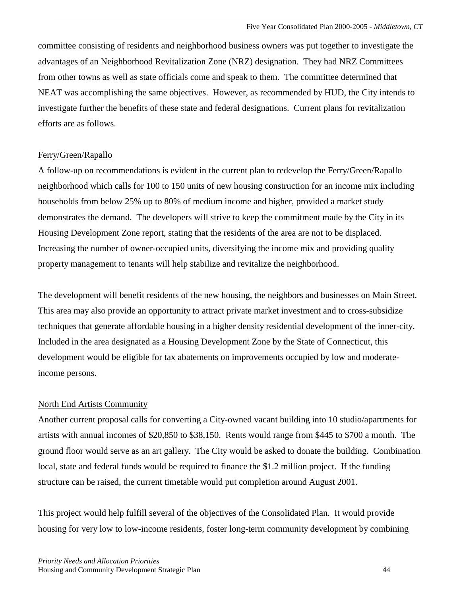committee consisting of residents and neighborhood business owners was put together to investigate the advantages of an Neighborhood Revitalization Zone (NRZ) designation. They had NRZ Committees from other towns as well as state officials come and speak to them. The committee determined that NEAT was accomplishing the same objectives. However, as recommended by HUD, the City intends to investigate further the benefits of these state and federal designations. Current plans for revitalization efforts are as follows.

### Ferry/Green/Rapallo

A follow-up on recommendations is evident in the current plan to redevelop the Ferry/Green/Rapallo neighborhood which calls for 100 to 150 units of new housing construction for an income mix including households from below 25% up to 80% of medium income and higher, provided a market study demonstrates the demand. The developers will strive to keep the commitment made by the City in its Housing Development Zone report, stating that the residents of the area are not to be displaced. Increasing the number of owner-occupied units, diversifying the income mix and providing quality property management to tenants will help stabilize and revitalize the neighborhood.

The development will benefit residents of the new housing, the neighbors and businesses on Main Street. This area may also provide an opportunity to attract private market investment and to cross-subsidize techniques that generate affordable housing in a higher density residential development of the inner-city. Included in the area designated as a Housing Development Zone by the State of Connecticut, this development would be eligible for tax abatements on improvements occupied by low and moderateincome persons.

## North End Artists Community

Another current proposal calls for converting a City-owned vacant building into 10 studio/apartments for artists with annual incomes of \$20,850 to \$38,150. Rents would range from \$445 to \$700 a month. The ground floor would serve as an art gallery. The City would be asked to donate the building. Combination local, state and federal funds would be required to finance the \$1.2 million project. If the funding structure can be raised, the current timetable would put completion around August 2001.

This project would help fulfill several of the objectives of the Consolidated Plan. It would provide housing for very low to low-income residents, foster long-term community development by combining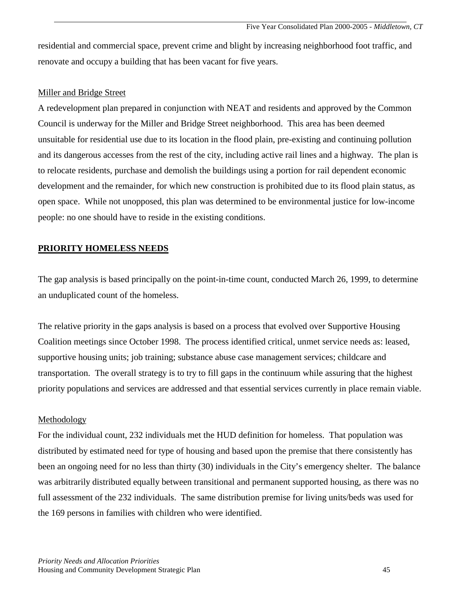residential and commercial space, prevent crime and blight by increasing neighborhood foot traffic, and renovate and occupy a building that has been vacant for five years.

#### Miller and Bridge Street

A redevelopment plan prepared in conjunction with NEAT and residents and approved by the Common Council is underway for the Miller and Bridge Street neighborhood. This area has been deemed unsuitable for residential use due to its location in the flood plain, pre-existing and continuing pollution and its dangerous accesses from the rest of the city, including active rail lines and a highway. The plan is to relocate residents, purchase and demolish the buildings using a portion for rail dependent economic development and the remainder, for which new construction is prohibited due to its flood plain status, as open space. While not unopposed, this plan was determined to be environmental justice for low-income people: no one should have to reside in the existing conditions.

### **PRIORITY HOMELESS NEEDS**

The gap analysis is based principally on the point-in-time count, conducted March 26, 1999, to determine an unduplicated count of the homeless.

The relative priority in the gaps analysis is based on a process that evolved over Supportive Housing Coalition meetings since October 1998. The process identified critical, unmet service needs as: leased, supportive housing units; job training; substance abuse case management services; childcare and transportation. The overall strategy is to try to fill gaps in the continuum while assuring that the highest priority populations and services are addressed and that essential services currently in place remain viable.

#### Methodology

For the individual count, 232 individuals met the HUD definition for homeless. That population was distributed by estimated need for type of housing and based upon the premise that there consistently has been an ongoing need for no less than thirty (30) individuals in the City's emergency shelter. The balance was arbitrarily distributed equally between transitional and permanent supported housing, as there was no full assessment of the 232 individuals. The same distribution premise for living units/beds was used for the 169 persons in families with children who were identified.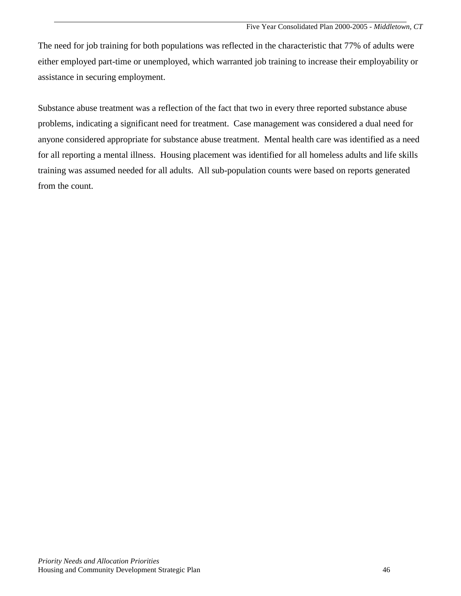The need for job training for both populations was reflected in the characteristic that 77% of adults were either employed part-time or unemployed, which warranted job training to increase their employability or assistance in securing employment.

Substance abuse treatment was a reflection of the fact that two in every three reported substance abuse problems, indicating a significant need for treatment. Case management was considered a dual need for anyone considered appropriate for substance abuse treatment. Mental health care was identified as a need for all reporting a mental illness. Housing placement was identified for all homeless adults and life skills training was assumed needed for all adults. All sub-population counts were based on reports generated from the count.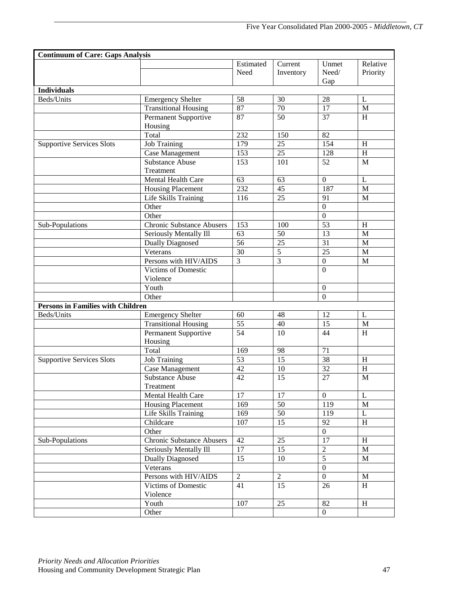| <b>Continuum of Care: Gaps Analysis</b>  |                                        |                   |                      |                       |                           |
|------------------------------------------|----------------------------------------|-------------------|----------------------|-----------------------|---------------------------|
|                                          |                                        | Estimated<br>Need | Current<br>Inventory | Unmet<br>Need/<br>Gap | Relative<br>Priority      |
| <b>Individuals</b>                       |                                        |                   |                      |                       |                           |
| Beds/Units                               | <b>Emergency Shelter</b>               | 58                | 30                   | 28                    | L                         |
|                                          | <b>Transitional Housing</b>            | 87                | $\overline{70}$      | 17                    | $\mathbf M$               |
|                                          | Permanent Supportive                   | 87                | 50                   | 37                    | H                         |
|                                          | Housing                                |                   |                      |                       |                           |
|                                          | Total                                  | $\overline{232}$  | 150                  | 82                    |                           |
| <b>Supportive Services Slots</b>         | <b>Job Training</b>                    | 179               | $\overline{25}$      | 154                   | H                         |
|                                          | Case Management                        | 153               | $\overline{25}$      | 128                   | $\boldsymbol{\mathrm{H}}$ |
|                                          | <b>Substance Abuse</b>                 | 153               | 101                  | 52                    | $\mathbf{M}$              |
|                                          | Treatment                              |                   |                      |                       |                           |
|                                          | Mental Health Care                     | 63                | 63                   | $\mathbf{0}$          | L                         |
|                                          | <b>Housing Placement</b>               | 232               | 45                   | 187                   | M                         |
|                                          | Life Skills Training                   | 116               | 25                   | 91                    | M                         |
|                                          | Other                                  |                   |                      | $\mathbf{0}$          |                           |
|                                          | Other                                  |                   |                      | $\mathbf{0}$          |                           |
| Sub-Populations                          | <b>Chronic Substance Abusers</b>       | 153               | 100                  | 53                    | H                         |
|                                          | Seriously Mentally Ill                 | 63                | 50                   | 13                    | M                         |
|                                          | <b>Dually Diagnosed</b>                | 56                | 25                   | 31                    | M                         |
|                                          | Veterans                               | 30                | $\overline{5}$       | 25                    | M                         |
|                                          | Persons with HIV/AIDS                  | 3                 | $\overline{3}$       | $\boldsymbol{0}$      | M                         |
|                                          | <b>Victims of Domestic</b><br>Violence |                   |                      | $\Omega$              |                           |
|                                          | Youth                                  |                   |                      | $\mathbf{0}$          |                           |
|                                          | Other                                  |                   |                      | $\overline{0}$        |                           |
| <b>Persons in Families with Children</b> |                                        |                   |                      |                       |                           |
| Beds/Units                               | <b>Emergency Shelter</b>               | 60                | 48                   | 12                    | L                         |
|                                          | <b>Transitional Housing</b>            | $\overline{55}$   | $\overline{40}$      | $\overline{15}$       | $\mathbf{M}$              |
|                                          | Permanent Supportive<br>Housing        | 54                | 10                   | 44                    | H                         |
|                                          | Total                                  | 169               | 98                   | 71                    |                           |
| <b>Supportive Services Slots</b>         | <b>Job Training</b>                    | 53                | 15                   | 38                    | H                         |
|                                          | Case Management                        | 42                | 10                   | 32                    | $\boldsymbol{\mathrm{H}}$ |
|                                          | <b>Substance Abuse</b>                 | 42                | 15                   | 27                    | M                         |
|                                          | Treatment                              |                   |                      |                       |                           |
|                                          | Mental Health Care                     | 17                | 17                   | $\overline{0}$        | L                         |
|                                          | Housing Placement                      | 169               | 50                   | 119                   | $\mathbf{M}$              |
|                                          | Life Skills Training                   | 169               | 50                   | 119                   | L                         |
|                                          | Childcare                              | 107               | 15                   | 92                    | H                         |
|                                          | Other                                  |                   |                      | $\overline{0}$        |                           |
| Sub-Populations                          | <b>Chronic Substance Abusers</b>       | 42                | 25                   | 17                    | $\,$ H                    |
|                                          | Seriously Mentally Ill                 | 17                | 15                   | $\sqrt{2}$            | M                         |
|                                          | <b>Dually Diagnosed</b>                | 15                | 10                   | $\mathfrak{S}$        | M                         |
|                                          | Veterans                               |                   |                      | $\mathbf{0}$          |                           |
|                                          | Persons with HIV/AIDS                  | $\overline{2}$    | $\overline{2}$       | $\overline{0}$        | M                         |
|                                          | Victims of Domestic<br>Violence        | 41                | 15                   | 26                    | H                         |
|                                          | Youth                                  | 107               | 25                   | 82                    | H                         |
|                                          | Other                                  |                   |                      | $\overline{0}$        |                           |
|                                          |                                        |                   |                      |                       |                           |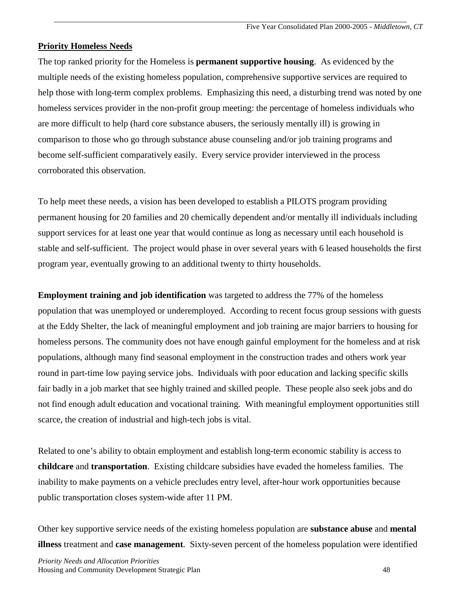#### **Priority Homeless Needs**

The top ranked priority for the Homeless is **permanent supportive housing**. As evidenced by the multiple needs of the existing homeless population, comprehensive supportive services are required to help those with long-term complex problems. Emphasizing this need, a disturbing trend was noted by one homeless services provider in the non-profit group meeting: the percentage of homeless individuals who are more difficult to help (hard core substance abusers, the seriously mentally ill) is growing in comparison to those who go through substance abuse counseling and/or job training programs and become self-sufficient comparatively easily. Every service provider interviewed in the process corroborated this observation.

To help meet these needs, a vision has been developed to establish a PILOTS program providing permanent housing for 20 families and 20 chemically dependent and/or mentally ill individuals including support services for at least one year that would continue as long as necessary until each household is stable and self-sufficient. The project would phase in over several years with 6 leased households the first program year, eventually growing to an additional twenty to thirty households.

**Employment training and job identification** was targeted to address the 77% of the homeless population that was unemployed or underemployed. According to recent focus group sessions with guests at the Eddy Shelter, the lack of meaningful employment and job training are major barriers to housing for homeless persons. The community does not have enough gainful employment for the homeless and at risk populations, although many find seasonal employment in the construction trades and others work year round in part-time low paying service jobs. Individuals with poor education and lacking specific skills fair badly in a job market that see highly trained and skilled people. These people also seek jobs and do not find enough adult education and vocational training. With meaningful employment opportunities still scarce, the creation of industrial and high-tech jobs is vital.

Related to one's ability to obtain employment and establish long-term economic stability is access to **childcare** and **transportation**. Existing childcare subsidies have evaded the homeless families. The inability to make payments on a vehicle precludes entry level, after-hour work opportunities because public transportation closes system-wide after 11 PM.

Other key supportive service needs of the existing homeless population are **substance abuse** and **mental illness** treatment and **case management**. Sixty-seven percent of the homeless population were identified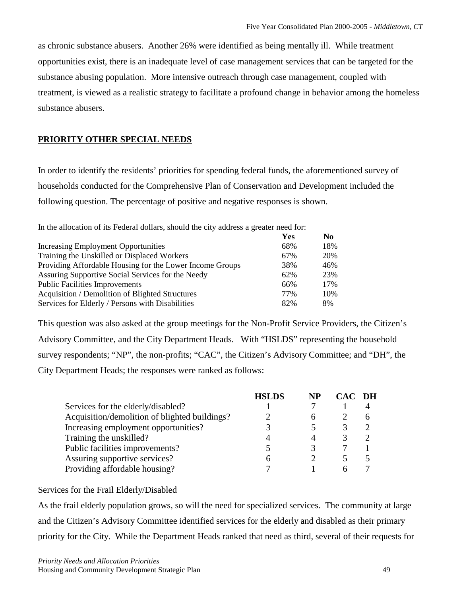as chronic substance abusers. Another 26% were identified as being mentally ill. While treatment opportunities exist, there is an inadequate level of case management services that can be targeted for the substance abusing population. More intensive outreach through case management, coupled with treatment, is viewed as a realistic strategy to facilitate a profound change in behavior among the homeless substance abusers.

## **PRIORITY OTHER SPECIAL NEEDS**

In order to identify the residents' priorities for spending federal funds, the aforementioned survey of households conducted for the Comprehensive Plan of Conservation and Development included the following question. The percentage of positive and negative responses is shown.

In the allocation of its Federal dollars, should the city address a greater need for:

|                                                          | Yes | N <sub>0</sub> |
|----------------------------------------------------------|-----|----------------|
| Increasing Employment Opportunities                      | 68% | 18%            |
| Training the Unskilled or Displaced Workers              | 67% | 20%            |
| Providing Affordable Housing for the Lower Income Groups | 38% | 46%            |
| Assuring Supportive Social Services for the Needy        | 62% | 23%            |
| <b>Public Facilities Improvements</b>                    | 66% | 17%            |
| Acquisition / Demolition of Blighted Structures          | 77% | 10%            |
| Services for Elderly / Persons with Disabilities         | 82% | 8%             |

This question was also asked at the group meetings for the Non-Profit Service Providers, the Citizen's Advisory Committee, and the City Department Heads. With "HSLDS" representing the household survey respondents; "NP", the non-profits; "CAC", the Citizen's Advisory Committee; and "DH", the City Department Heads; the responses were ranked as follows:

| <b>HSLDS</b> | NP |        |
|--------------|----|--------|
|              |    |        |
|              | h  |        |
|              |    |        |
|              |    |        |
|              |    |        |
|              |    |        |
|              |    |        |
|              |    | CAC DH |

#### Services for the Frail Elderly/Disabled

As the frail elderly population grows, so will the need for specialized services. The community at large and the Citizen's Advisory Committee identified services for the elderly and disabled as their primary priority for the City. While the Department Heads ranked that need as third, several of their requests for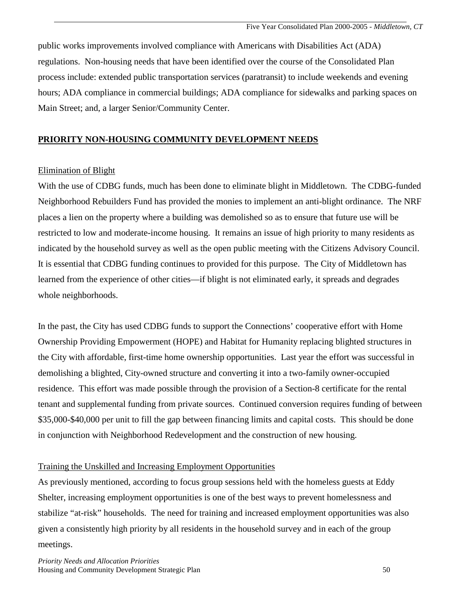public works improvements involved compliance with Americans with Disabilities Act (ADA) regulations. Non-housing needs that have been identified over the course of the Consolidated Plan process include: extended public transportation services (paratransit) to include weekends and evening hours; ADA compliance in commercial buildings; ADA compliance for sidewalks and parking spaces on Main Street; and, a larger Senior/Community Center.

### **PRIORITY NON-HOUSING COMMUNITY DEVELOPMENT NEEDS**

#### Elimination of Blight

With the use of CDBG funds, much has been done to eliminate blight in Middletown. The CDBG-funded Neighborhood Rebuilders Fund has provided the monies to implement an anti-blight ordinance. The NRF places a lien on the property where a building was demolished so as to ensure that future use will be restricted to low and moderate-income housing. It remains an issue of high priority to many residents as indicated by the household survey as well as the open public meeting with the Citizens Advisory Council. It is essential that CDBG funding continues to provided for this purpose. The City of Middletown has learned from the experience of other cities—if blight is not eliminated early, it spreads and degrades whole neighborhoods.

In the past, the City has used CDBG funds to support the Connections' cooperative effort with Home Ownership Providing Empowerment (HOPE) and Habitat for Humanity replacing blighted structures in the City with affordable, first-time home ownership opportunities. Last year the effort was successful in demolishing a blighted, City-owned structure and converting it into a two-family owner-occupied residence. This effort was made possible through the provision of a Section-8 certificate for the rental tenant and supplemental funding from private sources. Continued conversion requires funding of between \$35,000-\$40,000 per unit to fill the gap between financing limits and capital costs. This should be done in conjunction with Neighborhood Redevelopment and the construction of new housing.

#### Training the Unskilled and Increasing Employment Opportunities

As previously mentioned, according to focus group sessions held with the homeless guests at Eddy Shelter, increasing employment opportunities is one of the best ways to prevent homelessness and stabilize "at-risk" households. The need for training and increased employment opportunities was also given a consistently high priority by all residents in the household survey and in each of the group meetings.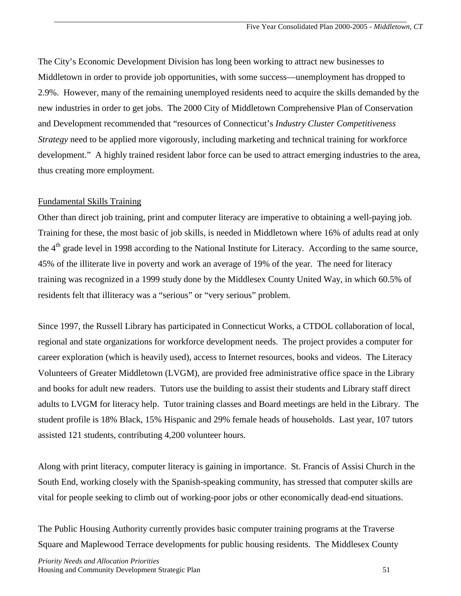The City's Economic Development Division has long been working to attract new businesses to Middletown in order to provide job opportunities, with some success—unemployment has dropped to 2.9%. However, many of the remaining unemployed residents need to acquire the skills demanded by the new industries in order to get jobs. The 2000 City of Middletown Comprehensive Plan of Conservation and Development recommended that "resources of Connecticut's *Industry Cluster Competitiveness Strategy* need to be applied more vigorously, including marketing and technical training for workforce development." A highly trained resident labor force can be used to attract emerging industries to the area, thus creating more employment.

#### Fundamental Skills Training

Other than direct job training, print and computer literacy are imperative to obtaining a well-paying job. Training for these, the most basic of job skills, is needed in Middletown where 16% of adults read at only the  $4<sup>th</sup>$  grade level in 1998 according to the National Institute for Literacy. According to the same source, 45% of the illiterate live in poverty and work an average of 19% of the year. The need for literacy training was recognized in a 1999 study done by the Middlesex County United Way, in which 60.5% of residents felt that illiteracy was a "serious" or "very serious" problem.

Since 1997, the Russell Library has participated in Connecticut Works, a CTDOL collaboration of local, regional and state organizations for workforce development needs. The project provides a computer for career exploration (which is heavily used), access to Internet resources, books and videos. The Literacy Volunteers of Greater Middletown (LVGM), are provided free administrative office space in the Library and books for adult new readers. Tutors use the building to assist their students and Library staff direct adults to LVGM for literacy help. Tutor training classes and Board meetings are held in the Library. The student profile is 18% Black, 15% Hispanic and 29% female heads of households. Last year, 107 tutors assisted 121 students, contributing 4,200 volunteer hours.

Along with print literacy, computer literacy is gaining in importance. St. Francis of Assisi Church in the South End, working closely with the Spanish-speaking community, has stressed that computer skills are vital for people seeking to climb out of working-poor jobs or other economically dead-end situations.

The Public Housing Authority currently provides basic computer training programs at the Traverse Square and Maplewood Terrace developments for public housing residents. The Middlesex County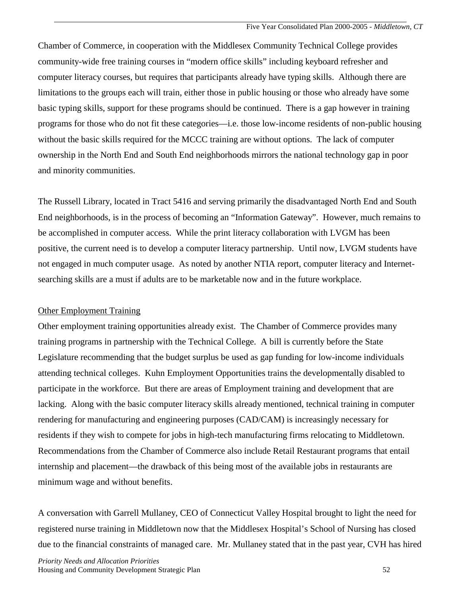Chamber of Commerce, in cooperation with the Middlesex Community Technical College provides community-wide free training courses in "modern office skills" including keyboard refresher and computer literacy courses, but requires that participants already have typing skills. Although there are limitations to the groups each will train, either those in public housing or those who already have some basic typing skills, support for these programs should be continued. There is a gap however in training programs for those who do not fit these categories—i.e. those low-income residents of non-public housing without the basic skills required for the MCCC training are without options. The lack of computer ownership in the North End and South End neighborhoods mirrors the national technology gap in poor and minority communities.

The Russell Library, located in Tract 5416 and serving primarily the disadvantaged North End and South End neighborhoods, is in the process of becoming an "Information Gateway". However, much remains to be accomplished in computer access. While the print literacy collaboration with LVGM has been positive, the current need is to develop a computer literacy partnership. Until now, LVGM students have not engaged in much computer usage. As noted by another NTIA report, computer literacy and Internetsearching skills are a must if adults are to be marketable now and in the future workplace.

#### Other Employment Training

Other employment training opportunities already exist. The Chamber of Commerce provides many training programs in partnership with the Technical College. A bill is currently before the State Legislature recommending that the budget surplus be used as gap funding for low-income individuals attending technical colleges. Kuhn Employment Opportunities trains the developmentally disabled to participate in the workforce. But there are areas of Employment training and development that are lacking. Along with the basic computer literacy skills already mentioned, technical training in computer rendering for manufacturing and engineering purposes (CAD/CAM) is increasingly necessary for residents if they wish to compete for jobs in high-tech manufacturing firms relocating to Middletown. Recommendations from the Chamber of Commerce also include Retail Restaurant programs that entail internship and placement—the drawback of this being most of the available jobs in restaurants are minimum wage and without benefits.

A conversation with Garrell Mullaney, CEO of Connecticut Valley Hospital brought to light the need for registered nurse training in Middletown now that the Middlesex Hospital's School of Nursing has closed due to the financial constraints of managed care. Mr. Mullaney stated that in the past year, CVH has hired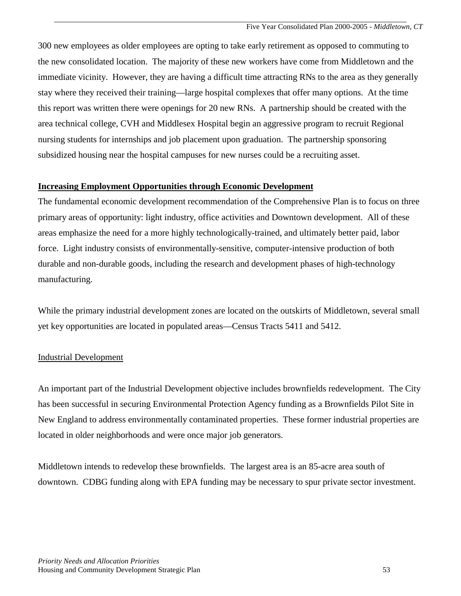300 new employees as older employees are opting to take early retirement as opposed to commuting to the new consolidated location. The majority of these new workers have come from Middletown and the immediate vicinity. However, they are having a difficult time attracting RNs to the area as they generally stay where they received their training—large hospital complexes that offer many options. At the time this report was written there were openings for 20 new RNs. A partnership should be created with the area technical college, CVH and Middlesex Hospital begin an aggressive program to recruit Regional nursing students for internships and job placement upon graduation. The partnership sponsoring subsidized housing near the hospital campuses for new nurses could be a recruiting asset.

### **Increasing Employment Opportunities through Economic Development**

The fundamental economic development recommendation of the Comprehensive Plan is to focus on three primary areas of opportunity: light industry, office activities and Downtown development. All of these areas emphasize the need for a more highly technologically-trained, and ultimately better paid, labor force. Light industry consists of environmentally-sensitive, computer-intensive production of both durable and non-durable goods, including the research and development phases of high-technology manufacturing.

While the primary industrial development zones are located on the outskirts of Middletown, several small yet key opportunities are located in populated areas—Census Tracts 5411 and 5412.

## Industrial Development

An important part of the Industrial Development objective includes brownfields redevelopment. The City has been successful in securing Environmental Protection Agency funding as a Brownfields Pilot Site in New England to address environmentally contaminated properties. These former industrial properties are located in older neighborhoods and were once major job generators.

Middletown intends to redevelop these brownfields. The largest area is an 85-acre area south of downtown. CDBG funding along with EPA funding may be necessary to spur private sector investment.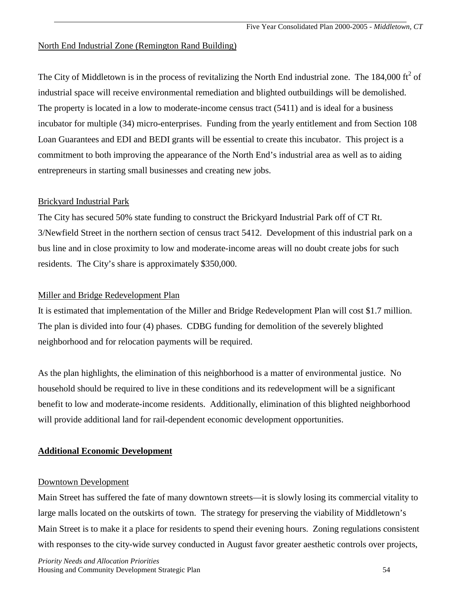#### North End Industrial Zone (Remington Rand Building)

The City of Middletown is in the process of revitalizing the North End industrial zone. The  $184,000$  ft<sup>2</sup> of industrial space will receive environmental remediation and blighted outbuildings will be demolished. The property is located in a low to moderate-income census tract (5411) and is ideal for a business incubator for multiple (34) micro-enterprises. Funding from the yearly entitlement and from Section 108 Loan Guarantees and EDI and BEDI grants will be essential to create this incubator. This project is a commitment to both improving the appearance of the North End's industrial area as well as to aiding entrepreneurs in starting small businesses and creating new jobs.

#### Brickyard Industrial Park

The City has secured 50% state funding to construct the Brickyard Industrial Park off of CT Rt. 3/Newfield Street in the northern section of census tract 5412. Development of this industrial park on a bus line and in close proximity to low and moderate-income areas will no doubt create jobs for such residents. The City's share is approximately \$350,000.

#### Miller and Bridge Redevelopment Plan

It is estimated that implementation of the Miller and Bridge Redevelopment Plan will cost \$1.7 million. The plan is divided into four (4) phases. CDBG funding for demolition of the severely blighted neighborhood and for relocation payments will be required.

As the plan highlights, the elimination of this neighborhood is a matter of environmental justice. No household should be required to live in these conditions and its redevelopment will be a significant benefit to low and moderate-income residents. Additionally, elimination of this blighted neighborhood will provide additional land for rail-dependent economic development opportunities.

#### **Additional Economic Development**

#### Downtown Development

Main Street has suffered the fate of many downtown streets—it is slowly losing its commercial vitality to large malls located on the outskirts of town. The strategy for preserving the viability of Middletown's Main Street is to make it a place for residents to spend their evening hours. Zoning regulations consistent with responses to the city-wide survey conducted in August favor greater aesthetic controls over projects,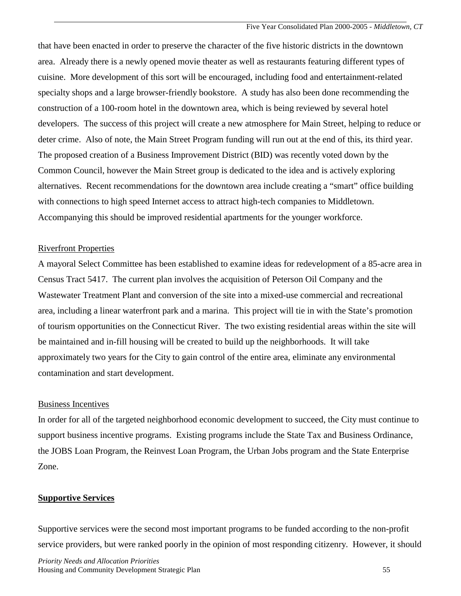that have been enacted in order to preserve the character of the five historic districts in the downtown area. Already there is a newly opened movie theater as well as restaurants featuring different types of cuisine. More development of this sort will be encouraged, including food and entertainment-related specialty shops and a large browser-friendly bookstore. A study has also been done recommending the construction of a 100-room hotel in the downtown area, which is being reviewed by several hotel developers. The success of this project will create a new atmosphere for Main Street, helping to reduce or deter crime. Also of note, the Main Street Program funding will run out at the end of this, its third year. The proposed creation of a Business Improvement District (BID) was recently voted down by the Common Council, however the Main Street group is dedicated to the idea and is actively exploring alternatives. Recent recommendations for the downtown area include creating a "smart" office building with connections to high speed Internet access to attract high-tech companies to Middletown. Accompanying this should be improved residential apartments for the younger workforce.

#### Riverfront Properties

A mayoral Select Committee has been established to examine ideas for redevelopment of a 85-acre area in Census Tract 5417. The current plan involves the acquisition of Peterson Oil Company and the Wastewater Treatment Plant and conversion of the site into a mixed-use commercial and recreational area, including a linear waterfront park and a marina. This project will tie in with the State's promotion of tourism opportunities on the Connecticut River. The two existing residential areas within the site will be maintained and in-fill housing will be created to build up the neighborhoods. It will take approximately two years for the City to gain control of the entire area, eliminate any environmental contamination and start development.

#### Business Incentives

In order for all of the targeted neighborhood economic development to succeed, the City must continue to support business incentive programs. Existing programs include the State Tax and Business Ordinance, the JOBS Loan Program, the Reinvest Loan Program, the Urban Jobs program and the State Enterprise Zone.

#### **Supportive Services**

Supportive services were the second most important programs to be funded according to the non-profit service providers, but were ranked poorly in the opinion of most responding citizenry. However, it should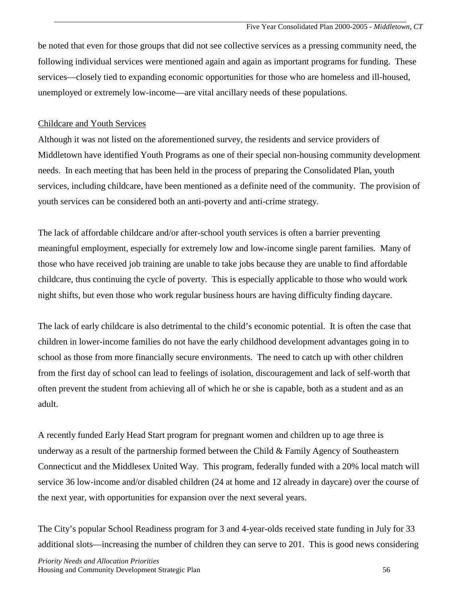be noted that even for those groups that did not see collective services as a pressing community need, the following individual services were mentioned again and again as important programs for funding. These services—closely tied to expanding economic opportunities for those who are homeless and ill-housed, unemployed or extremely low-income—are vital ancillary needs of these populations.

### Childcare and Youth Services

Although it was not listed on the aforementioned survey, the residents and service providers of Middletown have identified Youth Programs as one of their special non-housing community development needs. In each meeting that has been held in the process of preparing the Consolidated Plan, youth services, including childcare, have been mentioned as a definite need of the community. The provision of youth services can be considered both an anti-poverty and anti-crime strategy.

The lack of affordable childcare and/or after-school youth services is often a barrier preventing meaningful employment, especially for extremely low and low-income single parent families. Many of those who have received job training are unable to take jobs because they are unable to find affordable childcare, thus continuing the cycle of poverty. This is especially applicable to those who would work night shifts, but even those who work regular business hours are having difficulty finding daycare.

The lack of early childcare is also detrimental to the child's economic potential. It is often the case that children in lower-income families do not have the early childhood development advantages going in to school as those from more financially secure environments. The need to catch up with other children from the first day of school can lead to feelings of isolation, discouragement and lack of self-worth that often prevent the student from achieving all of which he or she is capable, both as a student and as an adult.

A recently funded Early Head Start program for pregnant women and children up to age three is underway as a result of the partnership formed between the Child & Family Agency of Southeastern Connecticut and the Middlesex United Way. This program, federally funded with a 20% local match will service 36 low-income and/or disabled children (24 at home and 12 already in daycare) over the course of the next year, with opportunities for expansion over the next several years.

The City's popular School Readiness program for 3 and 4-year-olds received state funding in July for 33 additional slots—increasing the number of children they can serve to 201. This is good news considering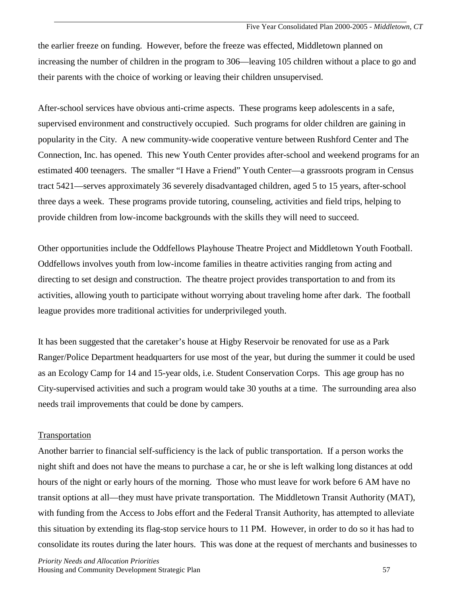the earlier freeze on funding. However, before the freeze was effected, Middletown planned on increasing the number of children in the program to 306—leaving 105 children without a place to go and their parents with the choice of working or leaving their children unsupervised.

After-school services have obvious anti-crime aspects. These programs keep adolescents in a safe, supervised environment and constructively occupied. Such programs for older children are gaining in popularity in the City. A new community-wide cooperative venture between Rushford Center and The Connection, Inc. has opened. This new Youth Center provides after-school and weekend programs for an estimated 400 teenagers. The smaller "I Have a Friend" Youth Center—a grassroots program in Census tract 5421—serves approximately 36 severely disadvantaged children, aged 5 to 15 years, after-school three days a week. These programs provide tutoring, counseling, activities and field trips, helping to provide children from low-income backgrounds with the skills they will need to succeed.

Other opportunities include the Oddfellows Playhouse Theatre Project and Middletown Youth Football. Oddfellows involves youth from low-income families in theatre activities ranging from acting and directing to set design and construction. The theatre project provides transportation to and from its activities, allowing youth to participate without worrying about traveling home after dark. The football league provides more traditional activities for underprivileged youth.

It has been suggested that the caretaker's house at Higby Reservoir be renovated for use as a Park Ranger/Police Department headquarters for use most of the year, but during the summer it could be used as an Ecology Camp for 14 and 15-year olds, i.e. Student Conservation Corps. This age group has no City-supervised activities and such a program would take 30 youths at a time. The surrounding area also needs trail improvements that could be done by campers.

#### Transportation

Another barrier to financial self-sufficiency is the lack of public transportation. If a person works the night shift and does not have the means to purchase a car, he or she is left walking long distances at odd hours of the night or early hours of the morning. Those who must leave for work before 6 AM have no transit options at all—they must have private transportation. The Middletown Transit Authority (MAT), with funding from the Access to Jobs effort and the Federal Transit Authority, has attempted to alleviate this situation by extending its flag-stop service hours to 11 PM. However, in order to do so it has had to consolidate its routes during the later hours. This was done at the request of merchants and businesses to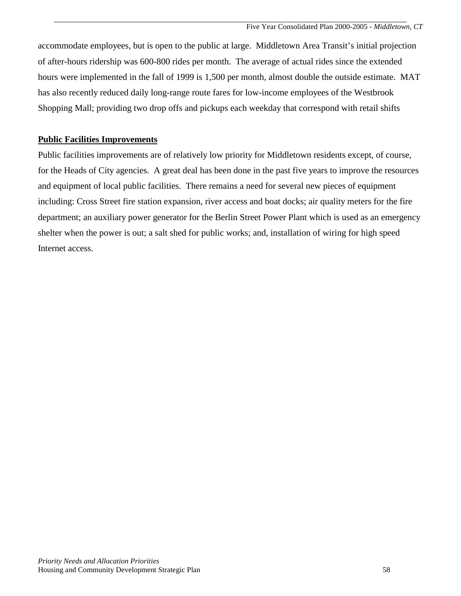accommodate employees, but is open to the public at large. Middletown Area Transit's initial projection of after-hours ridership was 600-800 rides per month. The average of actual rides since the extended hours were implemented in the fall of 1999 is 1,500 per month, almost double the outside estimate. MAT has also recently reduced daily long-range route fares for low-income employees of the Westbrook Shopping Mall; providing two drop offs and pickups each weekday that correspond with retail shifts

### **Public Facilities Improvements**

Public facilities improvements are of relatively low priority for Middletown residents except, of course, for the Heads of City agencies. A great deal has been done in the past five years to improve the resources and equipment of local public facilities. There remains a need for several new pieces of equipment including: Cross Street fire station expansion, river access and boat docks; air quality meters for the fire department; an auxiliary power generator for the Berlin Street Power Plant which is used as an emergency shelter when the power is out; a salt shed for public works; and, installation of wiring for high speed Internet access.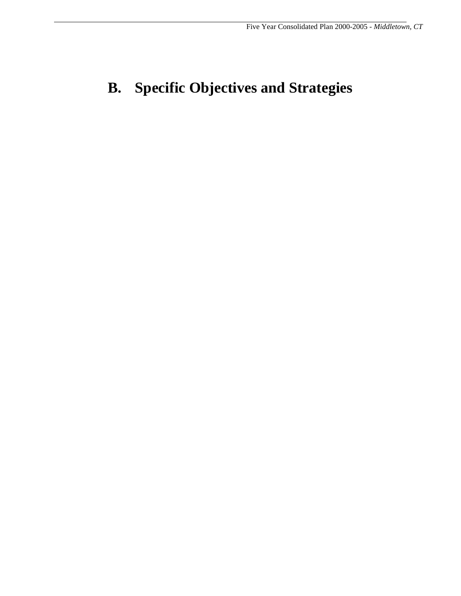# **B. Specific Objectives and Strategies**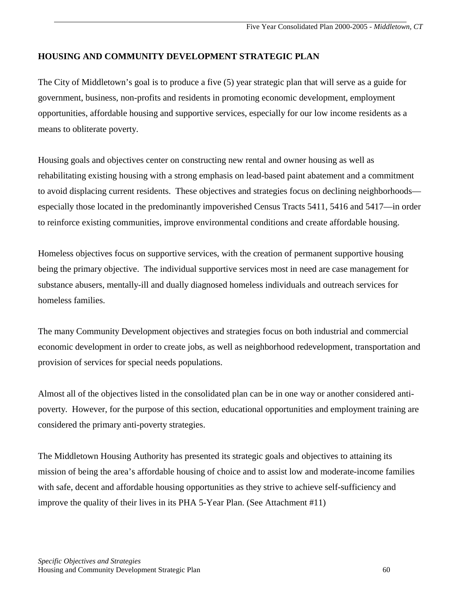### **HOUSING AND COMMUNITY DEVELOPMENT STRATEGIC PLAN**

The City of Middletown's goal is to produce a five (5) year strategic plan that will serve as a guide for government, business, non-profits and residents in promoting economic development, employment opportunities, affordable housing and supportive services, especially for our low income residents as a means to obliterate poverty.

Housing goals and objectives center on constructing new rental and owner housing as well as rehabilitating existing housing with a strong emphasis on lead-based paint abatement and a commitment to avoid displacing current residents. These objectives and strategies focus on declining neighborhoods especially those located in the predominantly impoverished Census Tracts 5411, 5416 and 5417—in order to reinforce existing communities, improve environmental conditions and create affordable housing.

Homeless objectives focus on supportive services, with the creation of permanent supportive housing being the primary objective. The individual supportive services most in need are case management for substance abusers, mentally-ill and dually diagnosed homeless individuals and outreach services for homeless families.

The many Community Development objectives and strategies focus on both industrial and commercial economic development in order to create jobs, as well as neighborhood redevelopment, transportation and provision of services for special needs populations.

Almost all of the objectives listed in the consolidated plan can be in one way or another considered antipoverty. However, for the purpose of this section, educational opportunities and employment training are considered the primary anti-poverty strategies.

The Middletown Housing Authority has presented its strategic goals and objectives to attaining its mission of being the area's affordable housing of choice and to assist low and moderate-income families with safe, decent and affordable housing opportunities as they strive to achieve self-sufficiency and improve the quality of their lives in its PHA 5-Year Plan. (See Attachment #11)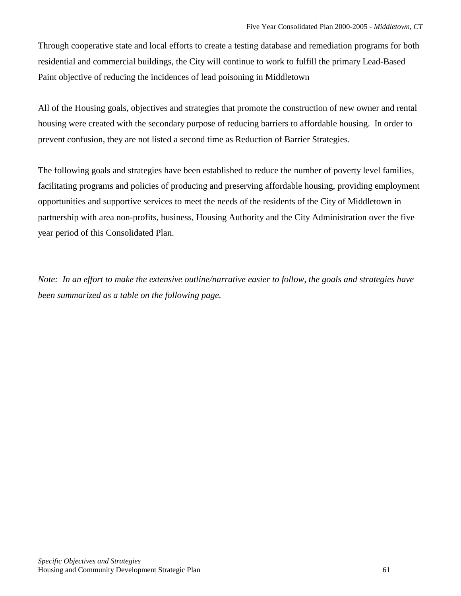Through cooperative state and local efforts to create a testing database and remediation programs for both residential and commercial buildings, the City will continue to work to fulfill the primary Lead-Based Paint objective of reducing the incidences of lead poisoning in Middletown

All of the Housing goals, objectives and strategies that promote the construction of new owner and rental housing were created with the secondary purpose of reducing barriers to affordable housing. In order to prevent confusion, they are not listed a second time as Reduction of Barrier Strategies.

The following goals and strategies have been established to reduce the number of poverty level families, facilitating programs and policies of producing and preserving affordable housing, providing employment opportunities and supportive services to meet the needs of the residents of the City of Middletown in partnership with area non-profits, business, Housing Authority and the City Administration over the five year period of this Consolidated Plan.

*Note: In an effort to make the extensive outline/narrative easier to follow, the goals and strategies have been summarized as a table on the following page.*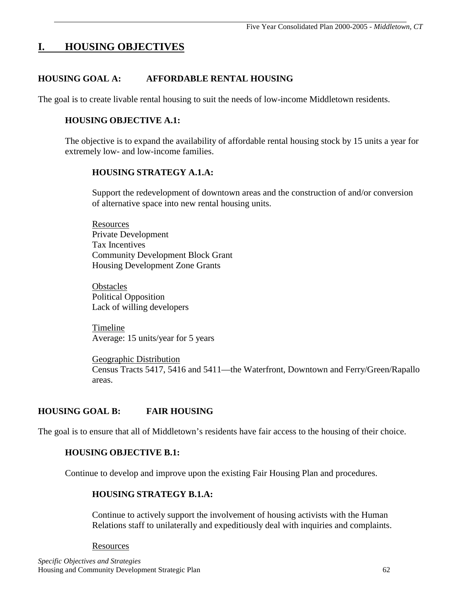## **I. HOUSING OBJECTIVES**

## **HOUSING GOAL A: AFFORDABLE RENTAL HOUSING**

The goal is to create livable rental housing to suit the needs of low-income Middletown residents.

#### **HOUSING OBJECTIVE A.1:**

The objective is to expand the availability of affordable rental housing stock by 15 units a year for extremely low- and low-income families.

#### **HOUSING STRATEGY A.1.A:**

Support the redevelopment of downtown areas and the construction of and/or conversion of alternative space into new rental housing units.

 Resources Private Development Tax Incentives Community Development Block Grant Housing Development Zone Grants

**Obstacles** Political Opposition Lack of willing developers

 Timeline Average: 15 units/year for 5 years

 Geographic Distribution Census Tracts 5417, 5416 and 5411—the Waterfront, Downtown and Ferry/Green/Rapallo areas.

## **HOUSING GOAL B: FAIR HOUSING**

The goal is to ensure that all of Middletown's residents have fair access to the housing of their choice.

#### **HOUSING OBJECTIVE B.1:**

Continue to develop and improve upon the existing Fair Housing Plan and procedures.

#### **HOUSING STRATEGY B.1.A:**

 Continue to actively support the involvement of housing activists with the Human Relations staff to unilaterally and expeditiously deal with inquiries and complaints.

#### Resources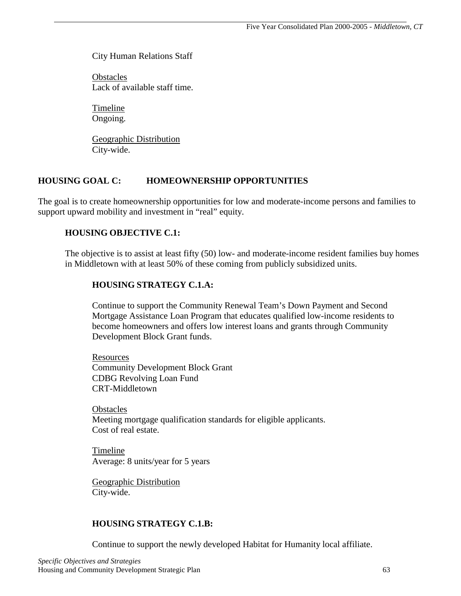City Human Relations Staff

**Obstacles** Lack of available staff time.

 Timeline Ongoing.

 Geographic Distribution City-wide.

## **HOUSING GOAL C: HOMEOWNERSHIP OPPORTUNITIES**

The goal is to create homeownership opportunities for low and moderate-income persons and families to support upward mobility and investment in "real" equity.

## **HOUSING OBJECTIVE C.1:**

The objective is to assist at least fifty (50) low- and moderate-income resident families buy homes in Middletown with at least 50% of these coming from publicly subsidized units.

## **HOUSING STRATEGY C.1.A:**

 Continue to support the Community Renewal Team's Down Payment and Second Mortgage Assistance Loan Program that educates qualified low-income residents to become homeowners and offers low interest loans and grants through Community Development Block Grant funds.

**Resources** Community Development Block Grant CDBG Revolving Loan Fund CRT-Middletown

**Obstacles** Meeting mortgage qualification standards for eligible applicants. Cost of real estate.

 Timeline Average: 8 units/year for 5 years

 Geographic Distribution City-wide.

## **HOUSING STRATEGY C.1.B:**

Continue to support the newly developed Habitat for Humanity local affiliate.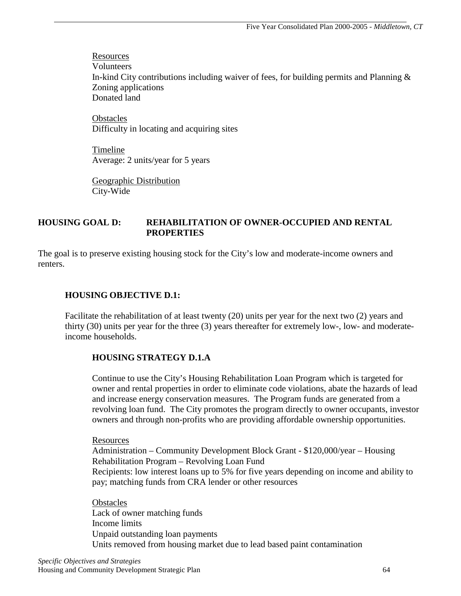Resources Volunteers In-kind City contributions including waiver of fees, for building permits and Planning & Zoning applications Donated land

**Obstacles** Difficulty in locating and acquiring sites

 Timeline Average: 2 units/year for 5 years

 Geographic Distribution City-Wide

#### **HOUSING GOAL D: REHABILITATION OF OWNER-OCCUPIED AND RENTAL PROPERTIES**

The goal is to preserve existing housing stock for the City's low and moderate-income owners and renters.

#### **HOUSING OBJECTIVE D.1:**

Facilitate the rehabilitation of at least twenty (20) units per year for the next two (2) years and thirty (30) units per year for the three (3) years thereafter for extremely low-, low- and moderateincome households.

#### **HOUSING STRATEGY D.1.A**

Continue to use the City's Housing Rehabilitation Loan Program which is targeted for owner and rental properties in order to eliminate code violations, abate the hazards of lead and increase energy conservation measures. The Program funds are generated from a revolving loan fund. The City promotes the program directly to owner occupants, investor owners and through non-profits who are providing affordable ownership opportunities.

Resources

Administration – Community Development Block Grant - \$120,000/year – Housing Rehabilitation Program – Revolving Loan Fund Recipients: low interest loans up to 5% for five years depending on income and ability to pay; matching funds from CRA lender or other resources

**Obstacles** Lack of owner matching funds Income limits Unpaid outstanding loan payments Units removed from housing market due to lead based paint contamination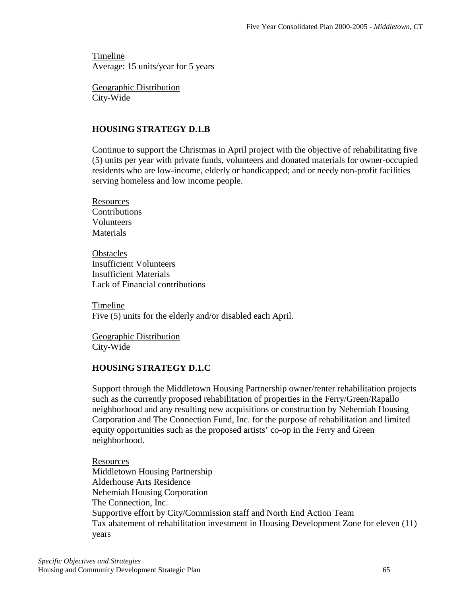Timeline Average: 15 units/year for 5 years

 Geographic Distribution City-Wide

### **HOUSING STRATEGY D.1.B**

 Continue to support the Christmas in April project with the objective of rehabilitating five (5) units per year with private funds, volunteers and donated materials for owner-occupied residents who are low-income, elderly or handicapped; and or needy non-profit facilities serving homeless and low income people.

**Resources** Contributions Volunteers **Materials** 

**Obstacles** Insufficient Volunteers Insufficient Materials Lack of Financial contributions

 Timeline Five (5) units for the elderly and/or disabled each April.

 Geographic Distribution City-Wide

#### **HOUSING STRATEGY D.1.C**

 Support through the Middletown Housing Partnership owner/renter rehabilitation projects such as the currently proposed rehabilitation of properties in the Ferry/Green/Rapallo neighborhood and any resulting new acquisitions or construction by Nehemiah Housing Corporation and The Connection Fund, Inc. for the purpose of rehabilitation and limited equity opportunities such as the proposed artists' co-op in the Ferry and Green neighborhood.

**Resources** Middletown Housing Partnership Alderhouse Arts Residence Nehemiah Housing Corporation The Connection, Inc. Supportive effort by City/Commission staff and North End Action Team Tax abatement of rehabilitation investment in Housing Development Zone for eleven (11) years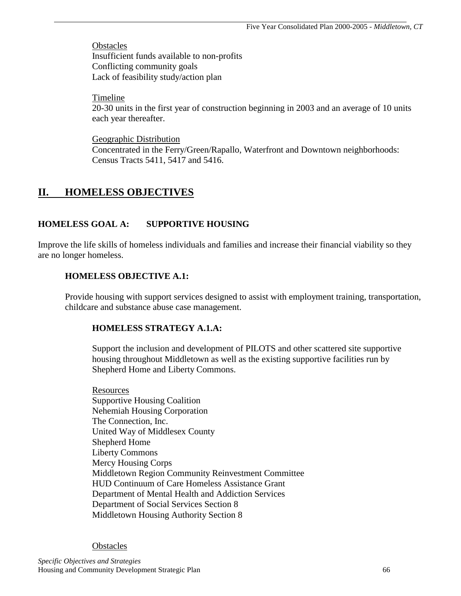**Obstacles** Insufficient funds available to non-profits Conflicting community goals Lack of feasibility study/action plan

Timeline

20-30 units in the first year of construction beginning in 2003 and an average of 10 units each year thereafter.

 Geographic Distribution Concentrated in the Ferry/Green/Rapallo, Waterfront and Downtown neighborhoods: Census Tracts 5411, 5417 and 5416.

## **II. HOMELESS OBJECTIVES**

## **HOMELESS GOAL A: SUPPORTIVE HOUSING**

Improve the life skills of homeless individuals and families and increase their financial viability so they are no longer homeless.

### **HOMELESS OBJECTIVE A.1:**

Provide housing with support services designed to assist with employment training, transportation, childcare and substance abuse case management.

## **HOMELESS STRATEGY A.1.A:**

 Support the inclusion and development of PILOTS and other scattered site supportive housing throughout Middletown as well as the existing supportive facilities run by Shepherd Home and Liberty Commons.

 Resources Supportive Housing Coalition Nehemiah Housing Corporation The Connection, Inc. United Way of Middlesex County Shepherd Home Liberty Commons Mercy Housing Corps Middletown Region Community Reinvestment Committee HUD Continuum of Care Homeless Assistance Grant Department of Mental Health and Addiction Services Department of Social Services Section 8 Middletown Housing Authority Section 8

#### **Obstacles**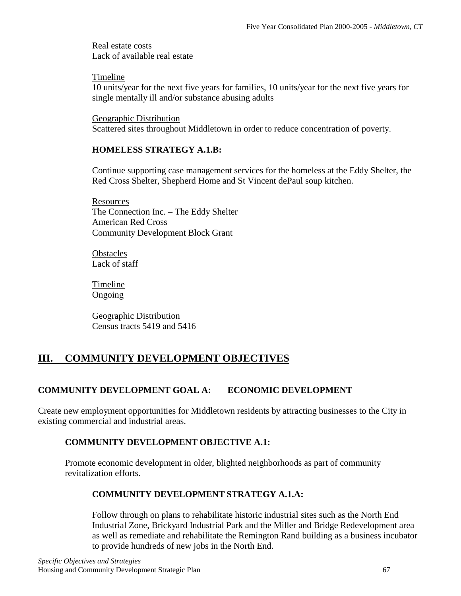Real estate costs Lack of available real estate

Timeline

10 units/year for the next five years for families, 10 units/year for the next five years for single mentally ill and/or substance abusing adults

 Geographic Distribution Scattered sites throughout Middletown in order to reduce concentration of poverty.

### **HOMELESS STRATEGY A.1.B:**

 Continue supporting case management services for the homeless at the Eddy Shelter, the Red Cross Shelter, Shepherd Home and St Vincent dePaul soup kitchen.

**Resources** The Connection Inc. – The Eddy Shelter American Red Cross Community Development Block Grant

**Obstacles** Lack of staff

**Timeline** Ongoing

 Geographic Distribution Census tracts 5419 and 5416

## **III. COMMUNITY DEVELOPMENT OBJECTIVES**

## **COMMUNITY DEVELOPMENT GOAL A: ECONOMIC DEVELOPMENT**

Create new employment opportunities for Middletown residents by attracting businesses to the City in existing commercial and industrial areas.

## **COMMUNITY DEVELOPMENT OBJECTIVE A.1:**

Promote economic development in older, blighted neighborhoods as part of community revitalization efforts.

## **COMMUNITY DEVELOPMENT STRATEGY A.1.A:**

 Follow through on plans to rehabilitate historic industrial sites such as the North End Industrial Zone, Brickyard Industrial Park and the Miller and Bridge Redevelopment area as well as remediate and rehabilitate the Remington Rand building as a business incubator to provide hundreds of new jobs in the North End.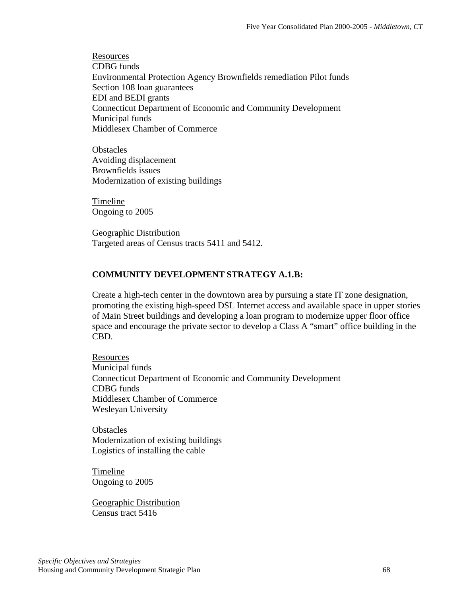Resources CDBG funds Environmental Protection Agency Brownfields remediation Pilot funds Section 108 loan guarantees EDI and BEDI grants Connecticut Department of Economic and Community Development Municipal funds Middlesex Chamber of Commerce

**Obstacles**  Avoiding displacement Brownfields issues Modernization of existing buildings

 Timeline Ongoing to 2005

 Geographic Distribution Targeted areas of Census tracts 5411 and 5412.

## **COMMUNITY DEVELOPMENT STRATEGY A.1.B:**

 Create a high-tech center in the downtown area by pursuing a state IT zone designation, promoting the existing high-speed DSL Internet access and available space in upper stories of Main Street buildings and developing a loan program to modernize upper floor office space and encourage the private sector to develop a Class A "smart" office building in the CBD.

 Resources Municipal funds Connecticut Department of Economic and Community Development CDBG funds Middlesex Chamber of Commerce Wesleyan University

**Obstacles**  Modernization of existing buildings Logistics of installing the cable

**Timeline** Ongoing to 2005

 Geographic Distribution Census tract 5416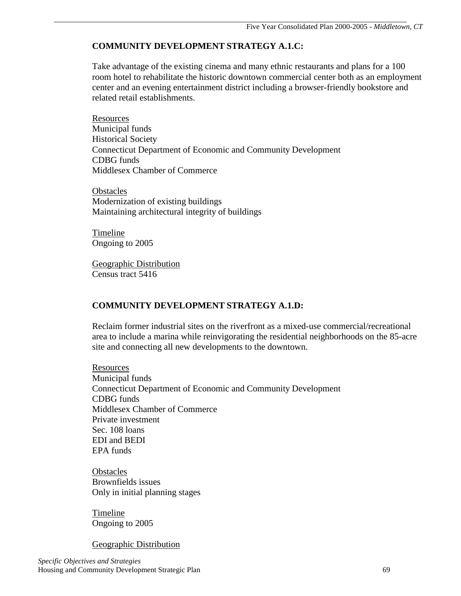## **COMMUNITY DEVELOPMENT STRATEGY A.1.C:**

 Take advantage of the existing cinema and many ethnic restaurants and plans for a 100 room hotel to rehabilitate the historic downtown commercial center both as an employment center and an evening entertainment district including a browser-friendly bookstore and related retail establishments.

 Resources Municipal funds Historical Society Connecticut Department of Economic and Community Development CDBG funds Middlesex Chamber of Commerce

**Obstacles**  Modernization of existing buildings Maintaining architectural integrity of buildings

 Timeline Ongoing to 2005

 Geographic Distribution Census tract 5416

## **COMMUNITY DEVELOPMENT STRATEGY A.1.D:**

 Reclaim former industrial sites on the riverfront as a mixed-use commercial/recreational area to include a marina while reinvigorating the residential neighborhoods on the 85-acre site and connecting all new developments to the downtown.

**Resources** Municipal funds Connecticut Department of Economic and Community Development CDBG funds Middlesex Chamber of Commerce Private investment Sec. 108 loans EDI and BEDI EPA funds

**Obstacles**  Brownfields issues Only in initial planning stages

 Timeline Ongoing to 2005

Geographic Distribution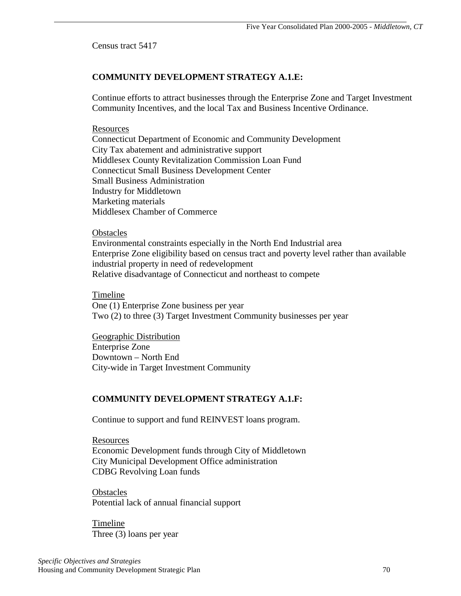Census tract 5417

### **COMMUNITY DEVELOPMENT STRATEGY A.1.E:**

 Continue efforts to attract businesses through the Enterprise Zone and Target Investment Community Incentives, and the local Tax and Business Incentive Ordinance.

#### Resources

Connecticut Department of Economic and Community Development City Tax abatement and administrative support Middlesex County Revitalization Commission Loan Fund Connecticut Small Business Development Center Small Business Administration Industry for Middletown Marketing materials Middlesex Chamber of Commerce

#### **Obstacles**

 Environmental constraints especially in the North End Industrial area Enterprise Zone eligibility based on census tract and poverty level rather than available industrial property in need of redevelopment Relative disadvantage of Connecticut and northeast to compete

Timeline

One (1) Enterprise Zone business per year Two (2) to three (3) Target Investment Community businesses per year

 Geographic Distribution Enterprise Zone Downtown – North End City-wide in Target Investment Community

## **COMMUNITY DEVELOPMENT STRATEGY A.1.F:**

Continue to support and fund REINVEST loans program.

 Resources Economic Development funds through City of Middletown City Municipal Development Office administration CDBG Revolving Loan funds

**Obstacles** Potential lack of annual financial support

 Timeline Three (3) loans per year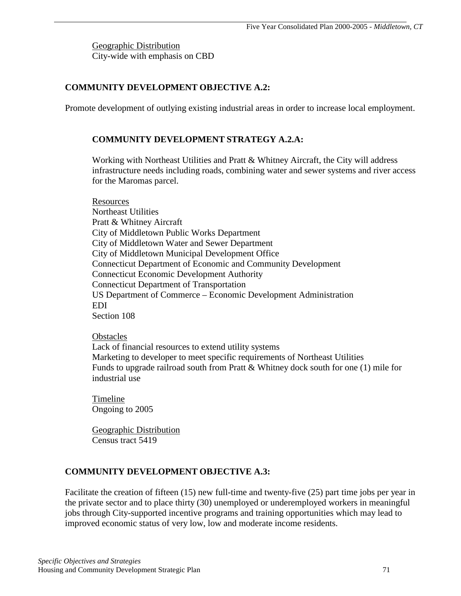Geographic Distribution City-wide with emphasis on CBD

#### **COMMUNITY DEVELOPMENT OBJECTIVE A.2:**

Promote development of outlying existing industrial areas in order to increase local employment.

#### **COMMUNITY DEVELOPMENT STRATEGY A.2.A:**

 Working with Northeast Utilities and Pratt & Whitney Aircraft, the City will address infrastructure needs including roads, combining water and sewer systems and river access for the Maromas parcel.

**Resources** Northeast Utilities Pratt & Whitney Aircraft City of Middletown Public Works Department City of Middletown Water and Sewer Department City of Middletown Municipal Development Office Connecticut Department of Economic and Community Development Connecticut Economic Development Authority Connecticut Department of Transportation US Department of Commerce – Economic Development Administration EDI Section 108

#### **Obstacles**

 Lack of financial resources to extend utility systems Marketing to developer to meet specific requirements of Northeast Utilities Funds to upgrade railroad south from Pratt & Whitney dock south for one (1) mile for industrial use

 Timeline Ongoing to 2005

 Geographic Distribution Census tract 5419

#### **COMMUNITY DEVELOPMENT OBJECTIVE A.3:**

Facilitate the creation of fifteen (15) new full-time and twenty-five (25) part time jobs per year in the private sector and to place thirty (30) unemployed or underemployed workers in meaningful jobs through City-supported incentive programs and training opportunities which may lead to improved economic status of very low, low and moderate income residents.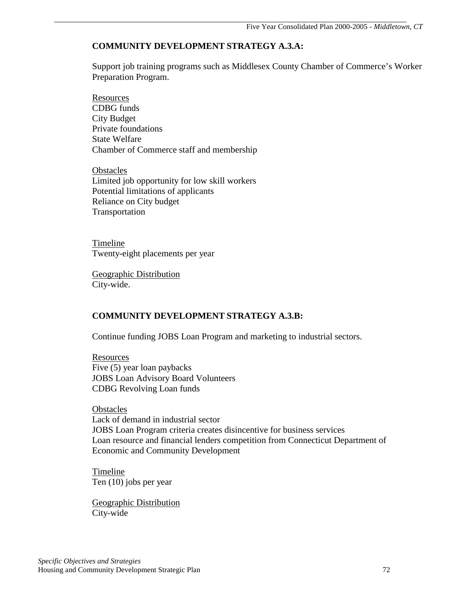#### **COMMUNITY DEVELOPMENT STRATEGY A.3.A:**

 Support job training programs such as Middlesex County Chamber of Commerce's Worker Preparation Program.

**Resources** CDBG funds City Budget Private foundations State Welfare Chamber of Commerce staff and membership

**Obstacles**  Limited job opportunity for low skill workers Potential limitations of applicants Reliance on City budget Transportation

 Timeline Twenty-eight placements per year

 Geographic Distribution City-wide.

#### **COMMUNITY DEVELOPMENT STRATEGY A.3.B:**

Continue funding JOBS Loan Program and marketing to industrial sectors.

 Resources Five (5) year loan paybacks JOBS Loan Advisory Board Volunteers CDBG Revolving Loan funds

**Obstacles**  Lack of demand in industrial sector JOBS Loan Program criteria creates disincentive for business services Loan resource and financial lenders competition from Connecticut Department of Economic and Community Development

 Timeline Ten (10) jobs per year

 Geographic Distribution City-wide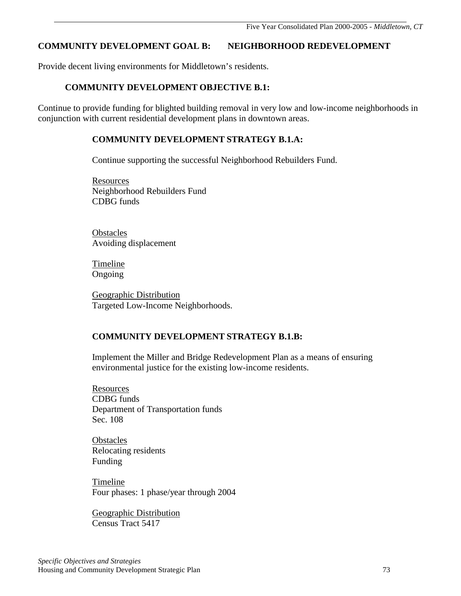## **COMMUNITY DEVELOPMENT GOAL B: NEIGHBORHOOD REDEVELOPMENT**

Provide decent living environments for Middletown's residents.

#### **COMMUNITY DEVELOPMENT OBJECTIVE B.1:**

Continue to provide funding for blighted building removal in very low and low-income neighborhoods in conjunction with current residential development plans in downtown areas.

#### **COMMUNITY DEVELOPMENT STRATEGY B.1.A:**

Continue supporting the successful Neighborhood Rebuilders Fund.

 Resources Neighborhood Rebuilders Fund CDBG funds

**Obstacles** Avoiding displacement

 Timeline Ongoing

 Geographic Distribution Targeted Low-Income Neighborhoods.

### **COMMUNITY DEVELOPMENT STRATEGY B.1.B:**

 Implement the Miller and Bridge Redevelopment Plan as a means of ensuring environmental justice for the existing low-income residents.

**Resources** CDBG funds Department of Transportation funds Sec. 108

**Obstacles**  Relocating residents Funding

 Timeline Four phases: 1 phase/year through 2004

 Geographic Distribution Census Tract 5417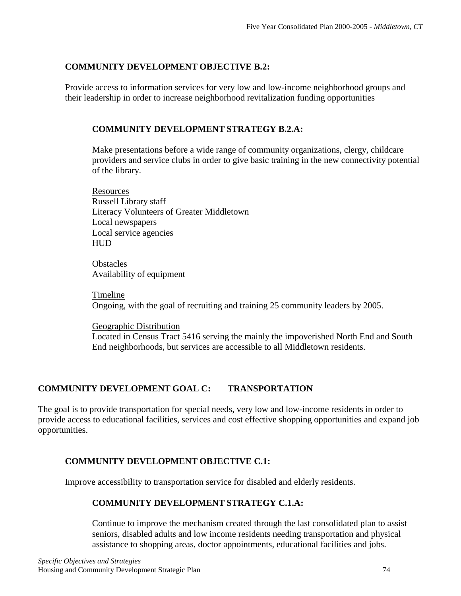#### **COMMUNITY DEVELOPMENT OBJECTIVE B.2:**

Provide access to information services for very low and low-income neighborhood groups and their leadership in order to increase neighborhood revitalization funding opportunities

## **COMMUNITY DEVELOPMENT STRATEGY B.2.A:**

 Make presentations before a wide range of community organizations, clergy, childcare providers and service clubs in order to give basic training in the new connectivity potential of the library.

 Resources Russell Library staff Literacy Volunteers of Greater Middletown Local newspapers Local service agencies **HUD** 

**Obstacles** Availability of equipment

 Timeline Ongoing, with the goal of recruiting and training 25 community leaders by 2005.

 Geographic Distribution Located in Census Tract 5416 serving the mainly the impoverished North End and South End neighborhoods, but services are accessible to all Middletown residents.

# **COMMUNITY DEVELOPMENT GOAL C: TRANSPORTATION**

The goal is to provide transportation for special needs, very low and low-income residents in order to provide access to educational facilities, services and cost effective shopping opportunities and expand job opportunities.

# **COMMUNITY DEVELOPMENT OBJECTIVE C.1:**

Improve accessibility to transportation service for disabled and elderly residents.

### **COMMUNITY DEVELOPMENT STRATEGY C.1.A:**

 Continue to improve the mechanism created through the last consolidated plan to assist seniors, disabled adults and low income residents needing transportation and physical assistance to shopping areas, doctor appointments, educational facilities and jobs.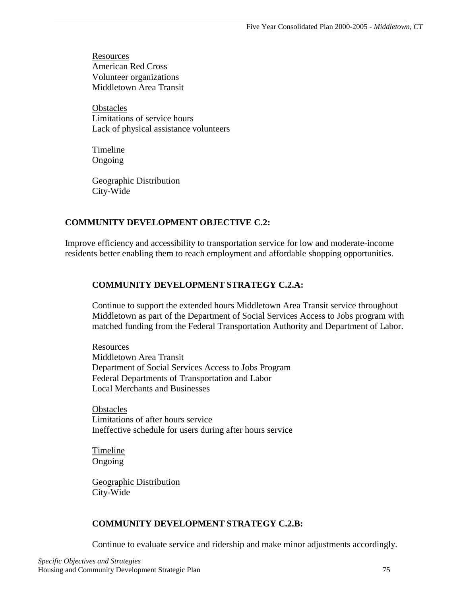Resources American Red Cross Volunteer organizations Middletown Area Transit

**Obstacles** Limitations of service hours Lack of physical assistance volunteers

 Timeline Ongoing

 Geographic Distribution City-Wide

#### **COMMUNITY DEVELOPMENT OBJECTIVE C.2:**

Improve efficiency and accessibility to transportation service for low and moderate-income residents better enabling them to reach employment and affordable shopping opportunities.

### **COMMUNITY DEVELOPMENT STRATEGY C.2.A:**

 Continue to support the extended hours Middletown Area Transit service throughout Middletown as part of the Department of Social Services Access to Jobs program with matched funding from the Federal Transportation Authority and Department of Labor.

 Resources Middletown Area Transit Department of Social Services Access to Jobs Program Federal Departments of Transportation and Labor Local Merchants and Businesses

**Obstacles** Limitations of after hours service Ineffective schedule for users during after hours service

 Timeline Ongoing

 Geographic Distribution City-Wide

#### **COMMUNITY DEVELOPMENT STRATEGY C.2.B:**

Continue to evaluate service and ridership and make minor adjustments accordingly.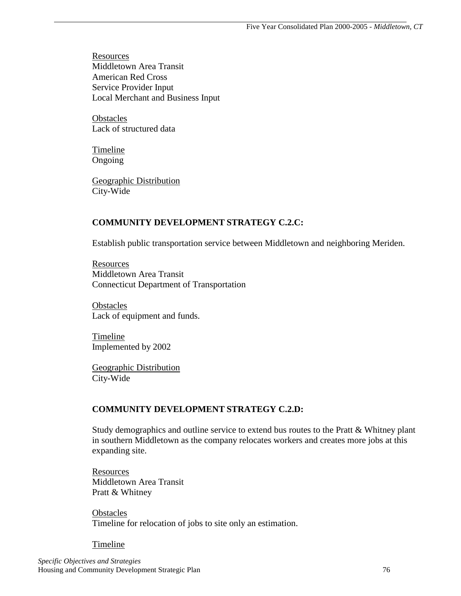Resources Middletown Area Transit American Red Cross Service Provider Input Local Merchant and Business Input

**Obstacles** Lack of structured data

 Timeline Ongoing

 Geographic Distribution City-Wide

#### **COMMUNITY DEVELOPMENT STRATEGY C.2.C:**

Establish public transportation service between Middletown and neighboring Meriden.

 Resources Middletown Area Transit Connecticut Department of Transportation

**Obstacles** Lack of equipment and funds.

**Timeline** Implemented by 2002

 Geographic Distribution City-Wide

#### **COMMUNITY DEVELOPMENT STRATEGY C.2.D:**

 Study demographics and outline service to extend bus routes to the Pratt & Whitney plant in southern Middletown as the company relocates workers and creates more jobs at this expanding site.

**Resources** Middletown Area Transit Pratt & Whitney

**Obstacles** Timeline for relocation of jobs to site only an estimation.

Timeline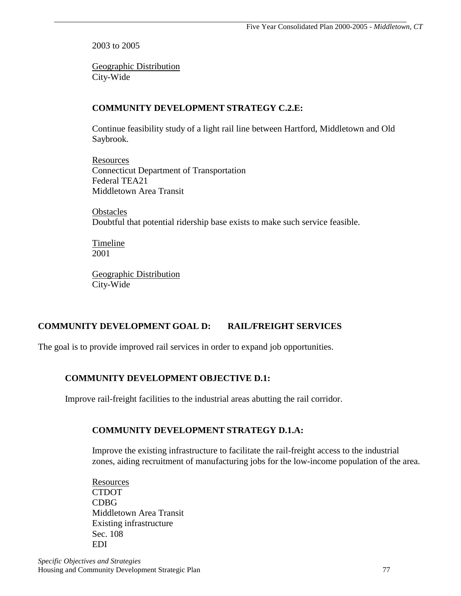2003 to 2005

 Geographic Distribution City-Wide

# **COMMUNITY DEVELOPMENT STRATEGY C.2.E:**

 Continue feasibility study of a light rail line between Hartford, Middletown and Old Saybrook.

 Resources Connecticut Department of Transportation Federal TEA21 Middletown Area Transit

**Obstacles** Doubtful that potential ridership base exists to make such service feasible.

**Timeline** 2001

 Geographic Distribution City-Wide

# **COMMUNITY DEVELOPMENT GOAL D: RAIL/FREIGHT SERVICES**

The goal is to provide improved rail services in order to expand job opportunities.

# **COMMUNITY DEVELOPMENT OBJECTIVE D.1:**

Improve rail-freight facilities to the industrial areas abutting the rail corridor.

# **COMMUNITY DEVELOPMENT STRATEGY D.1.A:**

 Improve the existing infrastructure to facilitate the rail-freight access to the industrial zones, aiding recruitment of manufacturing jobs for the low-income population of the area.

 Resources **CTDOT** CDBG Middletown Area Transit Existing infrastructure Sec. 108 EDI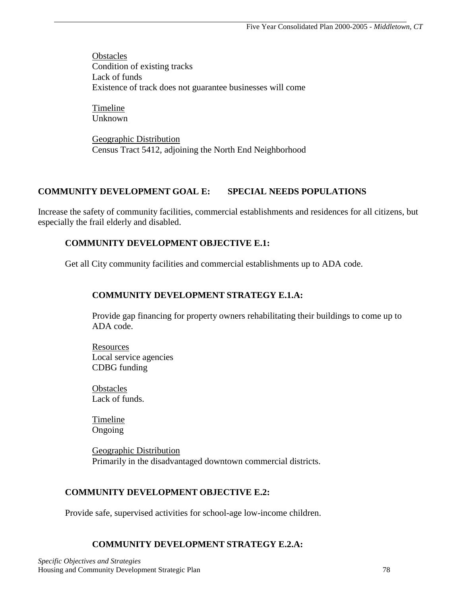**Obstacles** Condition of existing tracks Lack of funds Existence of track does not guarantee businesses will come

**Timeline** Unknown

 Geographic Distribution Census Tract 5412, adjoining the North End Neighborhood

# **COMMUNITY DEVELOPMENT GOAL E: SPECIAL NEEDS POPULATIONS**

Increase the safety of community facilities, commercial establishments and residences for all citizens, but especially the frail elderly and disabled.

# **COMMUNITY DEVELOPMENT OBJECTIVE E.1:**

Get all City community facilities and commercial establishments up to ADA code.

### **COMMUNITY DEVELOPMENT STRATEGY E.1.A:**

 Provide gap financing for property owners rehabilitating their buildings to come up to ADA code.

 Resources Local service agencies CDBG funding

**Obstacles** Lack of funds.

 Timeline Ongoing

 Geographic Distribution Primarily in the disadvantaged downtown commercial districts.

### **COMMUNITY DEVELOPMENT OBJECTIVE E.2:**

Provide safe, supervised activities for school-age low-income children.

### **COMMUNITY DEVELOPMENT STRATEGY E.2.A:**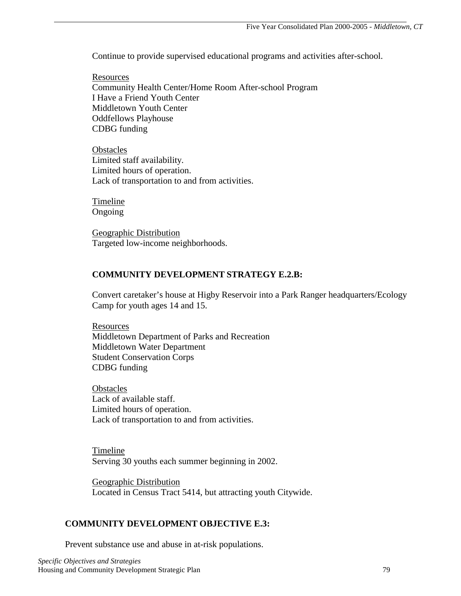Continue to provide supervised educational programs and activities after-school.

 Resources Community Health Center/Home Room After-school Program I Have a Friend Youth Center Middletown Youth Center Oddfellows Playhouse CDBG funding

**Obstacles** Limited staff availability. Limited hours of operation. Lack of transportation to and from activities.

 Timeline Ongoing

 Geographic Distribution Targeted low-income neighborhoods.

### **COMMUNITY DEVELOPMENT STRATEGY E.2.B:**

 Convert caretaker's house at Higby Reservoir into a Park Ranger headquarters/Ecology Camp for youth ages 14 and 15.

 Resources Middletown Department of Parks and Recreation Middletown Water Department Student Conservation Corps CDBG funding

**Obstacles** Lack of available staff. Limited hours of operation. Lack of transportation to and from activities.

 Timeline Serving 30 youths each summer beginning in 2002.

 Geographic Distribution Located in Census Tract 5414, but attracting youth Citywide.

### **COMMUNITY DEVELOPMENT OBJECTIVE E.3:**

Prevent substance use and abuse in at-risk populations.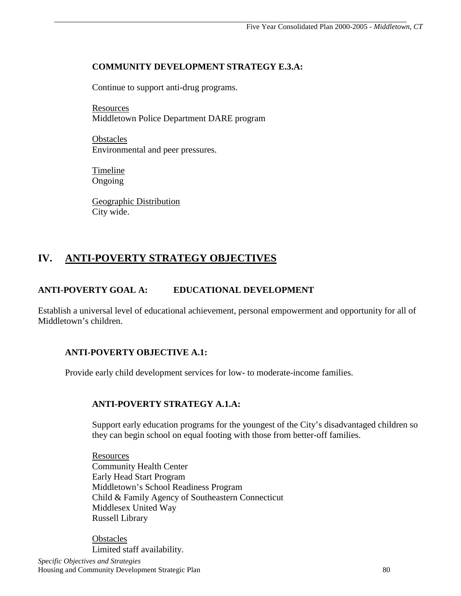#### **COMMUNITY DEVELOPMENT STRATEGY E.3.A:**

Continue to support anti-drug programs.

 Resources Middletown Police Department DARE program

**Obstacles** Environmental and peer pressures.

 Timeline Ongoing

 Geographic Distribution City wide.

# **IV. ANTI-POVERTY STRATEGY OBJECTIVES**

### **ANTI-POVERTY GOAL A: EDUCATIONAL DEVELOPMENT**

Establish a universal level of educational achievement, personal empowerment and opportunity for all of Middletown's children.

### **ANTI-POVERTY OBJECTIVE A.1:**

Provide early child development services for low- to moderate-income families.

### **ANTI-POVERTY STRATEGY A.1.A:**

 Support early education programs for the youngest of the City's disadvantaged children so they can begin school on equal footing with those from better-off families.

 Resources Community Health Center Early Head Start Program Middletown's School Readiness Program Child & Family Agency of Southeastern Connecticut Middlesex United Way Russell Library

**Obstacles** Limited staff availability.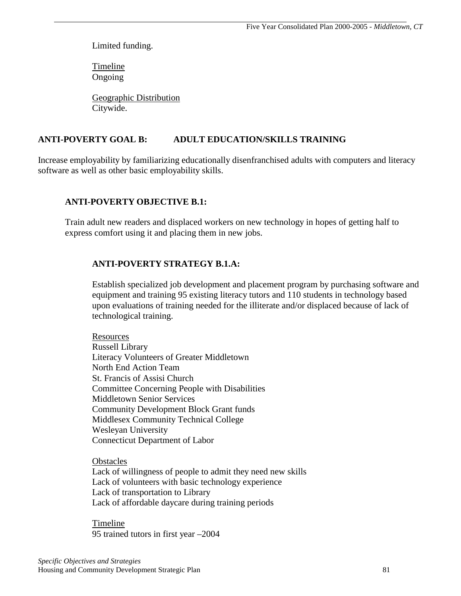Limited funding.

 Timeline Ongoing

 Geographic Distribution Citywide.

### **ANTI-POVERTY GOAL B: ADULT EDUCATION/SKILLS TRAINING**

Increase employability by familiarizing educationally disenfranchised adults with computers and literacy software as well as other basic employability skills.

#### **ANTI-POVERTY OBJECTIVE B.1:**

Train adult new readers and displaced workers on new technology in hopes of getting half to express comfort using it and placing them in new jobs.

#### **ANTI-POVERTY STRATEGY B.1.A:**

 Establish specialized job development and placement program by purchasing software and equipment and training 95 existing literacy tutors and 110 students in technology based upon evaluations of training needed for the illiterate and/or displaced because of lack of technological training.

 Resources Russell Library Literacy Volunteers of Greater Middletown North End Action Team St. Francis of Assisi Church Committee Concerning People with Disabilities Middletown Senior Services Community Development Block Grant funds Middlesex Community Technical College Wesleyan University Connecticut Department of Labor

**Obstacles** Lack of willingness of people to admit they need new skills Lack of volunteers with basic technology experience Lack of transportation to Library Lack of affordable daycare during training periods

 Timeline 95 trained tutors in first year –2004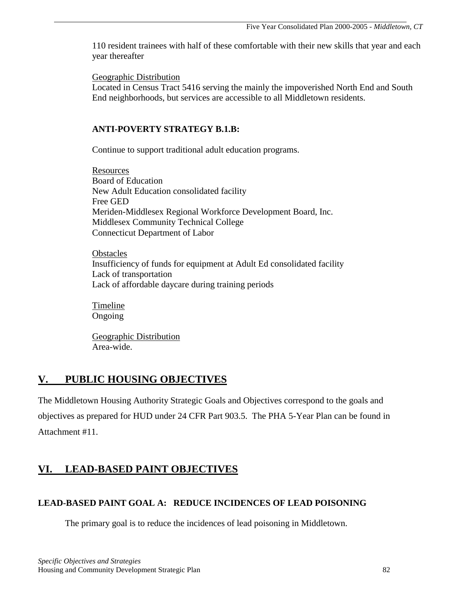110 resident trainees with half of these comfortable with their new skills that year and each year thereafter

Geographic Distribution

Located in Census Tract 5416 serving the mainly the impoverished North End and South End neighborhoods, but services are accessible to all Middletown residents.

#### **ANTI-POVERTY STRATEGY B.1.B:**

Continue to support traditional adult education programs.

 Resources Board of Education New Adult Education consolidated facility Free GED Meriden-Middlesex Regional Workforce Development Board, Inc. Middlesex Community Technical College Connecticut Department of Labor

**Obstacles** Insufficiency of funds for equipment at Adult Ed consolidated facility Lack of transportation Lack of affordable daycare during training periods

 Timeline Ongoing

 Geographic Distribution Area-wide.

# **V. PUBLIC HOUSING OBJECTIVES**

The Middletown Housing Authority Strategic Goals and Objectives correspond to the goals and objectives as prepared for HUD under 24 CFR Part 903.5. The PHA 5-Year Plan can be found in Attachment #11.

# **VI. LEAD-BASED PAINT OBJECTIVES**

# **LEAD-BASED PAINT GOAL A: REDUCE INCIDENCES OF LEAD POISONING**

The primary goal is to reduce the incidences of lead poisoning in Middletown.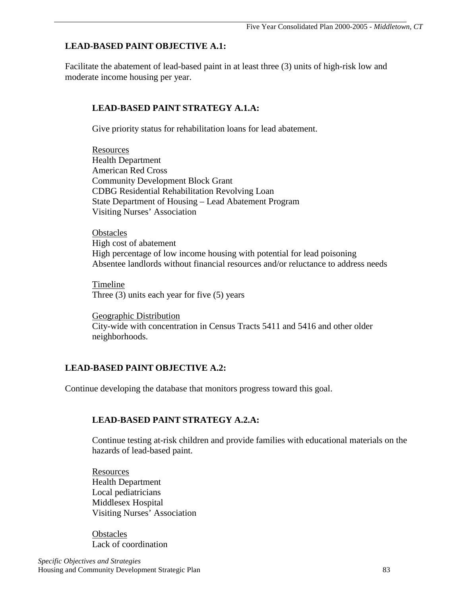# **LEAD-BASED PAINT OBJECTIVE A.1:**

Facilitate the abatement of lead-based paint in at least three (3) units of high-risk low and moderate income housing per year.

# **LEAD-BASED PAINT STRATEGY A.1.A:**

Give priority status for rehabilitation loans for lead abatement.

**Resources** Health Department American Red Cross Community Development Block Grant CDBG Residential Rehabilitation Revolving Loan State Department of Housing – Lead Abatement Program Visiting Nurses' Association

**Obstacles** High cost of abatement High percentage of low income housing with potential for lead poisoning Absentee landlords without financial resources and/or reluctance to address needs

 Timeline Three (3) units each year for five (5) years

 Geographic Distribution City-wide with concentration in Census Tracts 5411 and 5416 and other older neighborhoods.

# **LEAD-BASED PAINT OBJECTIVE A.2:**

Continue developing the database that monitors progress toward this goal.

# **LEAD-BASED PAINT STRATEGY A.2.A:**

 Continue testing at-risk children and provide families with educational materials on the hazards of lead-based paint.

**Resources** Health Department Local pediatricians Middlesex Hospital Visiting Nurses' Association

**Obstacles** Lack of coordination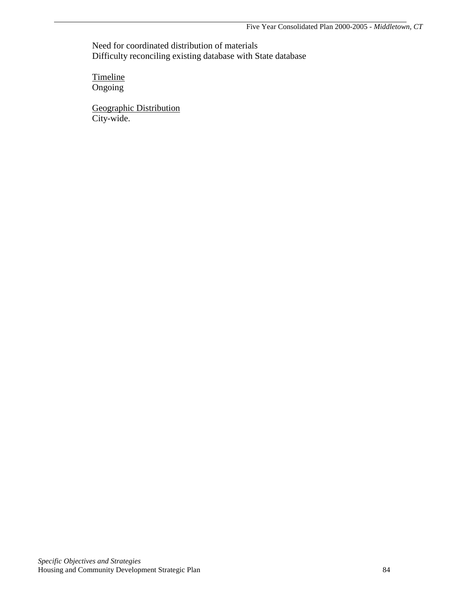Need for coordinated distribution of materials Difficulty reconciling existing database with State database

**Timeline** Ongoing

 Geographic Distribution City-wide.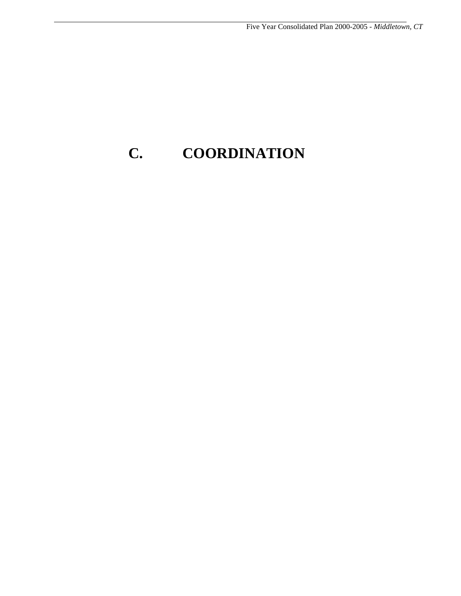# **C. COORDINATION**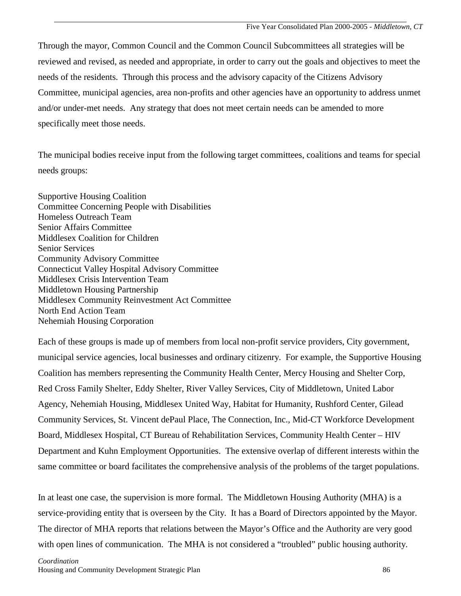Through the mayor, Common Council and the Common Council Subcommittees all strategies will be reviewed and revised, as needed and appropriate, in order to carry out the goals and objectives to meet the needs of the residents. Through this process and the advisory capacity of the Citizens Advisory Committee, municipal agencies, area non-profits and other agencies have an opportunity to address unmet and/or under-met needs. Any strategy that does not meet certain needs can be amended to more specifically meet those needs.

The municipal bodies receive input from the following target committees, coalitions and teams for special needs groups:

Supportive Housing Coalition Committee Concerning People with Disabilities Homeless Outreach Team Senior Affairs Committee Middlesex Coalition for Children Senior Services Community Advisory Committee Connecticut Valley Hospital Advisory Committee Middlesex Crisis Intervention Team Middletown Housing Partnership Middlesex Community Reinvestment Act Committee North End Action Team Nehemiah Housing Corporation

Each of these groups is made up of members from local non-profit service providers, City government, municipal service agencies, local businesses and ordinary citizenry. For example, the Supportive Housing Coalition has members representing the Community Health Center, Mercy Housing and Shelter Corp, Red Cross Family Shelter, Eddy Shelter, River Valley Services, City of Middletown, United Labor Agency, Nehemiah Housing, Middlesex United Way, Habitat for Humanity, Rushford Center, Gilead Community Services, St. Vincent dePaul Place, The Connection, Inc., Mid-CT Workforce Development Board, Middlesex Hospital, CT Bureau of Rehabilitation Services, Community Health Center – HIV Department and Kuhn Employment Opportunities. The extensive overlap of different interests within the same committee or board facilitates the comprehensive analysis of the problems of the target populations.

In at least one case, the supervision is more formal. The Middletown Housing Authority (MHA) is a service-providing entity that is overseen by the City. It has a Board of Directors appointed by the Mayor. The director of MHA reports that relations between the Mayor's Office and the Authority are very good with open lines of communication. The MHA is not considered a "troubled" public housing authority.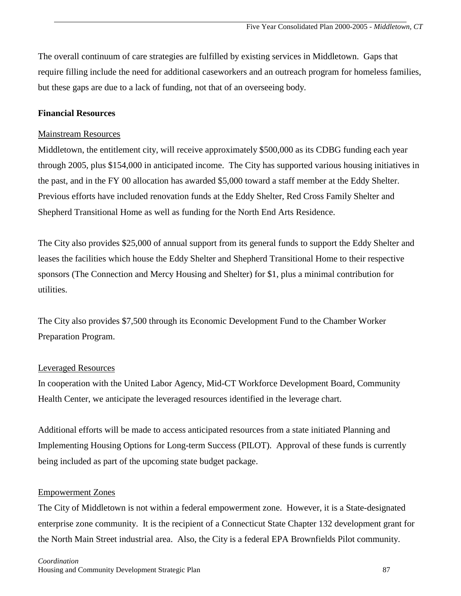The overall continuum of care strategies are fulfilled by existing services in Middletown. Gaps that require filling include the need for additional caseworkers and an outreach program for homeless families, but these gaps are due to a lack of funding, not that of an overseeing body.

#### **Financial Resources**

#### Mainstream Resources

Middletown, the entitlement city, will receive approximately \$500,000 as its CDBG funding each year through 2005, plus \$154,000 in anticipated income. The City has supported various housing initiatives in the past, and in the FY 00 allocation has awarded \$5,000 toward a staff member at the Eddy Shelter. Previous efforts have included renovation funds at the Eddy Shelter, Red Cross Family Shelter and Shepherd Transitional Home as well as funding for the North End Arts Residence.

The City also provides \$25,000 of annual support from its general funds to support the Eddy Shelter and leases the facilities which house the Eddy Shelter and Shepherd Transitional Home to their respective sponsors (The Connection and Mercy Housing and Shelter) for \$1, plus a minimal contribution for utilities.

The City also provides \$7,500 through its Economic Development Fund to the Chamber Worker Preparation Program.

#### Leveraged Resources

In cooperation with the United Labor Agency, Mid-CT Workforce Development Board, Community Health Center, we anticipate the leveraged resources identified in the leverage chart.

Additional efforts will be made to access anticipated resources from a state initiated Planning and Implementing Housing Options for Long-term Success (PILOT). Approval of these funds is currently being included as part of the upcoming state budget package.

#### Empowerment Zones

The City of Middletown is not within a federal empowerment zone. However, it is a State-designated enterprise zone community. It is the recipient of a Connecticut State Chapter 132 development grant for the North Main Street industrial area. Also, the City is a federal EPA Brownfields Pilot community.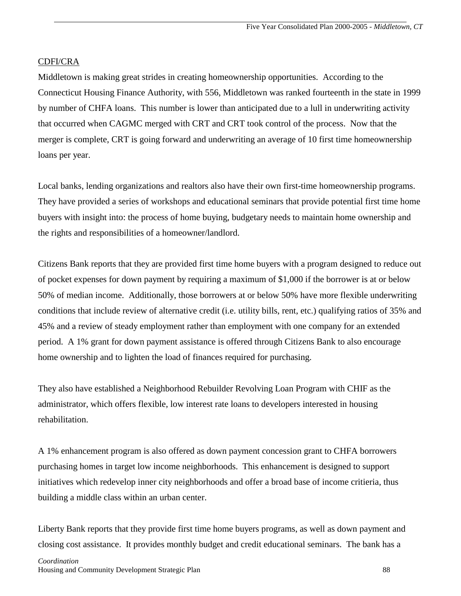#### CDFI/CRA

Middletown is making great strides in creating homeownership opportunities. According to the Connecticut Housing Finance Authority, with 556, Middletown was ranked fourteenth in the state in 1999 by number of CHFA loans. This number is lower than anticipated due to a lull in underwriting activity that occurred when CAGMC merged with CRT and CRT took control of the process. Now that the merger is complete, CRT is going forward and underwriting an average of 10 first time homeownership loans per year.

Local banks, lending organizations and realtors also have their own first-time homeownership programs. They have provided a series of workshops and educational seminars that provide potential first time home buyers with insight into: the process of home buying, budgetary needs to maintain home ownership and the rights and responsibilities of a homeowner/landlord.

Citizens Bank reports that they are provided first time home buyers with a program designed to reduce out of pocket expenses for down payment by requiring a maximum of \$1,000 if the borrower is at or below 50% of median income. Additionally, those borrowers at or below 50% have more flexible underwriting conditions that include review of alternative credit (i.e. utility bills, rent, etc.) qualifying ratios of 35% and 45% and a review of steady employment rather than employment with one company for an extended period. A 1% grant for down payment assistance is offered through Citizens Bank to also encourage home ownership and to lighten the load of finances required for purchasing.

They also have established a Neighborhood Rebuilder Revolving Loan Program with CHIF as the administrator, which offers flexible, low interest rate loans to developers interested in housing rehabilitation.

A 1% enhancement program is also offered as down payment concession grant to CHFA borrowers purchasing homes in target low income neighborhoods. This enhancement is designed to support initiatives which redevelop inner city neighborhoods and offer a broad base of income critieria, thus building a middle class within an urban center.

Liberty Bank reports that they provide first time home buyers programs, as well as down payment and closing cost assistance. It provides monthly budget and credit educational seminars. The bank has a